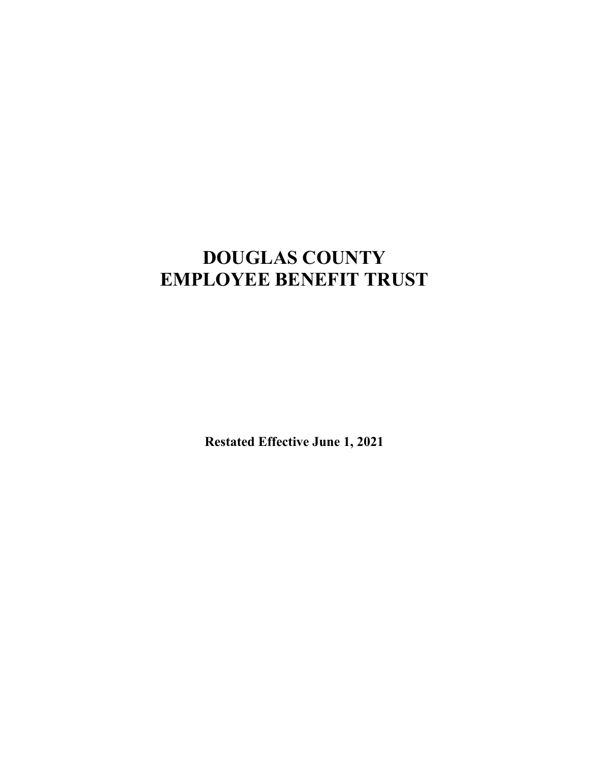# **DOUGLAS COUNTY EMPLOYEE BENEFIT TRUST**

**Restated Effective June 1, 2021**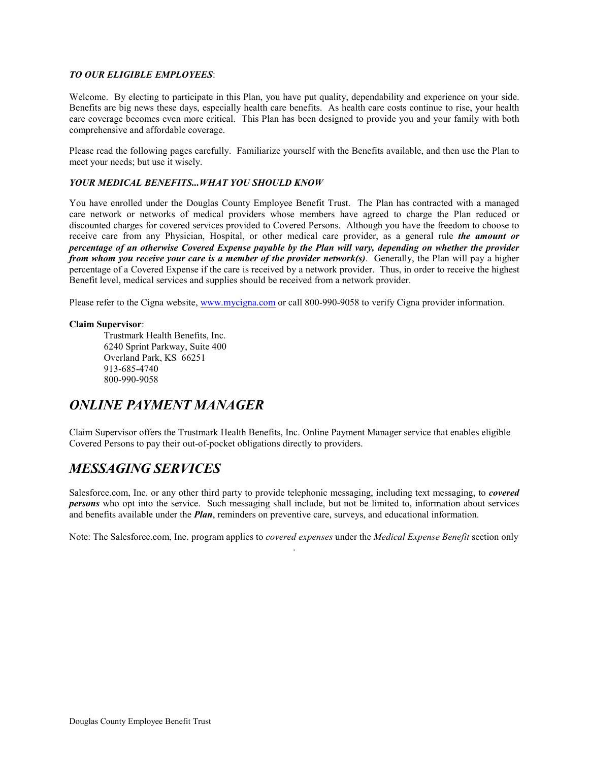### *TO OUR ELIGIBLE EMPLOYEES*:

Welcome. By electing to participate in this Plan, you have put quality, dependability and experience on your side. Benefits are big news these days, especially health care benefits. As health care costs continue to rise, your health care coverage becomes even more critical. This Plan has been designed to provide you and your family with both comprehensive and affordable coverage.

Please read the following pages carefully. Familiarize yourself with the Benefits available, and then use the Plan to meet your needs; but use it wisely.

### *YOUR MEDICAL BENEFITS...WHAT YOU SHOULD KNOW*

You have enrolled under the Douglas County Employee Benefit Trust. The Plan has contracted with a managed care network or networks of medical providers whose members have agreed to charge the Plan reduced or discounted charges for covered services provided to Covered Persons. Although you have the freedom to choose to receive care from any Physician, Hospital, or other medical care provider, as a general rule *the amount or percentage of an otherwise Covered Expense payable by the Plan will vary, depending on whether the provider from whom you receive your care is a member of the provider network(s)*. Generally, the Plan will pay a higher percentage of a Covered Expense if the care is received by a network provider. Thus, in order to receive the highest Benefit level, medical services and supplies should be received from a network provider.

Please refer to the Cigna website, [www.mycigna.com](http://www.mycigna.com/) or call 800-990-9058 to verify Cigna provider information.

### **Claim Supervisor**:

Trustmark Health Benefits, Inc. 6240 Sprint Parkway, Suite 400 Overland Park, KS 66251 913-685-4740 800-990-9058

# *ONLINE PAYMENT MANAGER*

Claim Supervisor offers the Trustmark Health Benefits, Inc. Online Payment Manager service that enables eligible Covered Persons to pay their out-of-pocket obligations directly to providers.

# *MESSAGING SERVICES*

Salesforce.com, Inc. or any other third party to provide telephonic messaging, including text messaging, to *covered persons* who opt into the service. Such messaging shall include, but not be limited to, information about services and benefits available under the **Plan**, reminders on preventive care, surveys, and educational information.

Note: The Salesforce.com, Inc. program applies to *covered expenses* under the *Medical Expense Benefit* section only .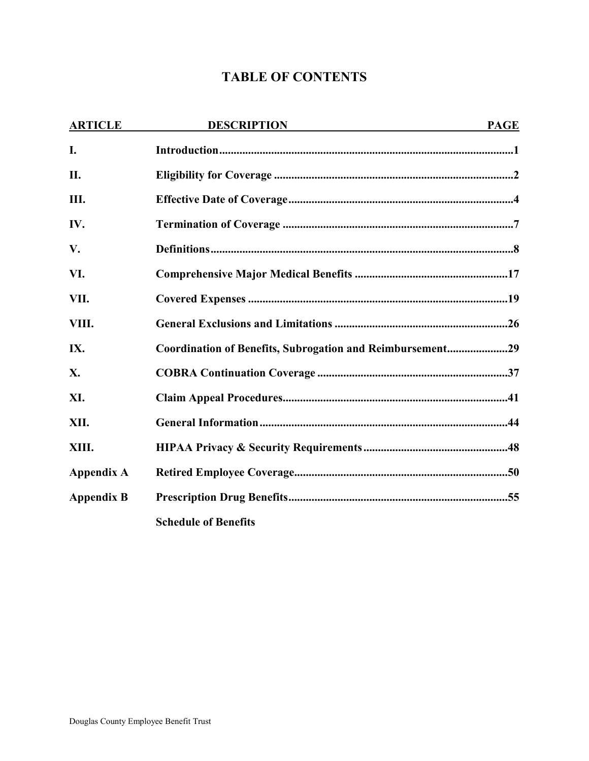# **TABLE OF CONTENTS**

| <b>ARTICLE</b>    | <b>DESCRIPTION</b>                                        | <b>PAGE</b> |
|-------------------|-----------------------------------------------------------|-------------|
| I.                |                                                           |             |
| II.               |                                                           |             |
| III.              |                                                           |             |
| IV.               |                                                           |             |
| V.                |                                                           |             |
| VI.               |                                                           |             |
| VII.              |                                                           |             |
| VIII.             |                                                           |             |
| IX.               | Coordination of Benefits, Subrogation and Reimbursement29 |             |
| X.                |                                                           |             |
| XI.               |                                                           |             |
| XII.              |                                                           |             |
| XIII.             |                                                           |             |
| <b>Appendix A</b> |                                                           |             |
| <b>Appendix B</b> |                                                           |             |
|                   | <b>Schedule of Benefits</b>                               |             |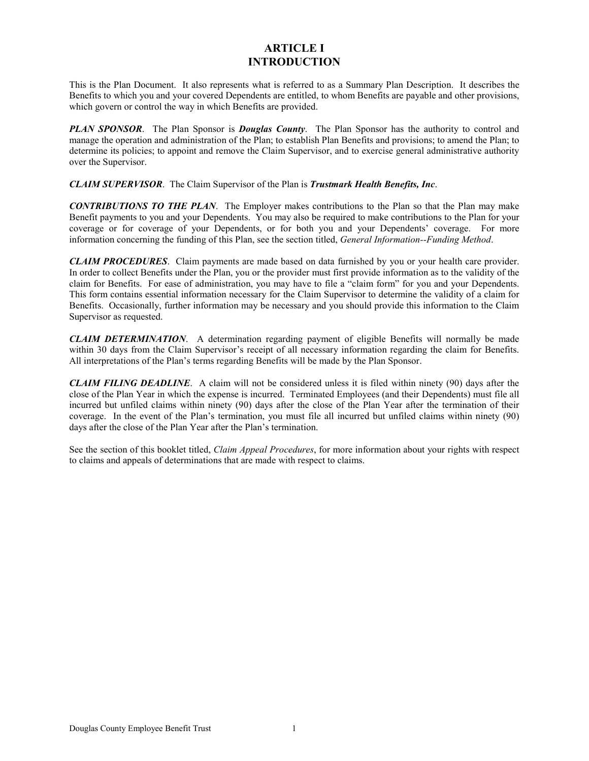### **ARTICLE I INTRODUCTION**

This is the Plan Document. It also represents what is referred to as a Summary Plan Description. It describes the Benefits to which you and your covered Dependents are entitled, to whom Benefits are payable and other provisions, which govern or control the way in which Benefits are provided.

*PLAN SPONSOR*. The Plan Sponsor is *Douglas County*. The Plan Sponsor has the authority to control and manage the operation and administration of the Plan; to establish Plan Benefits and provisions; to amend the Plan; to determine its policies; to appoint and remove the Claim Supervisor, and to exercise general administrative authority over the Supervisor.

*CLAIM SUPERVISOR*. The Claim Supervisor of the Plan is *Trustmark Health Benefits, Inc*.

*CONTRIBUTIONS TO THE PLAN*. The Employer makes contributions to the Plan so that the Plan may make Benefit payments to you and your Dependents. You may also be required to make contributions to the Plan for your coverage or for coverage of your Dependents, or for both you and your Dependents' coverage. For more information concerning the funding of this Plan, see the section titled, *General Information--Funding Method*.

*CLAIM PROCEDURES*. Claim payments are made based on data furnished by you or your health care provider. In order to collect Benefits under the Plan, you or the provider must first provide information as to the validity of the claim for Benefits. For ease of administration, you may have to file a "claim form" for you and your Dependents. This form contains essential information necessary for the Claim Supervisor to determine the validity of a claim for Benefits. Occasionally, further information may be necessary and you should provide this information to the Claim Supervisor as requested.

*CLAIM DETERMINATION*. A determination regarding payment of eligible Benefits will normally be made within 30 days from the Claim Supervisor's receipt of all necessary information regarding the claim for Benefits. All interpretations of the Plan's terms regarding Benefits will be made by the Plan Sponsor.

*CLAIM FILING DEADLINE*. A claim will not be considered unless it is filed within ninety (90) days after the close of the Plan Year in which the expense is incurred. Terminated Employees (and their Dependents) must file all incurred but unfiled claims within ninety (90) days after the close of the Plan Year after the termination of their coverage. In the event of the Plan's termination, you must file all incurred but unfiled claims within ninety (90) days after the close of the Plan Year after the Plan's termination.

See the section of this booklet titled, *Claim Appeal Procedures*, for more information about your rights with respect to claims and appeals of determinations that are made with respect to claims.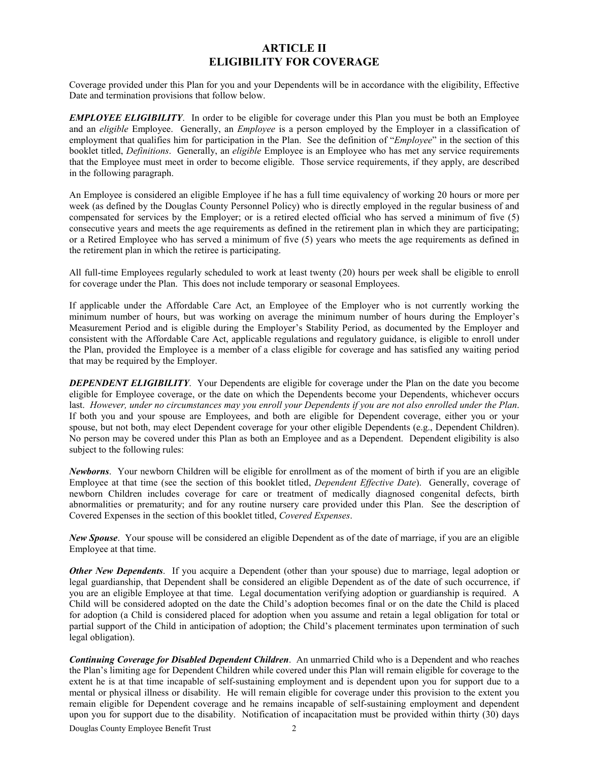### **ARTICLE II ELIGIBILITY FOR COVERAGE**

Coverage provided under this Plan for you and your Dependents will be in accordance with the eligibility, Effective Date and termination provisions that follow below.

*EMPLOYEE ELIGIBILITY*. In order to be eligible for coverage under this Plan you must be both an Employee and an *eligible* Employee. Generally, an *Employee* is a person employed by the Employer in a classification of employment that qualifies him for participation in the Plan. See the definition of "*Employee*" in the section of this booklet titled, *Definitions*. Generally, an *eligible* Employee is an Employee who has met any service requirements that the Employee must meet in order to become eligible. Those service requirements, if they apply, are described in the following paragraph.

An Employee is considered an eligible Employee if he has a full time equivalency of working 20 hours or more per week (as defined by the Douglas County Personnel Policy) who is directly employed in the regular business of and compensated for services by the Employer; or is a retired elected official who has served a minimum of five (5) consecutive years and meets the age requirements as defined in the retirement plan in which they are participating; or a Retired Employee who has served a minimum of five (5) years who meets the age requirements as defined in the retirement plan in which the retiree is participating.

All full-time Employees regularly scheduled to work at least twenty (20) hours per week shall be eligible to enroll for coverage under the Plan. This does not include temporary or seasonal Employees.

If applicable under the Affordable Care Act, an Employee of the Employer who is not currently working the minimum number of hours, but was working on average the minimum number of hours during the Employer's Measurement Period and is eligible during the Employer's Stability Period, as documented by the Employer and consistent with the Affordable Care Act, applicable regulations and regulatory guidance, is eligible to enroll under the Plan, provided the Employee is a member of a class eligible for coverage and has satisfied any waiting period that may be required by the Employer.

*DEPENDENT ELIGIBILITY*. Your Dependents are eligible for coverage under the Plan on the date you become eligible for Employee coverage, or the date on which the Dependents become your Dependents, whichever occurs last. *However, under no circumstances may you enroll your Dependents if you are not also enrolled under the Plan*. If both you and your spouse are Employees, and both are eligible for Dependent coverage, either you or your spouse, but not both, may elect Dependent coverage for your other eligible Dependents (e.g., Dependent Children). No person may be covered under this Plan as both an Employee and as a Dependent. Dependent eligibility is also subject to the following rules:

*Newborns*. Your newborn Children will be eligible for enrollment as of the moment of birth if you are an eligible Employee at that time (see the section of this booklet titled, *Dependent Effective Date*). Generally, coverage of newborn Children includes coverage for care or treatment of medically diagnosed congenital defects, birth abnormalities or prematurity; and for any routine nursery care provided under this Plan. See the description of Covered Expenses in the section of this booklet titled, *Covered Expenses*.

*New Spouse*. Your spouse will be considered an eligible Dependent as of the date of marriage, if you are an eligible Employee at that time.

*Other New Dependents*. If you acquire a Dependent (other than your spouse) due to marriage, legal adoption or legal guardianship, that Dependent shall be considered an eligible Dependent as of the date of such occurrence, if you are an eligible Employee at that time. Legal documentation verifying adoption or guardianship is required. A Child will be considered adopted on the date the Child's adoption becomes final or on the date the Child is placed for adoption (a Child is considered placed for adoption when you assume and retain a legal obligation for total or partial support of the Child in anticipation of adoption; the Child's placement terminates upon termination of such legal obligation).

*Continuing Coverage for Disabled Dependent Children*. An unmarried Child who is a Dependent and who reaches the Plan's limiting age for Dependent Children while covered under this Plan will remain eligible for coverage to the extent he is at that time incapable of self-sustaining employment and is dependent upon you for support due to a mental or physical illness or disability. He will remain eligible for coverage under this provision to the extent you remain eligible for Dependent coverage and he remains incapable of self-sustaining employment and dependent upon you for support due to the disability. Notification of incapacitation must be provided within thirty (30) days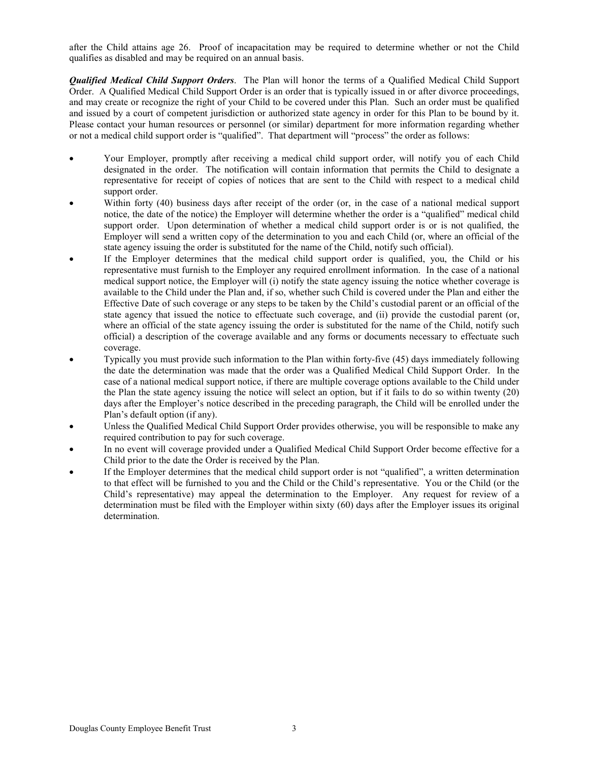after the Child attains age 26. Proof of incapacitation may be required to determine whether or not the Child qualifies as disabled and may be required on an annual basis.

*Qualified Medical Child Support Orders*. The Plan will honor the terms of a Qualified Medical Child Support Order. A Qualified Medical Child Support Order is an order that is typically issued in or after divorce proceedings, and may create or recognize the right of your Child to be covered under this Plan. Such an order must be qualified and issued by a court of competent jurisdiction or authorized state agency in order for this Plan to be bound by it. Please contact your human resources or personnel (or similar) department for more information regarding whether or not a medical child support order is "qualified". That department will "process" the order as follows:

- Your Employer, promptly after receiving a medical child support order, will notify you of each Child designated in the order. The notification will contain information that permits the Child to designate a representative for receipt of copies of notices that are sent to the Child with respect to a medical child support order.
- Within forty (40) business days after receipt of the order (or, in the case of a national medical support notice, the date of the notice) the Employer will determine whether the order is a "qualified" medical child support order. Upon determination of whether a medical child support order is or is not qualified, the Employer will send a written copy of the determination to you and each Child (or, where an official of the state agency issuing the order is substituted for the name of the Child, notify such official).
- If the Employer determines that the medical child support order is qualified, you, the Child or his representative must furnish to the Employer any required enrollment information. In the case of a national medical support notice, the Employer will (i) notify the state agency issuing the notice whether coverage is available to the Child under the Plan and, if so, whether such Child is covered under the Plan and either the Effective Date of such coverage or any steps to be taken by the Child's custodial parent or an official of the state agency that issued the notice to effectuate such coverage, and (ii) provide the custodial parent (or, where an official of the state agency issuing the order is substituted for the name of the Child, notify such official) a description of the coverage available and any forms or documents necessary to effectuate such coverage.
- Typically you must provide such information to the Plan within forty-five (45) days immediately following the date the determination was made that the order was a Qualified Medical Child Support Order. In the case of a national medical support notice, if there are multiple coverage options available to the Child under the Plan the state agency issuing the notice will select an option, but if it fails to do so within twenty (20) days after the Employer's notice described in the preceding paragraph, the Child will be enrolled under the Plan's default option (if any).
- Unless the Qualified Medical Child Support Order provides otherwise, you will be responsible to make any required contribution to pay for such coverage.
- In no event will coverage provided under a Qualified Medical Child Support Order become effective for a Child prior to the date the Order is received by the Plan.
- If the Employer determines that the medical child support order is not "qualified", a written determination to that effect will be furnished to you and the Child or the Child's representative. You or the Child (or the Child's representative) may appeal the determination to the Employer. Any request for review of a determination must be filed with the Employer within sixty (60) days after the Employer issues its original determination.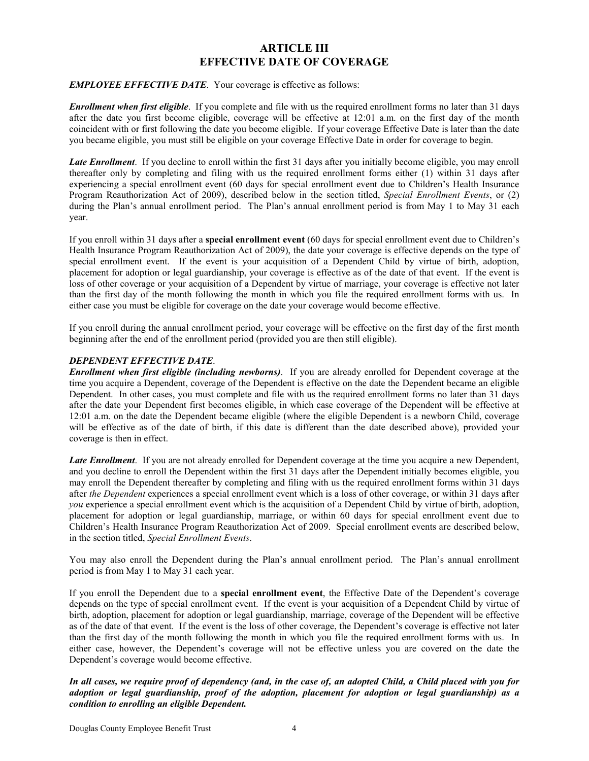### **ARTICLE III EFFECTIVE DATE OF COVERAGE**

### *EMPLOYEE EFFECTIVE DATE*. Your coverage is effective as follows:

*Enrollment when first eligible*. If you complete and file with us the required enrollment forms no later than 31 days after the date you first become eligible, coverage will be effective at 12:01 a.m. on the first day of the month coincident with or first following the date you become eligible. If your coverage Effective Date is later than the date you became eligible, you must still be eligible on your coverage Effective Date in order for coverage to begin.

*Late Enrollment*. If you decline to enroll within the first 31 days after you initially become eligible, you may enroll thereafter only by completing and filing with us the required enrollment forms either (1) within 31 days after experiencing a special enrollment event (60 days for special enrollment event due to Children's Health Insurance Program Reauthorization Act of 2009), described below in the section titled, *Special Enrollment Events*, or (2) during the Plan's annual enrollment period. The Plan's annual enrollment period is from May 1 to May 31 each year.

If you enroll within 31 days after a **special enrollment event** (60 days for special enrollment event due to Children's Health Insurance Program Reauthorization Act of 2009), the date your coverage is effective depends on the type of special enrollment event. If the event is your acquisition of a Dependent Child by virtue of birth, adoption, placement for adoption or legal guardianship, your coverage is effective as of the date of that event. If the event is loss of other coverage or your acquisition of a Dependent by virtue of marriage, your coverage is effective not later than the first day of the month following the month in which you file the required enrollment forms with us. In either case you must be eligible for coverage on the date your coverage would become effective.

If you enroll during the annual enrollment period, your coverage will be effective on the first day of the first month beginning after the end of the enrollment period (provided you are then still eligible).

### *DEPENDENT EFFECTIVE DATE*.

*Enrollment when first eligible (including newborns)*. If you are already enrolled for Dependent coverage at the time you acquire a Dependent, coverage of the Dependent is effective on the date the Dependent became an eligible Dependent. In other cases, you must complete and file with us the required enrollment forms no later than 31 days after the date your Dependent first becomes eligible, in which case coverage of the Dependent will be effective at 12:01 a.m. on the date the Dependent became eligible (where the eligible Dependent is a newborn Child, coverage will be effective as of the date of birth, if this date is different than the date described above), provided your coverage is then in effect.

*Late Enrollment*. If you are not already enrolled for Dependent coverage at the time you acquire a new Dependent, and you decline to enroll the Dependent within the first 31 days after the Dependent initially becomes eligible, you may enroll the Dependent thereafter by completing and filing with us the required enrollment forms within 31 days after *the Dependent* experiences a special enrollment event which is a loss of other coverage, or within 31 days after *you* experience a special enrollment event which is the acquisition of a Dependent Child by virtue of birth, adoption, placement for adoption or legal guardianship, marriage, or within 60 days for special enrollment event due to Children's Health Insurance Program Reauthorization Act of 2009. Special enrollment events are described below, in the section titled, *Special Enrollment Events*.

You may also enroll the Dependent during the Plan's annual enrollment period. The Plan's annual enrollment period is from May 1 to May 31 each year.

If you enroll the Dependent due to a **special enrollment event**, the Effective Date of the Dependent's coverage depends on the type of special enrollment event. If the event is your acquisition of a Dependent Child by virtue of birth, adoption, placement for adoption or legal guardianship, marriage, coverage of the Dependent will be effective as of the date of that event. If the event is the loss of other coverage, the Dependent's coverage is effective not later than the first day of the month following the month in which you file the required enrollment forms with us. In either case, however, the Dependent's coverage will not be effective unless you are covered on the date the Dependent's coverage would become effective.

*In all cases, we require proof of dependency (and, in the case of, an adopted Child, a Child placed with you for adoption or legal guardianship, proof of the adoption, placement for adoption or legal guardianship) as a condition to enrolling an eligible Dependent.*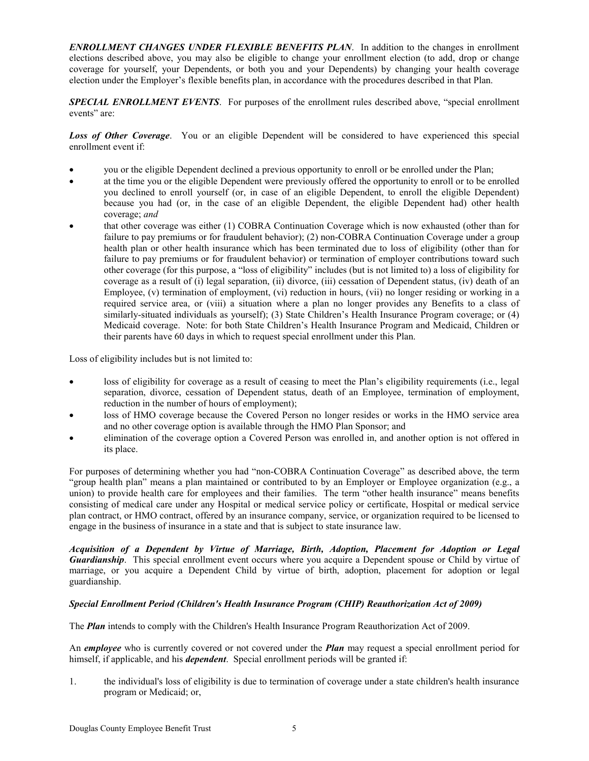*ENROLLMENT CHANGES UNDER FLEXIBLE BENEFITS PLAN*. In addition to the changes in enrollment elections described above, you may also be eligible to change your enrollment election (to add, drop or change coverage for yourself, your Dependents, or both you and your Dependents) by changing your health coverage election under the Employer's flexible benefits plan, in accordance with the procedures described in that Plan.

*SPECIAL ENROLLMENT EVENTS*. For purposes of the enrollment rules described above, "special enrollment events" are:

*Loss of Other Coverage*. You or an eligible Dependent will be considered to have experienced this special enrollment event if:

- you or the eligible Dependent declined a previous opportunity to enroll or be enrolled under the Plan;
- at the time you or the eligible Dependent were previously offered the opportunity to enroll or to be enrolled you declined to enroll yourself (or, in case of an eligible Dependent, to enroll the eligible Dependent) because you had (or, in the case of an eligible Dependent, the eligible Dependent had) other health coverage; *and*
- that other coverage was either (1) COBRA Continuation Coverage which is now exhausted (other than for failure to pay premiums or for fraudulent behavior); (2) non-COBRA Continuation Coverage under a group health plan or other health insurance which has been terminated due to loss of eligibility (other than for failure to pay premiums or for fraudulent behavior) or termination of employer contributions toward such other coverage (for this purpose, a "loss of eligibility" includes (but is not limited to) a loss of eligibility for coverage as a result of (i) legal separation, (ii) divorce, (iii) cessation of Dependent status, (iv) death of an Employee, (v) termination of employment, (vi) reduction in hours, (vii) no longer residing or working in a required service area, or (viii) a situation where a plan no longer provides any Benefits to a class of similarly-situated individuals as yourself); (3) State Children's Health Insurance Program coverage; or (4) Medicaid coverage. Note: for both State Children's Health Insurance Program and Medicaid, Children or their parents have 60 days in which to request special enrollment under this Plan.

Loss of eligibility includes but is not limited to:

- loss of eligibility for coverage as a result of ceasing to meet the Plan's eligibility requirements (i.e., legal separation, divorce, cessation of Dependent status, death of an Employee, termination of employment, reduction in the number of hours of employment);
- loss of HMO coverage because the Covered Person no longer resides or works in the HMO service area and no other coverage option is available through the HMO Plan Sponsor; and
- elimination of the coverage option a Covered Person was enrolled in, and another option is not offered in its place.

For purposes of determining whether you had "non-COBRA Continuation Coverage" as described above, the term "group health plan" means a plan maintained or contributed to by an Employer or Employee organization (e.g., a union) to provide health care for employees and their families. The term "other health insurance" means benefits consisting of medical care under any Hospital or medical service policy or certificate, Hospital or medical service plan contract, or HMO contract, offered by an insurance company, service, or organization required to be licensed to engage in the business of insurance in a state and that is subject to state insurance law.

*Acquisition of a Dependent by Virtue of Marriage, Birth, Adoption, Placement for Adoption or Legal Guardianship*. This special enrollment event occurs where you acquire a Dependent spouse or Child by virtue of marriage, or you acquire a Dependent Child by virtue of birth, adoption, placement for adoption or legal guardianship.

### *Special Enrollment Period (Children's Health Insurance Program (CHIP) Reauthorization Act of 2009)*

The *Plan* intends to comply with the Children's Health Insurance Program Reauthorization Act of 2009.

An *employee* who is currently covered or not covered under the *Plan* may request a special enrollment period for himself, if applicable, and his *dependent*. Special enrollment periods will be granted if:

1. the individual's loss of eligibility is due to termination of coverage under a state children's health insurance program or Medicaid; or,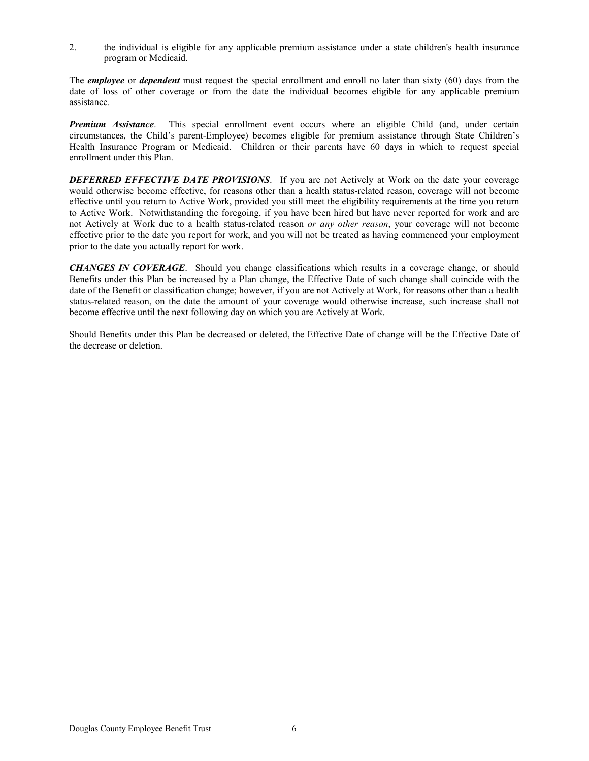2. the individual is eligible for any applicable premium assistance under a state children's health insurance program or Medicaid.

The *employee* or *dependent* must request the special enrollment and enroll no later than sixty (60) days from the date of loss of other coverage or from the date the individual becomes eligible for any applicable premium assistance.

*Premium Assistance*. This special enrollment event occurs where an eligible Child (and, under certain circumstances, the Child's parent-Employee) becomes eligible for premium assistance through State Children's Health Insurance Program or Medicaid. Children or their parents have 60 days in which to request special enrollment under this Plan.

*DEFERRED EFFECTIVE DATE PROVISIONS*. If you are not Actively at Work on the date your coverage would otherwise become effective, for reasons other than a health status-related reason, coverage will not become effective until you return to Active Work, provided you still meet the eligibility requirements at the time you return to Active Work. Notwithstanding the foregoing, if you have been hired but have never reported for work and are not Actively at Work due to a health status-related reason *or any other reason*, your coverage will not become effective prior to the date you report for work, and you will not be treated as having commenced your employment prior to the date you actually report for work.

*CHANGES IN COVERAGE*. Should you change classifications which results in a coverage change, or should Benefits under this Plan be increased by a Plan change, the Effective Date of such change shall coincide with the date of the Benefit or classification change; however, if you are not Actively at Work, for reasons other than a health status-related reason, on the date the amount of your coverage would otherwise increase, such increase shall not become effective until the next following day on which you are Actively at Work.

Should Benefits under this Plan be decreased or deleted, the Effective Date of change will be the Effective Date of the decrease or deletion.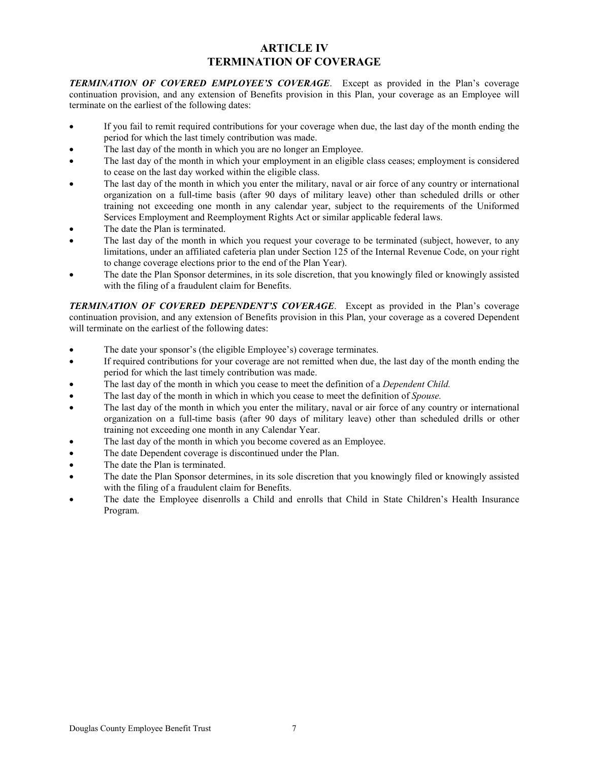### **ARTICLE IV TERMINATION OF COVERAGE**

*TERMINATION OF COVERED EMPLOYEE'S COVERAGE*. Except as provided in the Plan's coverage continuation provision, and any extension of Benefits provision in this Plan, your coverage as an Employee will terminate on the earliest of the following dates:

- If you fail to remit required contributions for your coverage when due, the last day of the month ending the period for which the last timely contribution was made.
- The last day of the month in which you are no longer an Employee.
- The last day of the month in which your employment in an eligible class ceases; employment is considered to cease on the last day worked within the eligible class.
- The last day of the month in which you enter the military, naval or air force of any country or international organization on a full-time basis (after 90 days of military leave) other than scheduled drills or other training not exceeding one month in any calendar year, subject to the requirements of the Uniformed Services Employment and Reemployment Rights Act or similar applicable federal laws.
- The date the Plan is terminated.
- The last day of the month in which you request your coverage to be terminated (subject, however, to any limitations, under an affiliated cafeteria plan under Section 125 of the Internal Revenue Code, on your right to change coverage elections prior to the end of the Plan Year).
- The date the Plan Sponsor determines, in its sole discretion, that you knowingly filed or knowingly assisted with the filing of a fraudulent claim for Benefits.

*TERMINATION OF COVERED DEPENDENT'S COVERAGE*. Except as provided in the Plan's coverage continuation provision, and any extension of Benefits provision in this Plan, your coverage as a covered Dependent will terminate on the earliest of the following dates:

- The date your sponsor's (the eligible Employee's) coverage terminates.
- If required contributions for your coverage are not remitted when due, the last day of the month ending the period for which the last timely contribution was made.
- The last day of the month in which you cease to meet the definition of a *Dependent Child.*
- The last day of the month in which in which you cease to meet the definition of *Spouse.*
- The last day of the month in which you enter the military, naval or air force of any country or international organization on a full-time basis (after 90 days of military leave) other than scheduled drills or other training not exceeding one month in any Calendar Year.
- The last day of the month in which you become covered as an Employee.
- The date Dependent coverage is discontinued under the Plan.
- The date the Plan is terminated.
- The date the Plan Sponsor determines, in its sole discretion that you knowingly filed or knowingly assisted with the filing of a fraudulent claim for Benefits.
- The date the Employee disenrolls a Child and enrolls that Child in State Children's Health Insurance Program.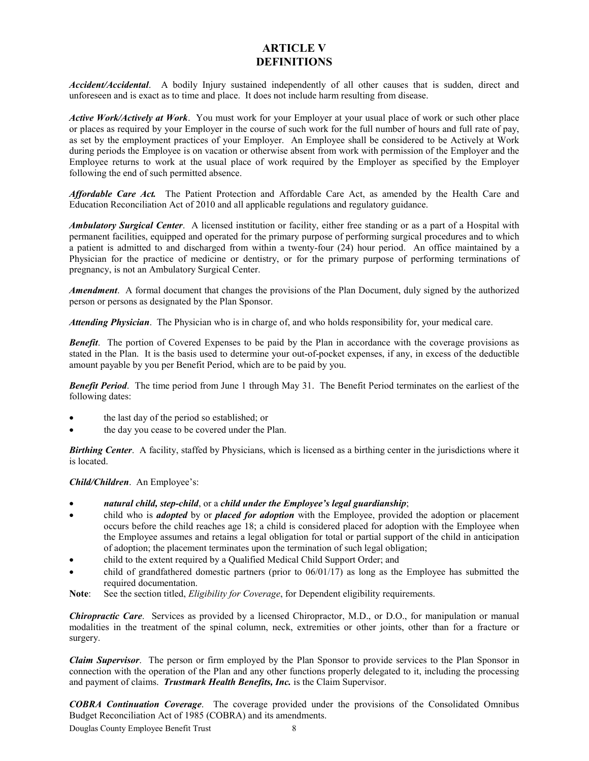### **ARTICLE V DEFINITIONS**

*Accident/Accidental*. A bodily Injury sustained independently of all other causes that is sudden, direct and unforeseen and is exact as to time and place. It does not include harm resulting from disease.

*Active Work/Actively at Work*. You must work for your Employer at your usual place of work or such other place or places as required by your Employer in the course of such work for the full number of hours and full rate of pay, as set by the employment practices of your Employer. An Employee shall be considered to be Actively at Work during periods the Employee is on vacation or otherwise absent from work with permission of the Employer and the Employee returns to work at the usual place of work required by the Employer as specified by the Employer following the end of such permitted absence.

*Affordable Care Act.* The Patient Protection and Affordable Care Act, as amended by the Health Care and Education Reconciliation Act of 2010 and all applicable regulations and regulatory guidance.

*Ambulatory Surgical Center*. A licensed institution or facility, either free standing or as a part of a Hospital with permanent facilities, equipped and operated for the primary purpose of performing surgical procedures and to which a patient is admitted to and discharged from within a twenty-four (24) hour period. An office maintained by a Physician for the practice of medicine or dentistry, or for the primary purpose of performing terminations of pregnancy, is not an Ambulatory Surgical Center.

*Amendment*. A formal document that changes the provisions of the Plan Document, duly signed by the authorized person or persons as designated by the Plan Sponsor.

*Attending Physician*. The Physician who is in charge of, and who holds responsibility for, your medical care.

*Benefit*. The portion of Covered Expenses to be paid by the Plan in accordance with the coverage provisions as stated in the Plan. It is the basis used to determine your out-of-pocket expenses, if any, in excess of the deductible amount payable by you per Benefit Period, which are to be paid by you.

*Benefit Period*. The time period from June 1 through May 31. The Benefit Period terminates on the earliest of the following dates:

- the last day of the period so established; or
- the day you cease to be covered under the Plan.

*Birthing Center*. A facility, staffed by Physicians, which is licensed as a birthing center in the jurisdictions where it is located.

*Child/Children*. An Employee's:

- *natural child, step-child*, or a *child under the Employee's legal guardianship*;
- child who is *adopted* by or *placed for adoption* with the Employee, provided the adoption or placement occurs before the child reaches age 18; a child is considered placed for adoption with the Employee when the Employee assumes and retains a legal obligation for total or partial support of the child in anticipation of adoption; the placement terminates upon the termination of such legal obligation;
- child to the extent required by a Qualified Medical Child Support Order; and
- child of grandfathered domestic partners (prior to 06/01/17) as long as the Employee has submitted the required documentation.
- **Note**: See the section titled, *Eligibility for Coverage*, for Dependent eligibility requirements.

*Chiropractic Care*. Services as provided by a licensed Chiropractor, M.D., or D.O., for manipulation or manual modalities in the treatment of the spinal column, neck, extremities or other joints, other than for a fracture or surgery.

*Claim Supervisor*. The person or firm employed by the Plan Sponsor to provide services to the Plan Sponsor in connection with the operation of the Plan and any other functions properly delegated to it, including the processing and payment of claims. *Trustmark Health Benefits, Inc.* is the Claim Supervisor.

*COBRA Continuation Coverage*. The coverage provided under the provisions of the Consolidated Omnibus Budget Reconciliation Act of 1985 (COBRA) and its amendments.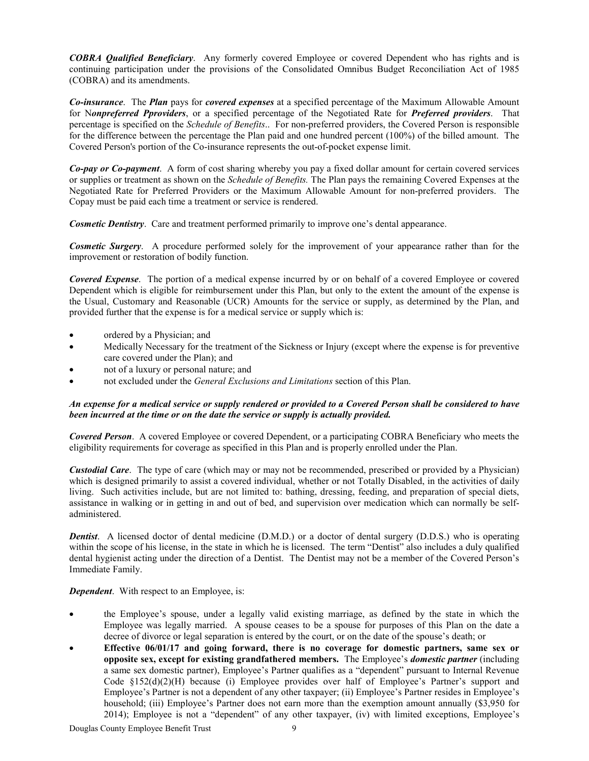*COBRA Qualified Beneficiary*. Any formerly covered Employee or covered Dependent who has rights and is continuing participation under the provisions of the Consolidated Omnibus Budget Reconciliation Act of 1985 (COBRA) and its amendments.

*Co-insurance*. The *Plan* pays for *covered expenses* at a specified percentage of the Maximum Allowable Amount for N*onpreferred Pproviders*, or a specified percentage of the Negotiated Rate for *Preferred providers*. That percentage is specified on the *Schedule of Benefits*.. For non-preferred providers, the Covered Person is responsible for the difference between the percentage the Plan paid and one hundred percent (100%) of the billed amount. The Covered Person's portion of the Co-insurance represents the out-of-pocket expense limit.

*Co-pay or Co-payment*. A form of cost sharing whereby you pay a fixed dollar amount for certain covered services or supplies or treatment as shown on the *Schedule of Benefits.* The Plan pays the remaining Covered Expenses at the Negotiated Rate for Preferred Providers or the Maximum Allowable Amount for non-preferred providers. The Copay must be paid each time a treatment or service is rendered.

*Cosmetic Dentistry*. Care and treatment performed primarily to improve one's dental appearance.

*Cosmetic Surgery*. A procedure performed solely for the improvement of your appearance rather than for the improvement or restoration of bodily function.

*Covered Expense*. The portion of a medical expense incurred by or on behalf of a covered Employee or covered Dependent which is eligible for reimbursement under this Plan, but only to the extent the amount of the expense is the Usual, Customary and Reasonable (UCR) Amounts for the service or supply, as determined by the Plan, and provided further that the expense is for a medical service or supply which is:

- ordered by a Physician; and
- Medically Necessary for the treatment of the Sickness or Injury (except where the expense is for preventive care covered under the Plan); and
- not of a luxury or personal nature; and
- not excluded under the *General Exclusions and Limitations* section of this Plan.

### *An expense for a medical service or supply rendered or provided to a Covered Person shall be considered to have been incurred at the time or on the date the service or supply is actually provided.*

*Covered Person*. A covered Employee or covered Dependent, or a participating COBRA Beneficiary who meets the eligibility requirements for coverage as specified in this Plan and is properly enrolled under the Plan.

*Custodial Care*. The type of care (which may or may not be recommended, prescribed or provided by a Physician) which is designed primarily to assist a covered individual, whether or not Totally Disabled, in the activities of daily living. Such activities include, but are not limited to: bathing, dressing, feeding, and preparation of special diets, assistance in walking or in getting in and out of bed, and supervision over medication which can normally be selfadministered.

*Dentist.* A licensed doctor of dental medicine (D.M.D.) or a doctor of dental surgery (D.D.S.) who is operating within the scope of his license, in the state in which he is licensed. The term "Dentist" also includes a duly qualified dental hygienist acting under the direction of a Dentist. The Dentist may not be a member of the Covered Person's Immediate Family.

*Dependent*. With respect to an Employee, is:

- the Employee's spouse, under a legally valid existing marriage, as defined by the state in which the Employee was legally married. A spouse ceases to be a spouse for purposes of this Plan on the date a decree of divorce or legal separation is entered by the court, or on the date of the spouse's death; or
- **Effective 06/01/17 and going forward, there is no coverage for domestic partners, same sex or opposite sex, except for existing grandfathered members.** The Employee's *domestic partner* (including a same sex domestic partner), Employee's Partner qualifies as a "dependent" pursuant to Internal Revenue Code §152(d)(2)(H) because (i) Employee provides over half of Employee's Partner's support and Employee's Partner is not a dependent of any other taxpayer; (ii) Employee's Partner resides in Employee's household; (iii) Employee's Partner does not earn more than the exemption amount annually (\$3,950 for 2014); Employee is not a "dependent" of any other taxpayer, (iv) with limited exceptions, Employee's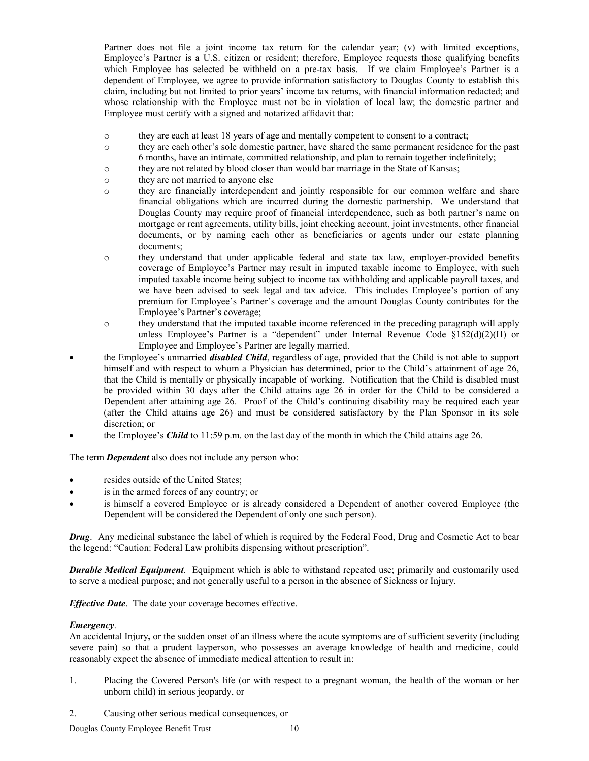Partner does not file a joint income tax return for the calendar year; (v) with limited exceptions, Employee's Partner is a U.S. citizen or resident; therefore, Employee requests those qualifying benefits which Employee has selected be withheld on a pre-tax basis. If we claim Employee's Partner is a dependent of Employee, we agree to provide information satisfactory to Douglas County to establish this claim, including but not limited to prior years' income tax returns, with financial information redacted; and whose relationship with the Employee must not be in violation of local law; the domestic partner and Employee must certify with a signed and notarized affidavit that:

- o they are each at least 18 years of age and mentally competent to consent to a contract;
- o they are each other's sole domestic partner, have shared the same permanent residence for the past 6 months, have an intimate, committed relationship, and plan to remain together indefinitely;
- o they are not related by blood closer than would bar marriage in the State of Kansas;
- o they are not married to anyone else
- o they are financially interdependent and jointly responsible for our common welfare and share financial obligations which are incurred during the domestic partnership. We understand that Douglas County may require proof of financial interdependence, such as both partner's name on mortgage or rent agreements, utility bills, joint checking account, joint investments, other financial documents, or by naming each other as beneficiaries or agents under our estate planning documents;
- o they understand that under applicable federal and state tax law, employer-provided benefits coverage of Employee's Partner may result in imputed taxable income to Employee, with such imputed taxable income being subject to income tax withholding and applicable payroll taxes, and we have been advised to seek legal and tax advice. This includes Employee's portion of any premium for Employee's Partner's coverage and the amount Douglas County contributes for the Employee's Partner's coverage;
- o they understand that the imputed taxable income referenced in the preceding paragraph will apply unless Employee's Partner is a "dependent" under Internal Revenue Code  $\S152(d)(2)(H)$  or Employee and Employee's Partner are legally married.
- the Employee's unmarried *disabled Child*, regardless of age, provided that the Child is not able to support himself and with respect to whom a Physician has determined, prior to the Child's attainment of age 26, that the Child is mentally or physically incapable of working. Notification that the Child is disabled must be provided within 30 days after the Child attains age 26 in order for the Child to be considered a Dependent after attaining age 26. Proof of the Child's continuing disability may be required each year (after the Child attains age 26) and must be considered satisfactory by the Plan Sponsor in its sole discretion; or
- the Employee's *Child* to 11:59 p.m. on the last day of the month in which the Child attains age 26.

The term *Dependent* also does not include any person who:

- resides outside of the United States;
- is in the armed forces of any country; or
- is himself a covered Employee or is already considered a Dependent of another covered Employee (the Dependent will be considered the Dependent of only one such person).

*Drug*. Any medicinal substance the label of which is required by the Federal Food, Drug and Cosmetic Act to bear the legend: "Caution: Federal Law prohibits dispensing without prescription".

*Durable Medical Equipment*. Equipment which is able to withstand repeated use; primarily and customarily used to serve a medical purpose; and not generally useful to a person in the absence of Sickness or Injury.

*Effective Date*. The date your coverage becomes effective.

### *Emergency*.

An accidental Injury**,** or the sudden onset of an illness where the acute symptoms are of sufficient severity (including severe pain) so that a prudent layperson, who possesses an average knowledge of health and medicine, could reasonably expect the absence of immediate medical attention to result in:

- 1. Placing the Covered Person's life (or with respect to a pregnant woman, the health of the woman or her unborn child) in serious jeopardy, or
- 2. Causing other serious medical consequences, or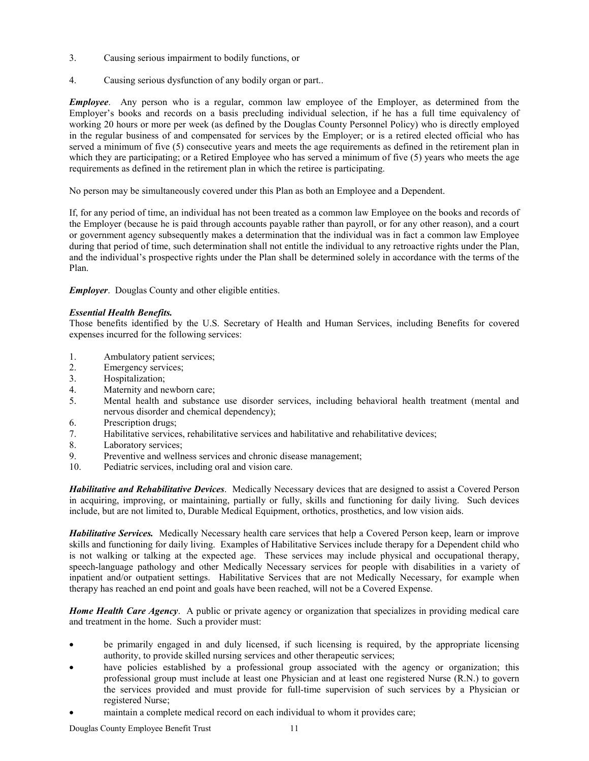- 3. Causing serious impairment to bodily functions, or
- 4. Causing serious dysfunction of any bodily organ or part..

*Employee*. Any person who is a regular, common law employee of the Employer, as determined from the Employer's books and records on a basis precluding individual selection, if he has a full time equivalency of working 20 hours or more per week (as defined by the Douglas County Personnel Policy) who is directly employed in the regular business of and compensated for services by the Employer; or is a retired elected official who has served a minimum of five (5) consecutive years and meets the age requirements as defined in the retirement plan in which they are participating; or a Retired Employee who has served a minimum of five (5) years who meets the age requirements as defined in the retirement plan in which the retiree is participating.

No person may be simultaneously covered under this Plan as both an Employee and a Dependent.

If, for any period of time, an individual has not been treated as a common law Employee on the books and records of the Employer (because he is paid through accounts payable rather than payroll, or for any other reason), and a court or government agency subsequently makes a determination that the individual was in fact a common law Employee during that period of time, such determination shall not entitle the individual to any retroactive rights under the Plan, and the individual's prospective rights under the Plan shall be determined solely in accordance with the terms of the Plan.

*Employer*. Douglas County and other eligible entities.

### *Essential Health Benefits.*

Those benefits identified by the U.S. Secretary of Health and Human Services, including Benefits for covered expenses incurred for the following services:

- 1. Ambulatory patient services;
- 2. Emergency services;
- 3. Hospitalization;
- 4. Maternity and newborn care;
- 5. Mental health and substance use disorder services, including behavioral health treatment (mental and nervous disorder and chemical dependency);
- 6. Prescription drugs;
- 7. Habilitative services, rehabilitative services and habilitative and rehabilitative devices;
- 8. Laboratory services;
- 9. Preventive and wellness services and chronic disease management;
- 10. Pediatric services, including oral and vision care.

*Habilitative and Rehabilitative Devices*. Medically Necessary devices that are designed to assist a Covered Person in acquiring, improving, or maintaining, partially or fully, skills and functioning for daily living. Such devices include, but are not limited to, Durable Medical Equipment, orthotics, prosthetics, and low vision aids.

*Habilitative Services.* Medically Necessary health care services that help a Covered Person keep, learn or improve skills and functioning for daily living. Examples of Habilitative Services include therapy for a Dependent child who is not walking or talking at the expected age. These services may include physical and occupational therapy, speech-language pathology and other Medically Necessary services for people with disabilities in a variety of inpatient and/or outpatient settings. Habilitative Services that are not Medically Necessary, for example when therapy has reached an end point and goals have been reached, will not be a Covered Expense.

*Home Health Care Agency*. A public or private agency or organization that specializes in providing medical care and treatment in the home. Such a provider must:

- be primarily engaged in and duly licensed, if such licensing is required, by the appropriate licensing authority, to provide skilled nursing services and other therapeutic services;
- have policies established by a professional group associated with the agency or organization; this professional group must include at least one Physician and at least one registered Nurse (R.N.) to govern the services provided and must provide for full-time supervision of such services by a Physician or registered Nurse;
- maintain a complete medical record on each individual to whom it provides care;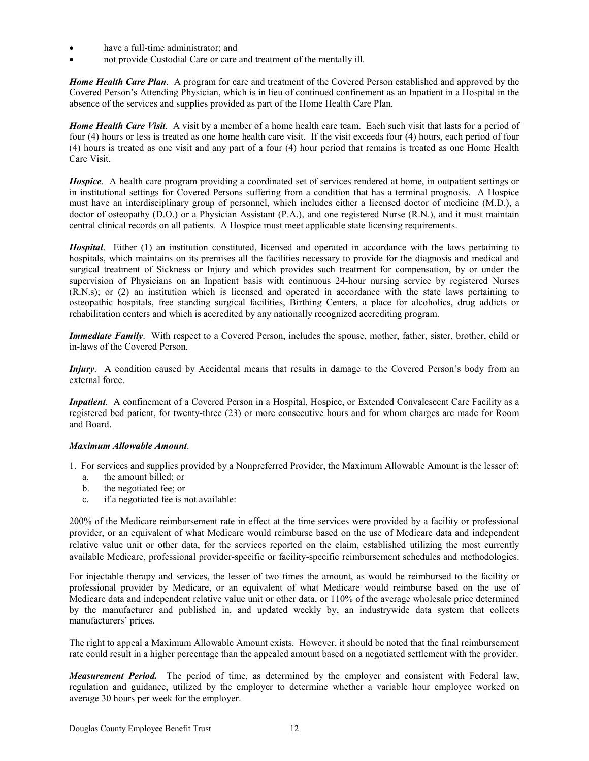- have a full-time administrator; and
- not provide Custodial Care or care and treatment of the mentally ill.

*Home Health Care Plan*. A program for care and treatment of the Covered Person established and approved by the Covered Person's Attending Physician, which is in lieu of continued confinement as an Inpatient in a Hospital in the absence of the services and supplies provided as part of the Home Health Care Plan.

*Home Health Care Visit*. A visit by a member of a home health care team. Each such visit that lasts for a period of four (4) hours or less is treated as one home health care visit. If the visit exceeds four (4) hours, each period of four (4) hours is treated as one visit and any part of a four (4) hour period that remains is treated as one Home Health Care Visit.

*Hospice*. A health care program providing a coordinated set of services rendered at home, in outpatient settings or in institutional settings for Covered Persons suffering from a condition that has a terminal prognosis. A Hospice must have an interdisciplinary group of personnel, which includes either a licensed doctor of medicine (M.D.), a doctor of osteopathy (D.O.) or a Physician Assistant (P.A.), and one registered Nurse (R.N.), and it must maintain central clinical records on all patients. A Hospice must meet applicable state licensing requirements.

*Hospital*. Either (1) an institution constituted, licensed and operated in accordance with the laws pertaining to hospitals, which maintains on its premises all the facilities necessary to provide for the diagnosis and medical and surgical treatment of Sickness or Injury and which provides such treatment for compensation, by or under the supervision of Physicians on an Inpatient basis with continuous 24-hour nursing service by registered Nurses (R.N.s); or (2) an institution which is licensed and operated in accordance with the state laws pertaining to osteopathic hospitals, free standing surgical facilities, Birthing Centers, a place for alcoholics, drug addicts or rehabilitation centers and which is accredited by any nationally recognized accrediting program.

*Immediate Family*. With respect to a Covered Person, includes the spouse, mother, father, sister, brother, child or in-laws of the Covered Person.

*Injury*. A condition caused by Accidental means that results in damage to the Covered Person's body from an external force.

*Inpatient*. A confinement of a Covered Person in a Hospital, Hospice, or Extended Convalescent Care Facility as a registered bed patient, for twenty-three (23) or more consecutive hours and for whom charges are made for Room and Board.

### *Maximum Allowable Amount*.

- 1. For services and supplies provided by a Nonpreferred Provider, the Maximum Allowable Amount is the lesser of:
	- a. the amount billed; or
	- b. the negotiated fee; or
	- c. if a negotiated fee is not available:

200% of the Medicare reimbursement rate in effect at the time services were provided by a facility or professional provider, or an equivalent of what Medicare would reimburse based on the use of Medicare data and independent relative value unit or other data, for the services reported on the claim, established utilizing the most currently available Medicare, professional provider-specific or facility-specific reimbursement schedules and methodologies.

For injectable therapy and services, the lesser of two times the amount, as would be reimbursed to the facility or professional provider by Medicare, or an equivalent of what Medicare would reimburse based on the use of Medicare data and independent relative value unit or other data, or 110% of the average wholesale price determined by the manufacturer and published in, and updated weekly by, an industrywide data system that collects manufacturers' prices.

The right to appeal a Maximum Allowable Amount exists. However, it should be noted that the final reimbursement rate could result in a higher percentage than the appealed amount based on a negotiated settlement with the provider.

*Measurement Period.* The period of time, as determined by the employer and consistent with Federal law, regulation and guidance, utilized by the employer to determine whether a variable hour employee worked on average 30 hours per week for the employer.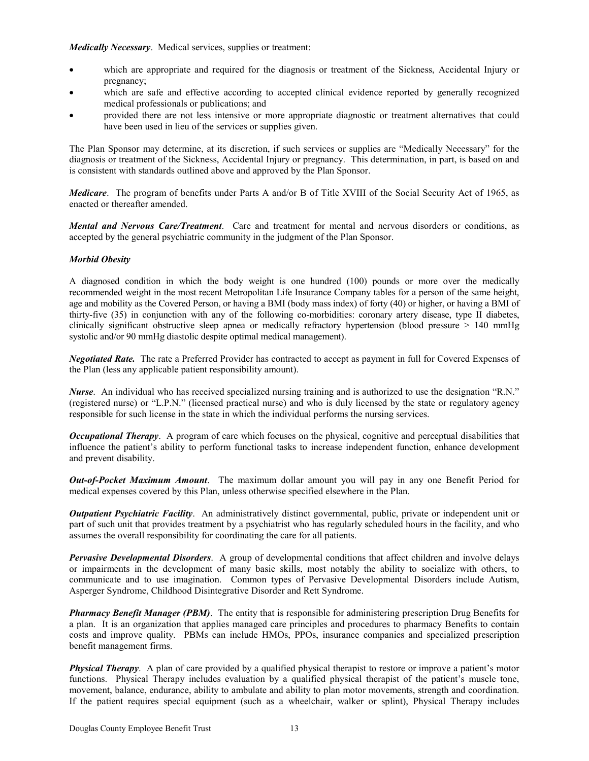*Medically Necessary*. Medical services, supplies or treatment:

- which are appropriate and required for the diagnosis or treatment of the Sickness, Accidental Injury or pregnancy;
- which are safe and effective according to accepted clinical evidence reported by generally recognized medical professionals or publications; and
- provided there are not less intensive or more appropriate diagnostic or treatment alternatives that could have been used in lieu of the services or supplies given.

The Plan Sponsor may determine, at its discretion, if such services or supplies are "Medically Necessary" for the diagnosis or treatment of the Sickness, Accidental Injury or pregnancy. This determination, in part, is based on and is consistent with standards outlined above and approved by the Plan Sponsor.

*Medicare*. The program of benefits under Parts A and/or B of Title XVIII of the Social Security Act of 1965, as enacted or thereafter amended.

*Mental and Nervous Care/Treatment*. Care and treatment for mental and nervous disorders or conditions, as accepted by the general psychiatric community in the judgment of the Plan Sponsor.

### *Morbid Obesity*

A diagnosed condition in which the body weight is one hundred (100) pounds or more over the medically recommended weight in the most recent Metropolitan Life Insurance Company tables for a person of the same height, age and mobility as the Covered Person, or having a BMI (body mass index) of forty (40) or higher, or having a BMI of thirty-five (35) in conjunction with any of the following co-morbidities: coronary artery disease, type II diabetes, clinically significant obstructive sleep apnea or medically refractory hypertension (blood pressure > 140 mmHg systolic and/or 90 mmHg diastolic despite optimal medical management).

*Negotiated Rate.* The rate a Preferred Provider has contracted to accept as payment in full for Covered Expenses of the Plan (less any applicable patient responsibility amount).

*Nurse*. An individual who has received specialized nursing training and is authorized to use the designation "R.N." (registered nurse) or "L.P.N." (licensed practical nurse) and who is duly licensed by the state or regulatory agency responsible for such license in the state in which the individual performs the nursing services.

*Occupational Therapy*. A program of care which focuses on the physical, cognitive and perceptual disabilities that influence the patient's ability to perform functional tasks to increase independent function, enhance development and prevent disability.

*Out-of-Pocket Maximum Amount*. The maximum dollar amount you will pay in any one Benefit Period for medical expenses covered by this Plan, unless otherwise specified elsewhere in the Plan.

*Outpatient Psychiatric Facility*. An administratively distinct governmental, public, private or independent unit or part of such unit that provides treatment by a psychiatrist who has regularly scheduled hours in the facility, and who assumes the overall responsibility for coordinating the care for all patients.

*Pervasive Developmental Disorders*. A group of developmental conditions that affect children and involve delays or impairments in the development of many basic skills, most notably the ability to socialize with others, to communicate and to use imagination. Common types of Pervasive Developmental Disorders include Autism, Asperger Syndrome, Childhood Disintegrative Disorder and Rett Syndrome.

*Pharmacy Benefit Manager (PBM)*. The entity that is responsible for administering prescription Drug Benefits for a plan. It is an organization that applies managed care principles and procedures to pharmacy Benefits to contain costs and improve quality. PBMs can include HMOs, PPOs, insurance companies and specialized prescription benefit management firms.

*Physical Therapy*. A plan of care provided by a qualified physical therapist to restore or improve a patient's motor functions. Physical Therapy includes evaluation by a qualified physical therapist of the patient's muscle tone, movement, balance, endurance, ability to ambulate and ability to plan motor movements, strength and coordination. If the patient requires special equipment (such as a wheelchair, walker or splint), Physical Therapy includes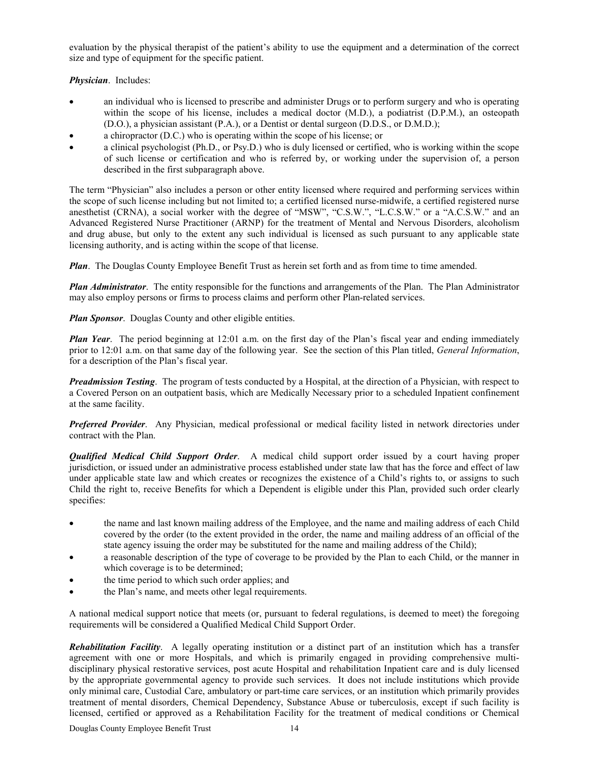evaluation by the physical therapist of the patient's ability to use the equipment and a determination of the correct size and type of equipment for the specific patient.

*Physician*. Includes:

- an individual who is licensed to prescribe and administer Drugs or to perform surgery and who is operating within the scope of his license, includes a medical doctor (M.D.), a podiatrist (D.P.M.), an osteopath (D.O.), a physician assistant (P.A.), or a Dentist or dental surgeon (D.D.S., or D.M.D.);
- a chiropractor (D.C.) who is operating within the scope of his license; or
- a clinical psychologist (Ph.D., or Psy.D.) who is duly licensed or certified, who is working within the scope of such license or certification and who is referred by, or working under the supervision of, a person described in the first subparagraph above.

The term "Physician" also includes a person or other entity licensed where required and performing services within the scope of such license including but not limited to; a certified licensed nurse-midwife, a certified registered nurse anesthetist (CRNA), a social worker with the degree of "MSW", "C.S.W.", "L.C.S.W." or a "A.C.S.W." and an Advanced Registered Nurse Practitioner (ARNP) for the treatment of Mental and Nervous Disorders, alcoholism and drug abuse, but only to the extent any such individual is licensed as such pursuant to any applicable state licensing authority, and is acting within the scope of that license.

*Plan*. The Douglas County Employee Benefit Trust as herein set forth and as from time to time amended.

*Plan Administrator*. The entity responsible for the functions and arrangements of the Plan. The Plan Administrator may also employ persons or firms to process claims and perform other Plan-related services.

*Plan Sponsor.* Douglas County and other eligible entities.

*Plan Year*. The period beginning at 12:01 a.m. on the first day of the Plan's fiscal year and ending immediately prior to 12:01 a.m. on that same day of the following year. See the section of this Plan titled, *General Information*, for a description of the Plan's fiscal year.

*Preadmission Testing*. The program of tests conducted by a Hospital, at the direction of a Physician, with respect to a Covered Person on an outpatient basis, which are Medically Necessary prior to a scheduled Inpatient confinement at the same facility.

*Preferred Provider*. Any Physician, medical professional or medical facility listed in network directories under contract with the Plan.

*Qualified Medical Child Support Order*. A medical child support order issued by a court having proper jurisdiction, or issued under an administrative process established under state law that has the force and effect of law under applicable state law and which creates or recognizes the existence of a Child's rights to, or assigns to such Child the right to, receive Benefits for which a Dependent is eligible under this Plan, provided such order clearly specifies:

- the name and last known mailing address of the Employee, and the name and mailing address of each Child covered by the order (to the extent provided in the order, the name and mailing address of an official of the state agency issuing the order may be substituted for the name and mailing address of the Child);
- a reasonable description of the type of coverage to be provided by the Plan to each Child, or the manner in which coverage is to be determined;
- the time period to which such order applies; and
- the Plan's name, and meets other legal requirements.

A national medical support notice that meets (or, pursuant to federal regulations, is deemed to meet) the foregoing requirements will be considered a Qualified Medical Child Support Order.

*Rehabilitation Facility*. A legally operating institution or a distinct part of an institution which has a transfer agreement with one or more Hospitals, and which is primarily engaged in providing comprehensive multidisciplinary physical restorative services, post acute Hospital and rehabilitation Inpatient care and is duly licensed by the appropriate governmental agency to provide such services. It does not include institutions which provide only minimal care, Custodial Care, ambulatory or part-time care services, or an institution which primarily provides treatment of mental disorders, Chemical Dependency, Substance Abuse or tuberculosis, except if such facility is licensed, certified or approved as a Rehabilitation Facility for the treatment of medical conditions or Chemical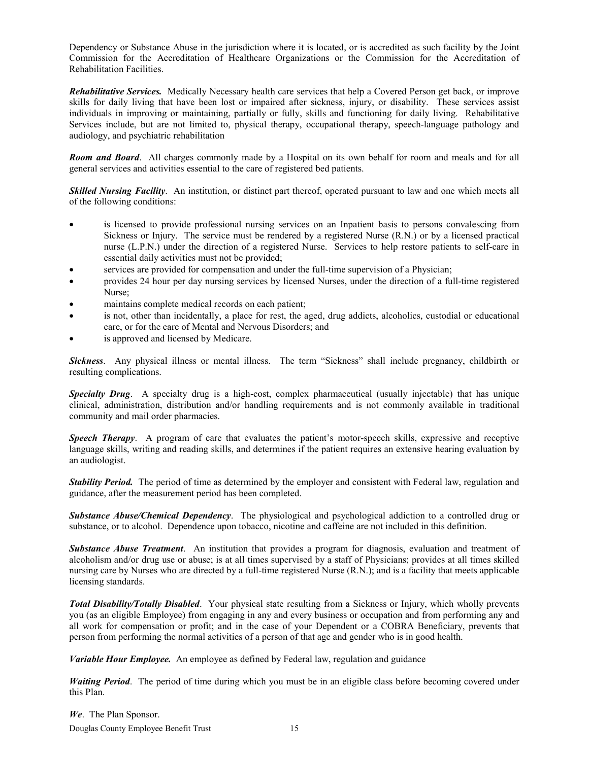Dependency or Substance Abuse in the jurisdiction where it is located, or is accredited as such facility by the Joint Commission for the Accreditation of Healthcare Organizations or the Commission for the Accreditation of Rehabilitation Facilities.

*Rehabilitative Services.* Medically Necessary health care services that help a Covered Person get back, or improve skills for daily living that have been lost or impaired after sickness, injury, or disability. These services assist individuals in improving or maintaining, partially or fully, skills and functioning for daily living. Rehabilitative Services include, but are not limited to, physical therapy, occupational therapy, speech-language pathology and audiology, and psychiatric rehabilitation

*Room and Board*. All charges commonly made by a Hospital on its own behalf for room and meals and for all general services and activities essential to the care of registered bed patients.

*Skilled Nursing Facility*. An institution, or distinct part thereof, operated pursuant to law and one which meets all of the following conditions:

- is licensed to provide professional nursing services on an Inpatient basis to persons convalescing from Sickness or Injury. The service must be rendered by a registered Nurse (R.N.) or by a licensed practical nurse (L.P.N.) under the direction of a registered Nurse. Services to help restore patients to self-care in essential daily activities must not be provided;
- services are provided for compensation and under the full-time supervision of a Physician;
- provides 24 hour per day nursing services by licensed Nurses, under the direction of a full-time registered Nurse;
- maintains complete medical records on each patient;
- is not, other than incidentally, a place for rest, the aged, drug addicts, alcoholics, custodial or educational care, or for the care of Mental and Nervous Disorders; and
- is approved and licensed by Medicare.

*Sickness*. Any physical illness or mental illness. The term "Sickness" shall include pregnancy, childbirth or resulting complications.

*Specialty Drug*. A specialty drug is a high-cost, complex pharmaceutical (usually injectable) that has unique clinical, administration, distribution and/or handling requirements and is not commonly available in traditional community and mail order pharmacies.

*Speech Therapy*. A program of care that evaluates the patient's motor-speech skills, expressive and receptive language skills, writing and reading skills, and determines if the patient requires an extensive hearing evaluation by an audiologist.

*Stability Period.* The period of time as determined by the employer and consistent with Federal law, regulation and guidance, after the measurement period has been completed.

*Substance Abuse/Chemical Dependency*. The physiological and psychological addiction to a controlled drug or substance, or to alcohol. Dependence upon tobacco, nicotine and caffeine are not included in this definition.

*Substance Abuse Treatment*. An institution that provides a program for diagnosis, evaluation and treatment of alcoholism and/or drug use or abuse; is at all times supervised by a staff of Physicians; provides at all times skilled nursing care by Nurses who are directed by a full-time registered Nurse (R.N.); and is a facility that meets applicable licensing standards.

*Total Disability/Totally Disabled*. Your physical state resulting from a Sickness or Injury, which wholly prevents you (as an eligible Employee) from engaging in any and every business or occupation and from performing any and all work for compensation or profit; and in the case of your Dependent or a COBRA Beneficiary, prevents that person from performing the normal activities of a person of that age and gender who is in good health.

*Variable Hour Employee.* An employee as defined by Federal law, regulation and guidance

*Waiting Period*. The period of time during which you must be in an eligible class before becoming covered under this Plan.

Douglas County Employee Benefit Trust 15 *We*. The Plan Sponsor.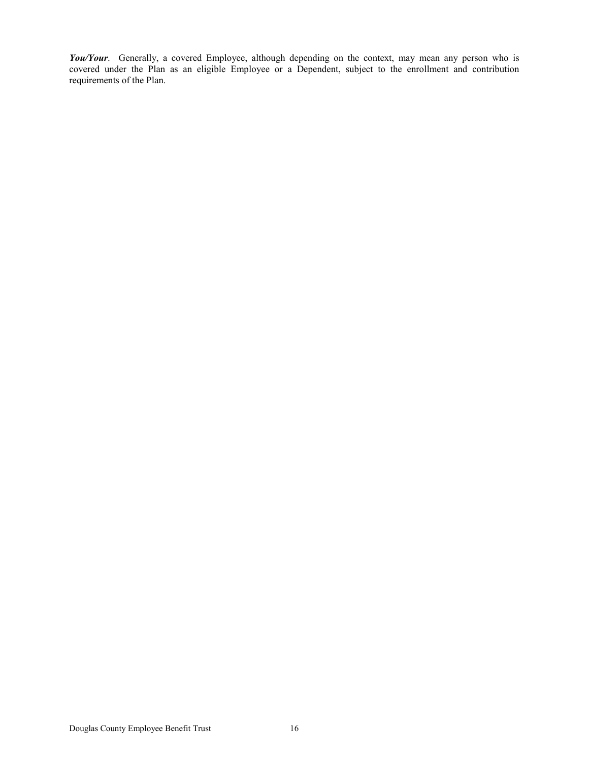*You/Your*. Generally, a covered Employee, although depending on the context, may mean any person who is covered under the Plan as an eligible Employee or a Dependent, subject to the enrollment and contribution requirements of the Plan.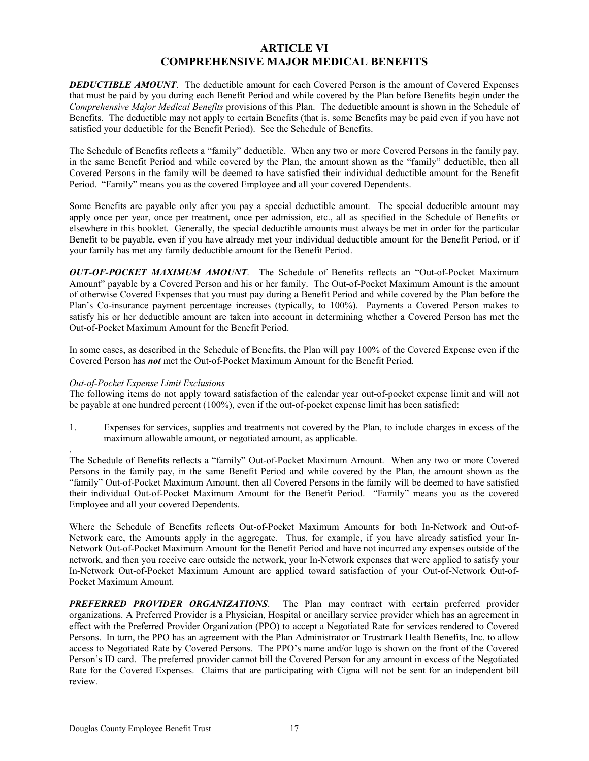### **ARTICLE VI COMPREHENSIVE MAJOR MEDICAL BENEFITS**

**DEDUCTIBLE AMOUNT**. The deductible amount for each Covered Person is the amount of Covered Expenses that must be paid by you during each Benefit Period and while covered by the Plan before Benefits begin under the *Comprehensive Major Medical Benefits* provisions of this Plan. The deductible amount is shown in the Schedule of Benefits. The deductible may not apply to certain Benefits (that is, some Benefits may be paid even if you have not satisfied your deductible for the Benefit Period). See the Schedule of Benefits.

The Schedule of Benefits reflects a "family" deductible. When any two or more Covered Persons in the family pay, in the same Benefit Period and while covered by the Plan, the amount shown as the "family" deductible, then all Covered Persons in the family will be deemed to have satisfied their individual deductible amount for the Benefit Period. "Family" means you as the covered Employee and all your covered Dependents.

Some Benefits are payable only after you pay a special deductible amount. The special deductible amount may apply once per year, once per treatment, once per admission, etc., all as specified in the Schedule of Benefits or elsewhere in this booklet. Generally, the special deductible amounts must always be met in order for the particular Benefit to be payable, even if you have already met your individual deductible amount for the Benefit Period, or if your family has met any family deductible amount for the Benefit Period.

*OUT-OF-POCKET MAXIMUM AMOUNT*. The Schedule of Benefits reflects an "Out-of-Pocket Maximum Amount" payable by a Covered Person and his or her family. The Out-of-Pocket Maximum Amount is the amount of otherwise Covered Expenses that you must pay during a Benefit Period and while covered by the Plan before the Plan's Co-insurance payment percentage increases (typically, to 100%). Payments a Covered Person makes to satisfy his or her deductible amount are taken into account in determining whether a Covered Person has met the Out-of-Pocket Maximum Amount for the Benefit Period.

In some cases, as described in the Schedule of Benefits, the Plan will pay 100% of the Covered Expense even if the Covered Person has *not* met the Out-of-Pocket Maximum Amount for the Benefit Period.

### *Out-of-Pocket Expense Limit Exclusions*

.

The following items do not apply toward satisfaction of the calendar year out-of-pocket expense limit and will not be payable at one hundred percent (100%), even if the out-of-pocket expense limit has been satisfied:

1. Expenses for services, supplies and treatments not covered by the Plan, to include charges in excess of the maximum allowable amount, or negotiated amount, as applicable.

The Schedule of Benefits reflects a "family" Out-of-Pocket Maximum Amount. When any two or more Covered Persons in the family pay, in the same Benefit Period and while covered by the Plan, the amount shown as the "family" Out-of-Pocket Maximum Amount, then all Covered Persons in the family will be deemed to have satisfied their individual Out-of-Pocket Maximum Amount for the Benefit Period. "Family" means you as the covered Employee and all your covered Dependents.

Where the Schedule of Benefits reflects Out-of-Pocket Maximum Amounts for both In-Network and Out-of-Network care, the Amounts apply in the aggregate. Thus, for example, if you have already satisfied your In-Network Out-of-Pocket Maximum Amount for the Benefit Period and have not incurred any expenses outside of the network, and then you receive care outside the network, your In-Network expenses that were applied to satisfy your In-Network Out-of-Pocket Maximum Amount are applied toward satisfaction of your Out-of-Network Out-of-Pocket Maximum Amount.

*PREFERRED PROVIDER ORGANIZATIONS*. The Plan may contract with certain preferred provider organizations. A Preferred Provider is a Physician, Hospital or ancillary service provider which has an agreement in effect with the Preferred Provider Organization (PPO) to accept a Negotiated Rate for services rendered to Covered Persons. In turn, the PPO has an agreement with the Plan Administrator or Trustmark Health Benefits, Inc. to allow access to Negotiated Rate by Covered Persons. The PPO's name and/or logo is shown on the front of the Covered Person's ID card. The preferred provider cannot bill the Covered Person for any amount in excess of the Negotiated Rate for the Covered Expenses. Claims that are participating with Cigna will not be sent for an independent bill review.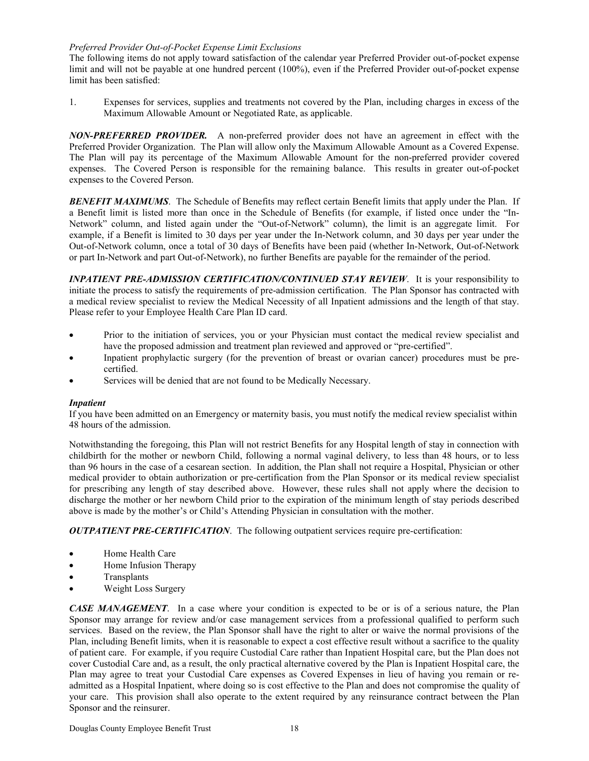### *Preferred Provider Out-of-Pocket Expense Limit Exclusions*

The following items do not apply toward satisfaction of the calendar year Preferred Provider out-of-pocket expense limit and will not be payable at one hundred percent (100%), even if the Preferred Provider out-of-pocket expense limit has been satisfied:

1. Expenses for services, supplies and treatments not covered by the Plan, including charges in excess of the Maximum Allowable Amount or Negotiated Rate, as applicable.

*NON-PREFERRED PROVIDER.* A non-preferred provider does not have an agreement in effect with the Preferred Provider Organization. The Plan will allow only the Maximum Allowable Amount as a Covered Expense. The Plan will pay its percentage of the Maximum Allowable Amount for the non-preferred provider covered expenses. The Covered Person is responsible for the remaining balance. This results in greater out-of-pocket expenses to the Covered Person.

**BENEFIT MAXIMUMS**. The Schedule of Benefits may reflect certain Benefit limits that apply under the Plan. If a Benefit limit is listed more than once in the Schedule of Benefits (for example, if listed once under the "In-Network" column, and listed again under the "Out-of-Network" column), the limit is an aggregate limit. For example, if a Benefit is limited to 30 days per year under the In-Network column, and 30 days per year under the Out-of-Network column, once a total of 30 days of Benefits have been paid (whether In-Network, Out-of-Network or part In-Network and part Out-of-Network), no further Benefits are payable for the remainder of the period.

*INPATIENT PRE-ADMISSION CERTIFICATION/CONTINUED STAY REVIEW*. It is your responsibility to initiate the process to satisfy the requirements of pre-admission certification. The Plan Sponsor has contracted with a medical review specialist to review the Medical Necessity of all Inpatient admissions and the length of that stay. Please refer to your Employee Health Care Plan ID card.

- Prior to the initiation of services, you or your Physician must contact the medical review specialist and have the proposed admission and treatment plan reviewed and approved or "pre-certified".
- Inpatient prophylactic surgery (for the prevention of breast or ovarian cancer) procedures must be precertified.
- Services will be denied that are not found to be Medically Necessary.

### *Inpatient*

If you have been admitted on an Emergency or maternity basis, you must notify the medical review specialist within 48 hours of the admission.

Notwithstanding the foregoing, this Plan will not restrict Benefits for any Hospital length of stay in connection with childbirth for the mother or newborn Child, following a normal vaginal delivery, to less than 48 hours, or to less than 96 hours in the case of a cesarean section. In addition, the Plan shall not require a Hospital, Physician or other medical provider to obtain authorization or pre-certification from the Plan Sponsor or its medical review specialist for prescribing any length of stay described above. However, these rules shall not apply where the decision to discharge the mother or her newborn Child prior to the expiration of the minimum length of stay periods described above is made by the mother's or Child's Attending Physician in consultation with the mother.

*OUTPATIENT PRE-CERTIFICATION*.The following outpatient services require pre-certification:

- Home Health Care
- Home Infusion Therapy
- **Transplants**
- Weight Loss Surgery

*CASE MANAGEMENT*. In a case where your condition is expected to be or is of a serious nature, the Plan Sponsor may arrange for review and/or case management services from a professional qualified to perform such services. Based on the review, the Plan Sponsor shall have the right to alter or waive the normal provisions of the Plan, including Benefit limits, when it is reasonable to expect a cost effective result without a sacrifice to the quality of patient care. For example, if you require Custodial Care rather than Inpatient Hospital care, but the Plan does not cover Custodial Care and, as a result, the only practical alternative covered by the Plan is Inpatient Hospital care, the Plan may agree to treat your Custodial Care expenses as Covered Expenses in lieu of having you remain or readmitted as a Hospital Inpatient, where doing so is cost effective to the Plan and does not compromise the quality of your care. This provision shall also operate to the extent required by any reinsurance contract between the Plan Sponsor and the reinsurer.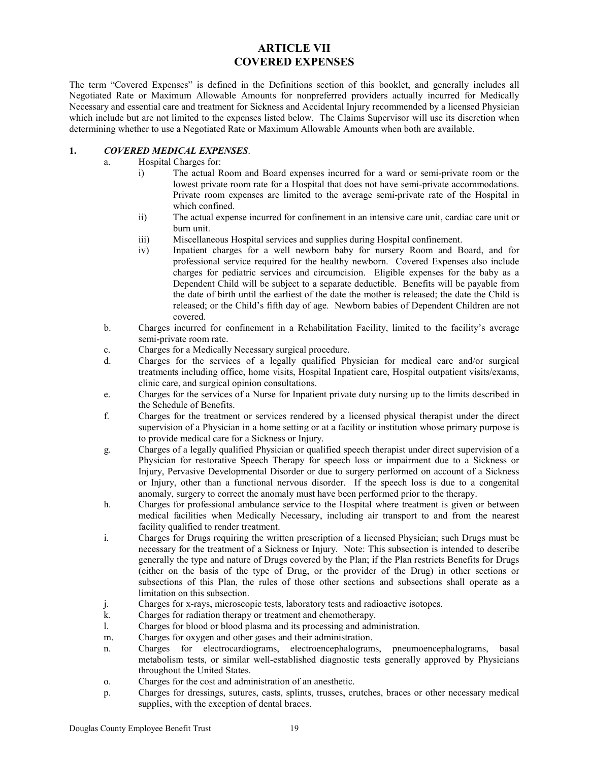### **ARTICLE VII COVERED EXPENSES**

The term "Covered Expenses" is defined in the Definitions section of this booklet, and generally includes all Negotiated Rate or Maximum Allowable Amounts for nonpreferred providers actually incurred for Medically Necessary and essential care and treatment for Sickness and Accidental Injury recommended by a licensed Physician which include but are not limited to the expenses listed below. The Claims Supervisor will use its discretion when determining whether to use a Negotiated Rate or Maximum Allowable Amounts when both are available.

### **1.** *COVERED MEDICAL EXPENSES*.

- a. Hospital Charges for:
	- i) The actual Room and Board expenses incurred for a ward or semi-private room or the lowest private room rate for a Hospital that does not have semi-private accommodations. Private room expenses are limited to the average semi-private rate of the Hospital in which confined.
	- ii) The actual expense incurred for confinement in an intensive care unit, cardiac care unit or burn unit.
	- iii) Miscellaneous Hospital services and supplies during Hospital confinement.
	- iv) Inpatient charges for a well newborn baby for nursery Room and Board, and for professional service required for the healthy newborn. Covered Expenses also include charges for pediatric services and circumcision. Eligible expenses for the baby as a Dependent Child will be subject to a separate deductible. Benefits will be payable from the date of birth until the earliest of the date the mother is released; the date the Child is released; or the Child's fifth day of age. Newborn babies of Dependent Children are not covered.
- b. Charges incurred for confinement in a Rehabilitation Facility, limited to the facility's average semi-private room rate.
- c. Charges for a Medically Necessary surgical procedure.
- d. Charges for the services of a legally qualified Physician for medical care and/or surgical treatments including office, home visits, Hospital Inpatient care, Hospital outpatient visits/exams, clinic care, and surgical opinion consultations.
- e. Charges for the services of a Nurse for Inpatient private duty nursing up to the limits described in the Schedule of Benefits.
- f. Charges for the treatment or services rendered by a licensed physical therapist under the direct supervision of a Physician in a home setting or at a facility or institution whose primary purpose is to provide medical care for a Sickness or Injury.
- g. Charges of a legally qualified Physician or qualified speech therapist under direct supervision of a Physician for restorative Speech Therapy for speech loss or impairment due to a Sickness or Injury, Pervasive Developmental Disorder or due to surgery performed on account of a Sickness or Injury, other than a functional nervous disorder. If the speech loss is due to a congenital anomaly, surgery to correct the anomaly must have been performed prior to the therapy.
- h. Charges for professional ambulance service to the Hospital where treatment is given or between medical facilities when Medically Necessary, including air transport to and from the nearest facility qualified to render treatment.
- i. Charges for Drugs requiring the written prescription of a licensed Physician; such Drugs must be necessary for the treatment of a Sickness or Injury. Note: This subsection is intended to describe generally the type and nature of Drugs covered by the Plan; if the Plan restricts Benefits for Drugs (either on the basis of the type of Drug, or the provider of the Drug) in other sections or subsections of this Plan, the rules of those other sections and subsections shall operate as a limitation on this subsection.
- j. Charges for x-rays, microscopic tests, laboratory tests and radioactive isotopes.
- k. Charges for radiation therapy or treatment and chemotherapy.
- l. Charges for blood or blood plasma and its processing and administration.
- m. Charges for oxygen and other gases and their administration.
- n. Charges for electrocardiograms, electroencephalograms, pneumoencephalograms, basal metabolism tests, or similar well-established diagnostic tests generally approved by Physicians throughout the United States.
- o. Charges for the cost and administration of an anesthetic.
- p. Charges for dressings, sutures, casts, splints, trusses, crutches, braces or other necessary medical supplies, with the exception of dental braces.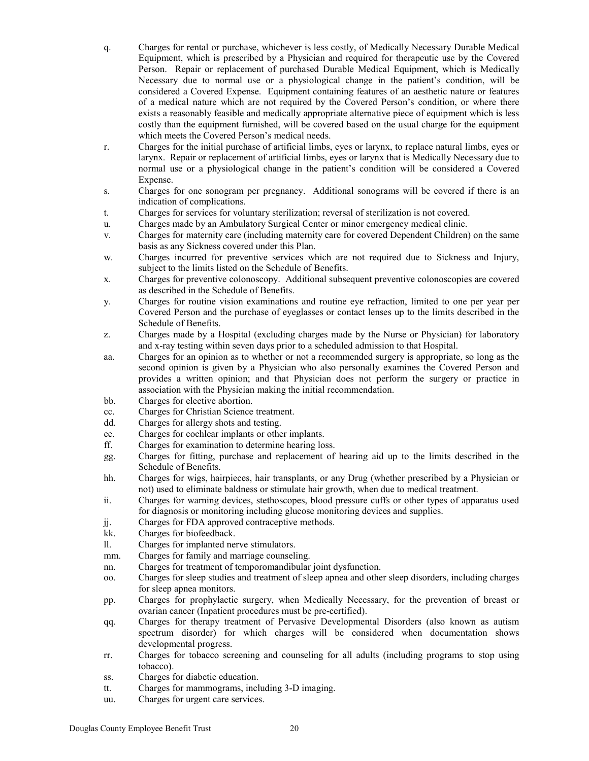- q. Charges for rental or purchase, whichever is less costly, of Medically Necessary Durable Medical Equipment, which is prescribed by a Physician and required for therapeutic use by the Covered Person. Repair or replacement of purchased Durable Medical Equipment, which is Medically Necessary due to normal use or a physiological change in the patient's condition, will be considered a Covered Expense. Equipment containing features of an aesthetic nature or features of a medical nature which are not required by the Covered Person's condition, or where there exists a reasonably feasible and medically appropriate alternative piece of equipment which is less costly than the equipment furnished, will be covered based on the usual charge for the equipment which meets the Covered Person's medical needs.
- r. Charges for the initial purchase of artificial limbs, eyes or larynx, to replace natural limbs, eyes or larynx. Repair or replacement of artificial limbs, eyes or larynx that is Medically Necessary due to normal use or a physiological change in the patient's condition will be considered a Covered Expense.
- s. Charges for one sonogram per pregnancy. Additional sonograms will be covered if there is an indication of complications.
- t. Charges for services for voluntary sterilization; reversal of sterilization is not covered.
- u. Charges made by an Ambulatory Surgical Center or minor emergency medical clinic.
- v. Charges for maternity care (including maternity care for covered Dependent Children) on the same basis as any Sickness covered under this Plan.
- w. Charges incurred for preventive services which are not required due to Sickness and Injury, subject to the limits listed on the Schedule of Benefits.
- x. Charges for preventive colonoscopy. Additional subsequent preventive colonoscopies are covered as described in the Schedule of Benefits.
- y. Charges for routine vision examinations and routine eye refraction, limited to one per year per Covered Person and the purchase of eyeglasses or contact lenses up to the limits described in the Schedule of Benefits.
- z. Charges made by a Hospital (excluding charges made by the Nurse or Physician) for laboratory and x-ray testing within seven days prior to a scheduled admission to that Hospital.
- aa. Charges for an opinion as to whether or not a recommended surgery is appropriate, so long as the second opinion is given by a Physician who also personally examines the Covered Person and provides a written opinion; and that Physician does not perform the surgery or practice in association with the Physician making the initial recommendation.
- bb. Charges for elective abortion.
- cc. Charges for Christian Science treatment.
- dd. Charges for allergy shots and testing.
- ee. Charges for cochlear implants or other implants.
- ff. Charges for examination to determine hearing loss.
- gg. Charges for fitting, purchase and replacement of hearing aid up to the limits described in the Schedule of Benefits.
- hh. Charges for wigs, hairpieces, hair transplants, or any Drug (whether prescribed by a Physician or not) used to eliminate baldness or stimulate hair growth, when due to medical treatment.
- ii. Charges for warning devices, stethoscopes, blood pressure cuffs or other types of apparatus used for diagnosis or monitoring including glucose monitoring devices and supplies.
- jj. Charges for FDA approved contraceptive methods.
- kk. Charges for biofeedback.
- ll. Charges for implanted nerve stimulators.
- mm. Charges for family and marriage counseling.
- nn. Charges for treatment of temporomandibular joint dysfunction.
- oo. Charges for sleep studies and treatment of sleep apnea and other sleep disorders, including charges for sleep apnea monitors.
- pp. Charges for prophylactic surgery, when Medically Necessary, for the prevention of breast or ovarian cancer (Inpatient procedures must be pre-certified).
- qq. Charges for therapy treatment of Pervasive Developmental Disorders (also known as autism spectrum disorder) for which charges will be considered when documentation shows developmental progress.
- rr. Charges for tobacco screening and counseling for all adults (including programs to stop using tobacco).
- ss. Charges for diabetic education.
- tt. Charges for mammograms, including 3-D imaging.
- uu. Charges for urgent care services.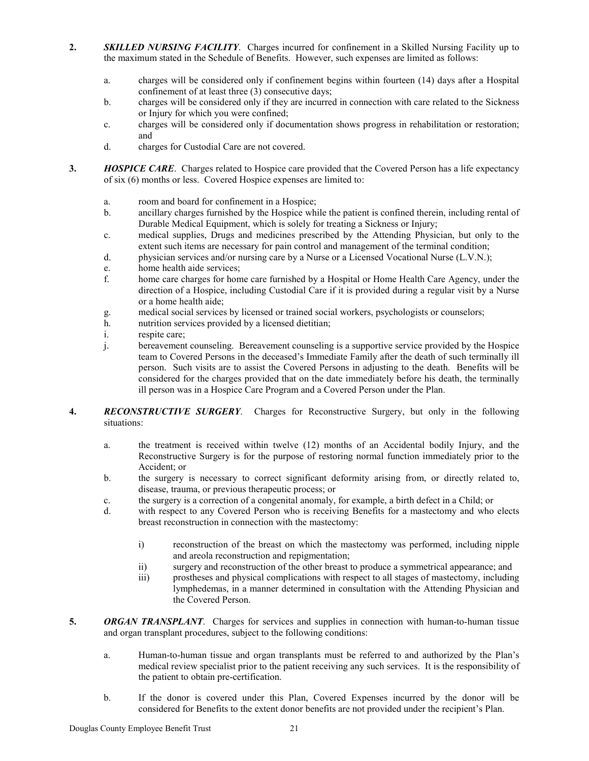- **2.** *SKILLED NURSING FACILITY*. Charges incurred for confinement in a Skilled Nursing Facility up to the maximum stated in the Schedule of Benefits. However, such expenses are limited as follows:
	- a. charges will be considered only if confinement begins within fourteen (14) days after a Hospital confinement of at least three (3) consecutive days;
	- b. charges will be considered only if they are incurred in connection with care related to the Sickness or Injury for which you were confined;
	- c. charges will be considered only if documentation shows progress in rehabilitation or restoration; and
	- d. charges for Custodial Care are not covered.
- **3.** *HOSPICE CARE*. Charges related to Hospice care provided that the Covered Person has a life expectancy of six (6) months or less. Covered Hospice expenses are limited to:
	- a. room and board for confinement in a Hospice;
	- b. ancillary charges furnished by the Hospice while the patient is confined therein, including rental of Durable Medical Equipment, which is solely for treating a Sickness or Injury;
	- c. medical supplies, Drugs and medicines prescribed by the Attending Physician, but only to the extent such items are necessary for pain control and management of the terminal condition;
	- d. physician services and/or nursing care by a Nurse or a Licensed Vocational Nurse (L.V.N.);
	- e. home health aide services;
	- f. home care charges for home care furnished by a Hospital or Home Health Care Agency, under the direction of a Hospice, including Custodial Care if it is provided during a regular visit by a Nurse or a home health aide;
	- g. medical social services by licensed or trained social workers, psychologists or counselors;
	- h. nutrition services provided by a licensed dietitian;
	- i. respite care;
	- j. bereavement counseling. Bereavement counseling is a supportive service provided by the Hospice team to Covered Persons in the deceased's Immediate Family after the death of such terminally ill person. Such visits are to assist the Covered Persons in adjusting to the death. Benefits will be considered for the charges provided that on the date immediately before his death, the terminally ill person was in a Hospice Care Program and a Covered Person under the Plan.
- **4.** *RECONSTRUCTIVE SURGERY*. Charges for Reconstructive Surgery, but only in the following situations:
	- a. the treatment is received within twelve (12) months of an Accidental bodily Injury, and the Reconstructive Surgery is for the purpose of restoring normal function immediately prior to the Accident; or
	- b. the surgery is necessary to correct significant deformity arising from, or directly related to, disease, trauma, or previous therapeutic process; or
	- c. the surgery is a correction of a congenital anomaly, for example, a birth defect in a Child; or
	- d. with respect to any Covered Person who is receiving Benefits for a mastectomy and who elects breast reconstruction in connection with the mastectomy:
		- i) reconstruction of the breast on which the mastectomy was performed, including nipple and areola reconstruction and repigmentation;
		- ii) surgery and reconstruction of the other breast to produce a symmetrical appearance; and
		- iii) prostheses and physical complications with respect to all stages of mastectomy, including lymphedemas, in a manner determined in consultation with the Attending Physician and the Covered Person.
- **5.** *ORGAN TRANSPLANT*. Charges for services and supplies in connection with human-to-human tissue and organ transplant procedures, subject to the following conditions:
	- a. Human-to-human tissue and organ transplants must be referred to and authorized by the Plan's medical review specialist prior to the patient receiving any such services. It is the responsibility of the patient to obtain pre-certification.
	- b. If the donor is covered under this Plan, Covered Expenses incurred by the donor will be considered for Benefits to the extent donor benefits are not provided under the recipient's Plan.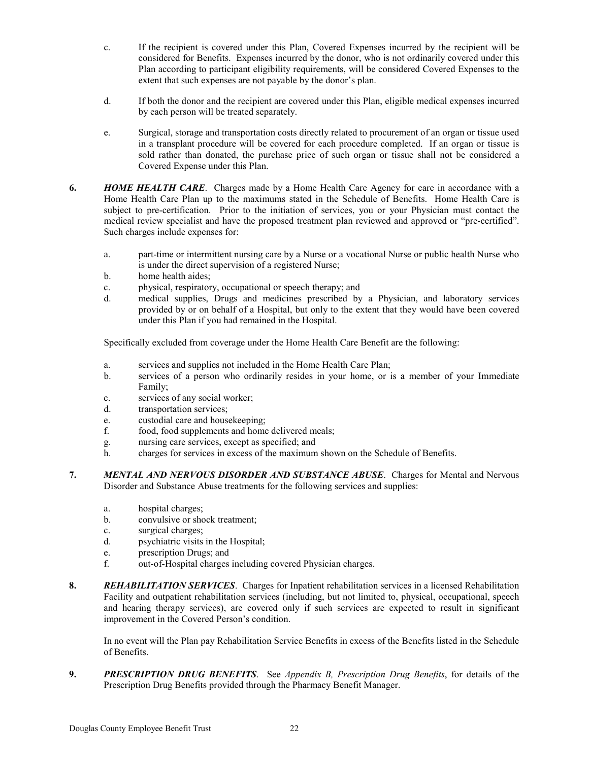- c. If the recipient is covered under this Plan, Covered Expenses incurred by the recipient will be considered for Benefits. Expenses incurred by the donor, who is not ordinarily covered under this Plan according to participant eligibility requirements, will be considered Covered Expenses to the extent that such expenses are not payable by the donor's plan.
- d. If both the donor and the recipient are covered under this Plan, eligible medical expenses incurred by each person will be treated separately.
- e. Surgical, storage and transportation costs directly related to procurement of an organ or tissue used in a transplant procedure will be covered for each procedure completed. If an organ or tissue is sold rather than donated, the purchase price of such organ or tissue shall not be considered a Covered Expense under this Plan.
- **6.** *HOME HEALTH CARE*. Charges made by a Home Health Care Agency for care in accordance with a Home Health Care Plan up to the maximums stated in the Schedule of Benefits. Home Health Care is subject to pre-certification. Prior to the initiation of services, you or your Physician must contact the medical review specialist and have the proposed treatment plan reviewed and approved or "pre-certified". Such charges include expenses for:
	- a. part-time or intermittent nursing care by a Nurse or a vocational Nurse or public health Nurse who is under the direct supervision of a registered Nurse;
	- b. home health aides;
	- c. physical, respiratory, occupational or speech therapy; and
	- d. medical supplies, Drugs and medicines prescribed by a Physician, and laboratory services provided by or on behalf of a Hospital, but only to the extent that they would have been covered under this Plan if you had remained in the Hospital.

Specifically excluded from coverage under the Home Health Care Benefit are the following:

- a. services and supplies not included in the Home Health Care Plan;
- b. services of a person who ordinarily resides in your home, or is a member of your Immediate Family;
- c. services of any social worker;
- d. transportation services;
- e. custodial care and housekeeping;
- f. food, food supplements and home delivered meals;
- g. nursing care services, except as specified; and
- h. charges for services in excess of the maximum shown on the Schedule of Benefits.
- **7.** *MENTAL AND NERVOUS DISORDER AND SUBSTANCE ABUSE*. Charges for Mental and Nervous Disorder and Substance Abuse treatments for the following services and supplies:
	- a. hospital charges;
	- b. convulsive or shock treatment;
	- c. surgical charges;
	- d. psychiatric visits in the Hospital;
	- e. prescription Drugs; and
	- f. out-of-Hospital charges including covered Physician charges.
- **8.** *REHABILITATION SERVICES*. Charges for Inpatient rehabilitation services in a licensed Rehabilitation Facility and outpatient rehabilitation services (including, but not limited to, physical, occupational, speech and hearing therapy services), are covered only if such services are expected to result in significant improvement in the Covered Person's condition.

In no event will the Plan pay Rehabilitation Service Benefits in excess of the Benefits listed in the Schedule of Benefits.

**9.** *PRESCRIPTION DRUG BENEFITS*. See *Appendix B, Prescription Drug Benefits*, for details of the Prescription Drug Benefits provided through the Pharmacy Benefit Manager.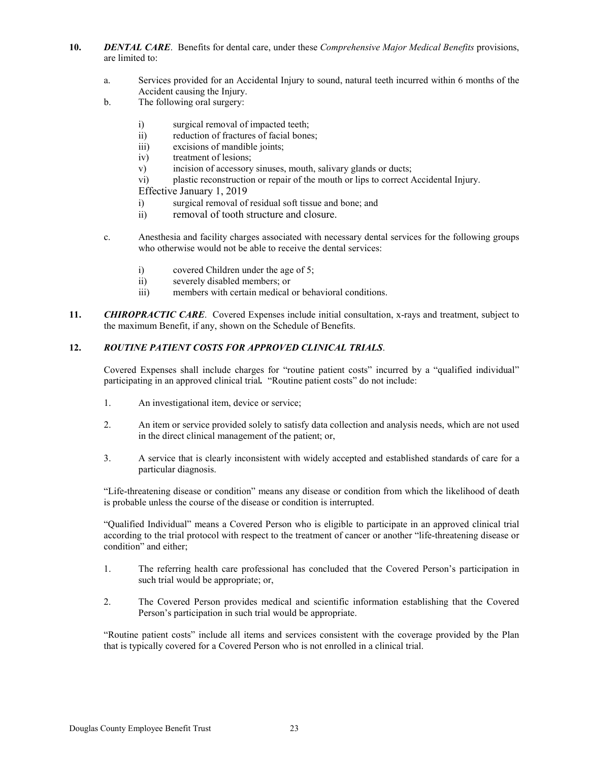- **10.** *DENTAL CARE*. Benefits for dental care, under these *Comprehensive Major Medical Benefits* provisions, are limited to:
	- a. Services provided for an Accidental Injury to sound, natural teeth incurred within 6 months of the Accident causing the Injury.
	- b. The following oral surgery:
		- i) surgical removal of impacted teeth;
		- ii) reduction of fractures of facial bones;
		- iii) excisions of mandible joints;
		- iv) treatment of lesions;
		- v) incision of accessory sinuses, mouth, salivary glands or ducts;
		- vi) plastic reconstruction or repair of the mouth or lips to correct Accidental Injury.

Effective January 1, 2019

- i) surgical removal of residual soft tissue and bone; and
- ii) removal of tooth structure and closure.
- c. Anesthesia and facility charges associated with necessary dental services for the following groups who otherwise would not be able to receive the dental services:
	- i) covered Children under the age of 5;
	- ii) severely disabled members; or
	- iii) members with certain medical or behavioral conditions.
- **11.** *CHIROPRACTIC CARE*. Covered Expenses include initial consultation, x-rays and treatment, subject to the maximum Benefit, if any, shown on the Schedule of Benefits.

### **12.** *ROUTINE PATIENT COSTS FOR APPROVED CLINICAL TRIALS*.

Covered Expenses shall include charges for "routine patient costs" incurred by a "qualified individual" participating in an approved clinical trial*.* "Routine patient costs" do not include:

- 1. An investigational item, device or service;
- 2. An item or service provided solely to satisfy data collection and analysis needs, which are not used in the direct clinical management of the patient; or,
- 3. A service that is clearly inconsistent with widely accepted and established standards of care for a particular diagnosis.

"Life-threatening disease or condition" means any disease or condition from which the likelihood of death is probable unless the course of the disease or condition is interrupted.

"Qualified Individual" means a Covered Person who is eligible to participate in an approved clinical trial according to the trial protocol with respect to the treatment of cancer or another "life-threatening disease or condition" and either;

- 1. The referring health care professional has concluded that the Covered Person's participation in such trial would be appropriate; or,
- 2. The Covered Person provides medical and scientific information establishing that the Covered Person's participation in such trial would be appropriate.

"Routine patient costs" include all items and services consistent with the coverage provided by the Plan that is typically covered for a Covered Person who is not enrolled in a clinical trial.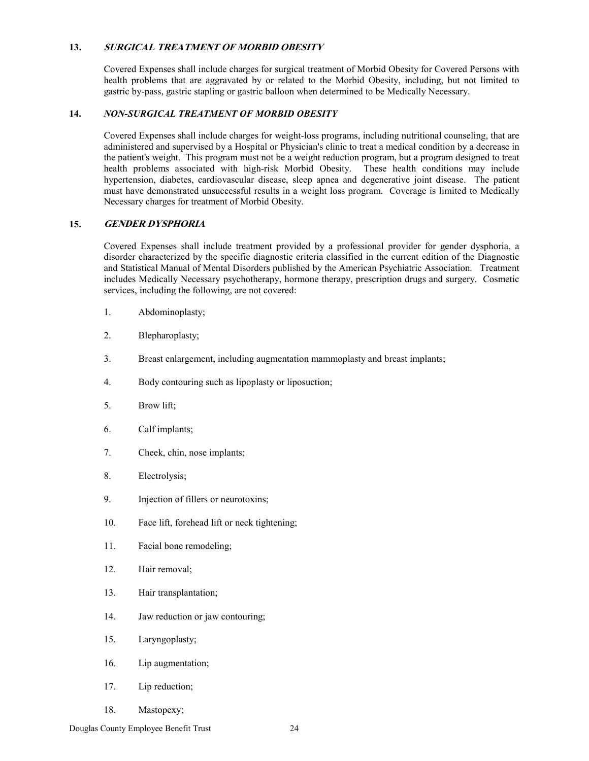### **13. SURGICAL TREATMENT OF MORBID OBESITY**

Covered Expenses shall include charges for surgical treatment of Morbid Obesity for Covered Persons with health problems that are aggravated by or related to the Morbid Obesity, including, but not limited to gastric by-pass, gastric stapling or gastric balloon when determined to be Medically Necessary.

### **14.** *NON-SURGICAL TREATMENT OF MORBID OBESITY*

Covered Expenses shall include charges for weight-loss programs, including nutritional counseling, that are administered and supervised by a Hospital or Physician's clinic to treat a medical condition by a decrease in the patient's weight. This program must not be a weight reduction program, but a program designed to treat health problems associated with high-risk Morbid Obesity. These health conditions may include hypertension, diabetes, cardiovascular disease, sleep apnea and degenerative joint disease. The patient must have demonstrated unsuccessful results in a weight loss program. Coverage is limited to Medically Necessary charges for treatment of Morbid Obesity.

### **15. GENDER DYSPHORIA**

Covered Expenses shall include treatment provided by a professional provider for gender dysphoria, a disorder characterized by the specific diagnostic criteria classified in the current edition of the Diagnostic and Statistical Manual of Mental Disorders published by the American Psychiatric Association. Treatment includes Medically Necessary psychotherapy, hormone therapy, prescription drugs and surgery. Cosmetic services, including the following, are not covered:

- 1. Abdominoplasty;
- 2. Blepharoplasty;
- 3. Breast enlargement, including augmentation mammoplasty and breast implants;
- 4. Body contouring such as lipoplasty or liposuction;
- 5. Brow lift;
- 6. Calf implants;
- 7. Cheek, chin, nose implants;
- 8. Electrolysis;
- 9. Injection of fillers or neurotoxins;
- 10. Face lift, forehead lift or neck tightening;
- 11. Facial bone remodeling;
- 12. Hair removal;
- 13. Hair transplantation;
- 14. Jaw reduction or jaw contouring;
- 15. Laryngoplasty;
- 16. Lip augmentation;
- 17. Lip reduction;
- 18. Mastopexy;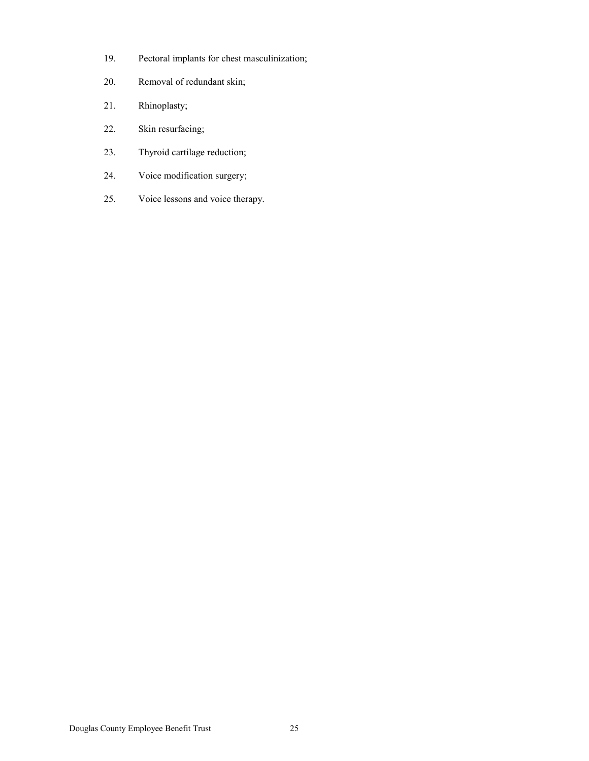- 19. Pectoral implants for chest masculinization;
- 20. Removal of redundant skin;
- 21. Rhinoplasty;
- 22. Skin resurfacing;
- 23. Thyroid cartilage reduction;
- 24. Voice modification surgery;
- 25. Voice lessons and voice therapy.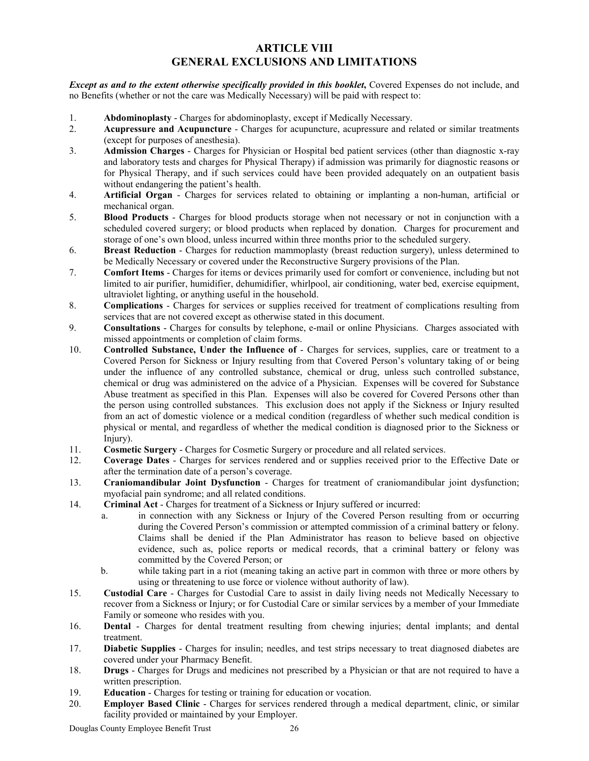### **ARTICLE VIII GENERAL EXCLUSIONS AND LIMITATIONS**

*Except as and to the extent otherwise specifically provided in this booklet***,** Covered Expenses do not include, and no Benefits (whether or not the care was Medically Necessary) will be paid with respect to:

- 1. **Abdominoplasty** Charges for abdominoplasty, except if Medically Necessary.<br>2. **Acupressure and Acupuncture** Charges for acupuncture, acupressure and re
- 2. **Acupressure and Acupuncture** Charges for acupuncture, acupressure and related or similar treatments (except for purposes of anesthesia).
- 3. **Admission Charges** Charges for Physician or Hospital bed patient services (other than diagnostic x-ray and laboratory tests and charges for Physical Therapy) if admission was primarily for diagnostic reasons or for Physical Therapy, and if such services could have been provided adequately on an outpatient basis without endangering the patient's health.
- 4. **Artificial Organ** Charges for services related to obtaining or implanting a non-human, artificial or mechanical organ.
- 5. **Blood Products** Charges for blood products storage when not necessary or not in conjunction with a scheduled covered surgery; or blood products when replaced by donation. Charges for procurement and storage of one's own blood, unless incurred within three months prior to the scheduled surgery.
- 6. **Breast Reduction** Charges for reduction mammoplasty (breast reduction surgery), unless determined to be Medically Necessary or covered under the Reconstructive Surgery provisions of the Plan.
- 7. **Comfort Items** Charges for items or devices primarily used for comfort or convenience, including but not limited to air purifier, humidifier, dehumidifier, whirlpool, air conditioning, water bed, exercise equipment, ultraviolet lighting, or anything useful in the household.
- 8. **Complications** Charges for services or supplies received for treatment of complications resulting from services that are not covered except as otherwise stated in this document.
- 9. **Consultations**  Charges for consults by telephone, e-mail or online Physicians. Charges associated with missed appointments or completion of claim forms.
- 10. **Controlled Substance, Under the Influence of** Charges for services, supplies, care or treatment to a Covered Person for Sickness or Injury resulting from that Covered Person's voluntary taking of or being under the influence of any controlled substance, chemical or drug, unless such controlled substance, chemical or drug was administered on the advice of a Physician. Expenses will be covered for Substance Abuse treatment as specified in this Plan. Expenses will also be covered for Covered Persons other than the person using controlled substances. This exclusion does not apply if the Sickness or Injury resulted from an act of domestic violence or a medical condition (regardless of whether such medical condition is physical or mental, and regardless of whether the medical condition is diagnosed prior to the Sickness or Injury).
- 11. **Cosmetic Surgery** Charges for Cosmetic Surgery or procedure and all related services.<br>12. **Coverage Dates** Charges for services rendered and or supplies received prior to the
- 12. **Coverage Dates** Charges for services rendered and or supplies received prior to the Effective Date or after the termination date of a person's coverage.
- 13. **Craniomandibular Joint Dysfunction** Charges for treatment of craniomandibular joint dysfunction; myofacial pain syndrome; and all related conditions.
- 14. **Criminal Act** Charges for treatment of a Sickness or Injury suffered or incurred:
	- a. in connection with any Sickness or Injury of the Covered Person resulting from or occurring during the Covered Person's commission or attempted commission of a criminal battery or felony. Claims shall be denied if the Plan Administrator has reason to believe based on objective evidence, such as, police reports or medical records, that a criminal battery or felony was committed by the Covered Person; or
	- b. while taking part in a riot (meaning taking an active part in common with three or more others by using or threatening to use force or violence without authority of law).
- 15. **Custodial Care** Charges for Custodial Care to assist in daily living needs not Medically Necessary to recover from a Sickness or Injury; or for Custodial Care or similar services by a member of your Immediate Family or someone who resides with you.
- 16. **Dental** Charges for dental treatment resulting from chewing injuries; dental implants; and dental treatment.
- 17. **Diabetic Supplies** Charges for insulin; needles, and test strips necessary to treat diagnosed diabetes are covered under your Pharmacy Benefit.
- 18. **Drugs** Charges for Drugs and medicines not prescribed by a Physician or that are not required to have a written prescription.
- 19. **Education** Charges for testing or training for education or vocation.
- 20. **Employer Based Clinic** Charges for services rendered through a medical department, clinic, or similar facility provided or maintained by your Employer.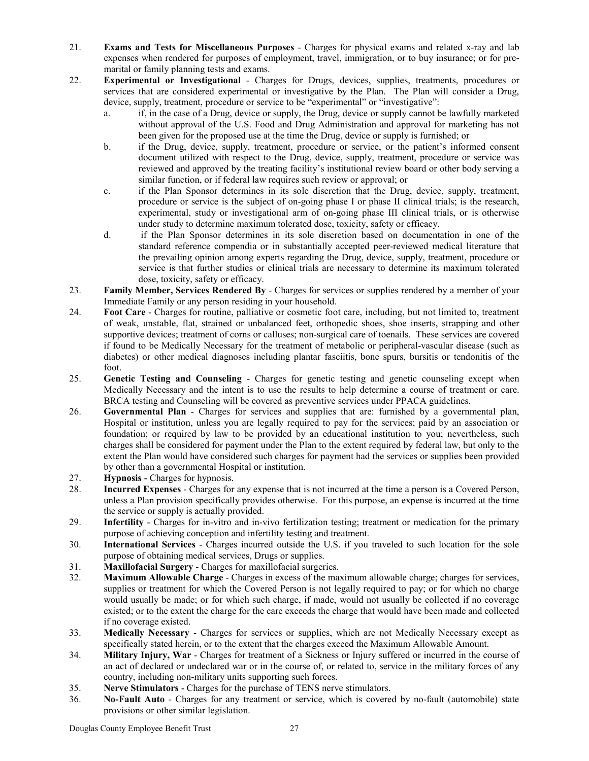- 21. **Exams and Tests for Miscellaneous Purposes** Charges for physical exams and related x-ray and lab expenses when rendered for purposes of employment, travel, immigration, or to buy insurance; or for premarital or family planning tests and exams.
- 22. **Experimental or Investigational** Charges for Drugs, devices, supplies, treatments, procedures or services that are considered experimental or investigative by the Plan. The Plan will consider a Drug, device, supply, treatment, procedure or service to be "experimental" or "investigative":
	- a. if, in the case of a Drug, device or supply, the Drug, device or supply cannot be lawfully marketed without approval of the U.S. Food and Drug Administration and approval for marketing has not been given for the proposed use at the time the Drug, device or supply is furnished; or
	- b. if the Drug, device, supply, treatment, procedure or service, or the patient's informed consent document utilized with respect to the Drug, device, supply, treatment, procedure or service was reviewed and approved by the treating facility's institutional review board or other body serving a similar function, or if federal law requires such review or approval; or
	- c. if the Plan Sponsor determines in its sole discretion that the Drug, device, supply, treatment, procedure or service is the subject of on-going phase I or phase II clinical trials; is the research, experimental, study or investigational arm of on-going phase III clinical trials, or is otherwise under study to determine maximum tolerated dose, toxicity, safety or efficacy.
	- d. if the Plan Sponsor determines in its sole discretion based on documentation in one of the standard reference compendia or in substantially accepted peer-reviewed medical literature that the prevailing opinion among experts regarding the Drug, device, supply, treatment, procedure or service is that further studies or clinical trials are necessary to determine its maximum tolerated dose, toxicity, safety or efficacy.
- 23. **Family Member, Services Rendered By** Charges for services or supplies rendered by a member of your Immediate Family or any person residing in your household.
- 24. **Foot Care** Charges for routine, palliative or cosmetic foot care, including, but not limited to, treatment of weak, unstable, flat, strained or unbalanced feet, orthopedic shoes, shoe inserts, strapping and other supportive devices; treatment of corns or calluses; non-surgical care of toenails. These services are covered if found to be Medically Necessary for the treatment of metabolic or peripheral-vascular disease (such as diabetes) or other medical diagnoses including plantar fasciitis, bone spurs, bursitis or tendonitis of the foot.
- 25. **Genetic Testing and Counseling** Charges for genetic testing and genetic counseling except when Medically Necessary and the intent is to use the results to help determine a course of treatment or care. BRCA testing and Counseling will be covered as preventive services under PPACA guidelines.
- 26. **Governmental Plan** Charges for services and supplies that are: furnished by a governmental plan, Hospital or institution, unless you are legally required to pay for the services; paid by an association or foundation; or required by law to be provided by an educational institution to you; nevertheless, such charges shall be considered for payment under the Plan to the extent required by federal law, but only to the extent the Plan would have considered such charges for payment had the services or supplies been provided by other than a governmental Hospital or institution.
- 27. **Hypnosis** Charges for hypnosis.
- 28. **Incurred Expenses** Charges for any expense that is not incurred at the time a person is a Covered Person, unless a Plan provision specifically provides otherwise. For this purpose, an expense is incurred at the time the service or supply is actually provided.
- 29. **Infertility** Charges for in-vitro and in-vivo fertilization testing; treatment or medication for the primary purpose of achieving conception and infertility testing and treatment.
- 30. **International Services** Charges incurred outside the U.S. if you traveled to such location for the sole purpose of obtaining medical services, Drugs or supplies.
- 31. **Maxillofacial Surgery** Charges for maxillofacial surgeries.
- 32. **Maximum Allowable Charge** Charges in excess of the maximum allowable charge; charges for services, supplies or treatment for which the Covered Person is not legally required to pay; or for which no charge would usually be made; or for which such charge, if made, would not usually be collected if no coverage existed; or to the extent the charge for the care exceeds the charge that would have been made and collected if no coverage existed.
- 33. **Medically Necessary** Charges for services or supplies, which are not Medically Necessary except as specifically stated herein, or to the extent that the charges exceed the Maximum Allowable Amount.
- 34. **Military Injury, War**  Charges for treatment of a Sickness or Injury suffered or incurred in the course of an act of declared or undeclared war or in the course of, or related to, service in the military forces of any country, including non-military units supporting such forces.
- 35. **Nerve Stimulators** Charges for the purchase of TENS nerve stimulators.
- 36. **No-Fault Auto** Charges for any treatment or service, which is covered by no-fault (automobile) state provisions or other similar legislation.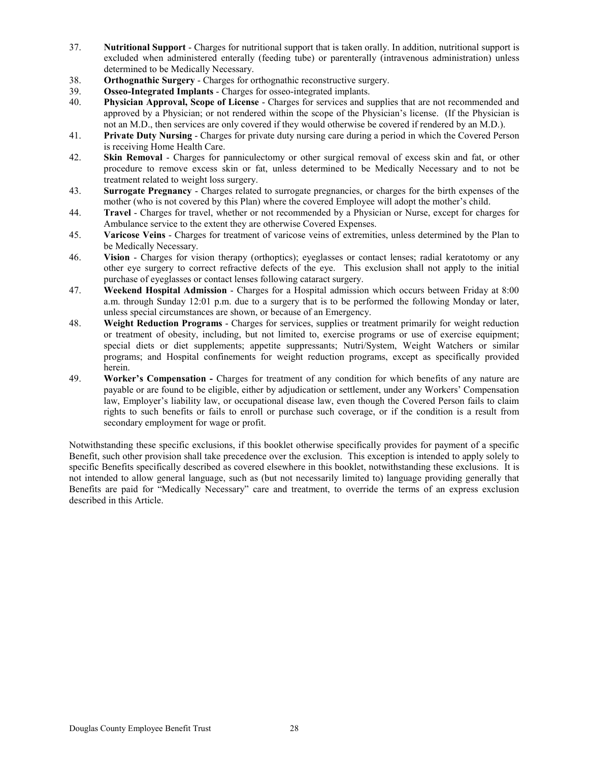- 37. **Nutritional Support** Charges for nutritional support that is taken orally. In addition, nutritional support is excluded when administered enterally (feeding tube) or parenterally (intravenous administration) unless determined to be Medically Necessary.
- 38. **Orthognathic Surgery** Charges for orthognathic reconstructive surgery.
- 39. **Osseo-Integrated Implants** Charges for osseo-integrated implants.
- 40. **Physician Approval, Scope of License** Charges for services and supplies that are not recommended and approved by a Physician; or not rendered within the scope of the Physician's license. (If the Physician is not an M.D., then services are only covered if they would otherwise be covered if rendered by an M.D.).
- 41. **Private Duty Nursing** Charges for private duty nursing care during a period in which the Covered Person is receiving Home Health Care.
- 42. **Skin Removal** Charges for panniculectomy or other surgical removal of excess skin and fat, or other procedure to remove excess skin or fat, unless determined to be Medically Necessary and to not be treatment related to weight loss surgery.
- 43. **Surrogate Pregnancy** Charges related to surrogate pregnancies, or charges for the birth expenses of the mother (who is not covered by this Plan) where the covered Employee will adopt the mother's child.
- 44. **Travel** Charges for travel, whether or not recommended by a Physician or Nurse, except for charges for Ambulance service to the extent they are otherwise Covered Expenses.
- 45. **Varicose Veins** Charges for treatment of varicose veins of extremities, unless determined by the Plan to be Medically Necessary.
- 46. **Vision** Charges for vision therapy (orthoptics); eyeglasses or contact lenses; radial keratotomy or any other eye surgery to correct refractive defects of the eye. This exclusion shall not apply to the initial purchase of eyeglasses or contact lenses following cataract surgery.
- 47. **Weekend Hospital Admission** Charges for a Hospital admission which occurs between Friday at 8:00 a.m. through Sunday 12:01 p.m. due to a surgery that is to be performed the following Monday or later, unless special circumstances are shown, or because of an Emergency.
- 48. **Weight Reduction Programs** Charges for services, supplies or treatment primarily for weight reduction or treatment of obesity, including, but not limited to, exercise programs or use of exercise equipment; special diets or diet supplements; appetite suppressants; Nutri/System, Weight Watchers or similar programs; and Hospital confinements for weight reduction programs, except as specifically provided herein.
- 49. **Worker's Compensation -** Charges for treatment of any condition for which benefits of any nature are payable or are found to be eligible, either by adjudication or settlement, under any Workers' Compensation law, Employer's liability law, or occupational disease law, even though the Covered Person fails to claim rights to such benefits or fails to enroll or purchase such coverage, or if the condition is a result from secondary employment for wage or profit.

Notwithstanding these specific exclusions, if this booklet otherwise specifically provides for payment of a specific Benefit, such other provision shall take precedence over the exclusion. This exception is intended to apply solely to specific Benefits specifically described as covered elsewhere in this booklet, notwithstanding these exclusions. It is not intended to allow general language, such as (but not necessarily limited to) language providing generally that Benefits are paid for "Medically Necessary" care and treatment, to override the terms of an express exclusion described in this Article.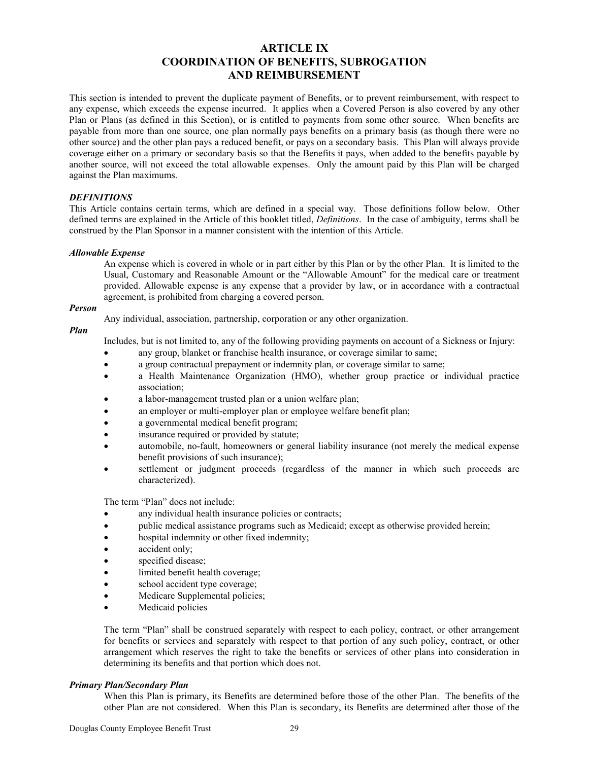### **ARTICLE IX COORDINATION OF BENEFITS, SUBROGATION AND REIMBURSEMENT**

This section is intended to prevent the duplicate payment of Benefits, or to prevent reimbursement, with respect to any expense, which exceeds the expense incurred. It applies when a Covered Person is also covered by any other Plan or Plans (as defined in this Section), or is entitled to payments from some other source. When benefits are payable from more than one source, one plan normally pays benefits on a primary basis (as though there were no other source) and the other plan pays a reduced benefit, or pays on a secondary basis. This Plan will always provide coverage either on a primary or secondary basis so that the Benefits it pays, when added to the benefits payable by another source, will not exceed the total allowable expenses. Only the amount paid by this Plan will be charged against the Plan maximums.

### *DEFINITIONS*

This Article contains certain terms, which are defined in a special way. Those definitions follow below. Other defined terms are explained in the Article of this booklet titled, *Definitions*. In the case of ambiguity, terms shall be construed by the Plan Sponsor in a manner consistent with the intention of this Article.

### *Allowable Expense*

An expense which is covered in whole or in part either by this Plan or by the other Plan. It is limited to the Usual, Customary and Reasonable Amount or the "Allowable Amount" for the medical care or treatment provided. Allowable expense is any expense that a provider by law, or in accordance with a contractual agreement, is prohibited from charging a covered person.

### *Person*

Any individual, association, partnership, corporation or any other organization.

### *Plan*

Includes, but is not limited to, any of the following providing payments on account of a Sickness or Injury:

- any group, blanket or franchise health insurance, or coverage similar to same;
- a group contractual prepayment or indemnity plan, or coverage similar to same;
- a Health Maintenance Organization (HMO), whether group practice or individual practice association;
- a labor-management trusted plan or a union welfare plan;
- an employer or multi-employer plan or employee welfare benefit plan;
- a governmental medical benefit program;
- insurance required or provided by statute;
- automobile, no-fault, homeowners or general liability insurance (not merely the medical expense benefit provisions of such insurance);
- settlement or judgment proceeds (regardless of the manner in which such proceeds are characterized).

The term "Plan" does not include:

- any individual health insurance policies or contracts;
- public medical assistance programs such as Medicaid; except as otherwise provided herein;
- hospital indemnity or other fixed indemnity;
- accident only:
- specified disease;
- limited benefit health coverage;
- school accident type coverage;
- Medicare Supplemental policies;
- Medicaid policies

The term "Plan" shall be construed separately with respect to each policy, contract, or other arrangement for benefits or services and separately with respect to that portion of any such policy, contract, or other arrangement which reserves the right to take the benefits or services of other plans into consideration in determining its benefits and that portion which does not.

### *Primary Plan/Secondary Plan*

When this Plan is primary, its Benefits are determined before those of the other Plan. The benefits of the other Plan are not considered. When this Plan is secondary, its Benefits are determined after those of the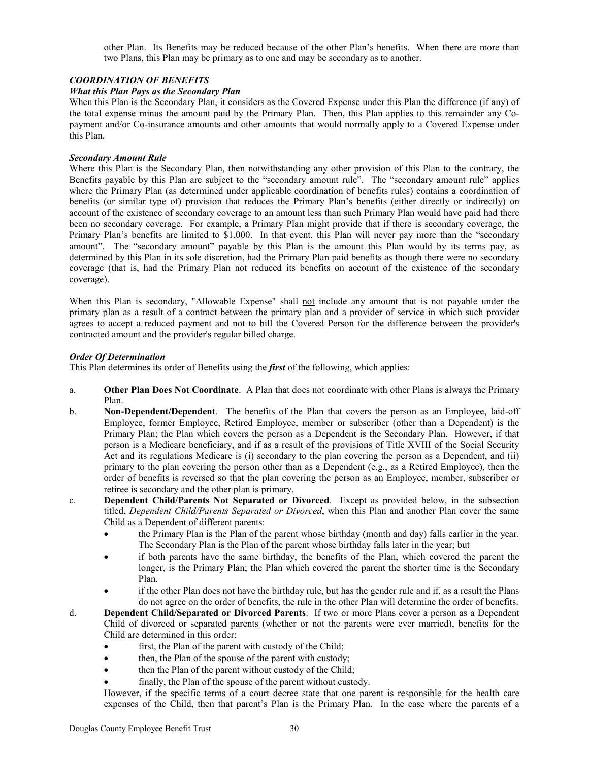other Plan. Its Benefits may be reduced because of the other Plan's benefits. When there are more than two Plans, this Plan may be primary as to one and may be secondary as to another.

### *COORDINATION OF BENEFITS*

### *What this Plan Pays as the Secondary Plan*

When this Plan is the Secondary Plan, it considers as the Covered Expense under this Plan the difference (if any) of the total expense minus the amount paid by the Primary Plan. Then, this Plan applies to this remainder any Copayment and/or Co-insurance amounts and other amounts that would normally apply to a Covered Expense under this Plan.

### *Secondary Amount Rule*

Where this Plan is the Secondary Plan, then notwithstanding any other provision of this Plan to the contrary, the Benefits payable by this Plan are subject to the "secondary amount rule". The "secondary amount rule" applies where the Primary Plan (as determined under applicable coordination of benefits rules) contains a coordination of benefits (or similar type of) provision that reduces the Primary Plan's benefits (either directly or indirectly) on account of the existence of secondary coverage to an amount less than such Primary Plan would have paid had there been no secondary coverage. For example, a Primary Plan might provide that if there is secondary coverage, the Primary Plan's benefits are limited to \$1,000. In that event, this Plan will never pay more than the "secondary amount". The "secondary amount" payable by this Plan is the amount this Plan would by its terms pay, as determined by this Plan in its sole discretion, had the Primary Plan paid benefits as though there were no secondary coverage (that is, had the Primary Plan not reduced its benefits on account of the existence of the secondary coverage).

When this Plan is secondary, "Allowable Expense" shall not include any amount that is not payable under the primary plan as a result of a contract between the primary plan and a provider of service in which such provider agrees to accept a reduced payment and not to bill the Covered Person for the difference between the provider's contracted amount and the provider's regular billed charge.

### *Order Of Determination*

This Plan determines its order of Benefits using the *first* of the following, which applies:

- a. **Other Plan Does Not Coordinate**. A Plan that does not coordinate with other Plans is always the Primary Plan.
- b. **Non-Dependent/Dependent**. The benefits of the Plan that covers the person as an Employee, laid-off Employee, former Employee, Retired Employee, member or subscriber (other than a Dependent) is the Primary Plan; the Plan which covers the person as a Dependent is the Secondary Plan. However, if that person is a Medicare beneficiary, and if as a result of the provisions of Title XVIII of the Social Security Act and its regulations Medicare is (i) secondary to the plan covering the person as a Dependent, and (ii) primary to the plan covering the person other than as a Dependent (e.g., as a Retired Employee), then the order of benefits is reversed so that the plan covering the person as an Employee, member, subscriber or retiree is secondary and the other plan is primary.
- c. **Dependent Child/Parents Not Separated or Divorced**. Except as provided below, in the subsection titled, *Dependent Child/Parents Separated or Divorced*, when this Plan and another Plan cover the same Child as a Dependent of different parents:
	- the Primary Plan is the Plan of the parent whose birthday (month and day) falls earlier in the year. The Secondary Plan is the Plan of the parent whose birthday falls later in the year; but
	- if both parents have the same birthday, the benefits of the Plan, which covered the parent the longer, is the Primary Plan; the Plan which covered the parent the shorter time is the Secondary Plan.
	- if the other Plan does not have the birthday rule, but has the gender rule and if, as a result the Plans do not agree on the order of benefits, the rule in the other Plan will determine the order of benefits.
- d. **Dependent Child/Separated or Divorced Parents**. If two or more Plans cover a person as a Dependent Child of divorced or separated parents (whether or not the parents were ever married), benefits for the Child are determined in this order:
	- first, the Plan of the parent with custody of the Child;
	- then, the Plan of the spouse of the parent with custody;
	- then the Plan of the parent without custody of the Child;
	- finally, the Plan of the spouse of the parent without custody.

However, if the specific terms of a court decree state that one parent is responsible for the health care expenses of the Child, then that parent's Plan is the Primary Plan. In the case where the parents of a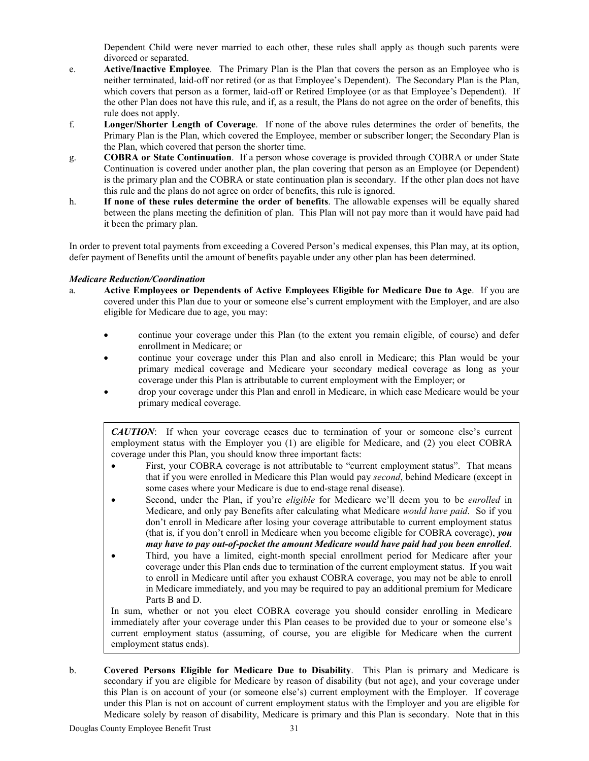Dependent Child were never married to each other, these rules shall apply as though such parents were divorced or separated.

- e. **Active/Inactive Employee**. The Primary Plan is the Plan that covers the person as an Employee who is neither terminated, laid-off nor retired (or as that Employee's Dependent). The Secondary Plan is the Plan, which covers that person as a former, laid-off or Retired Employee (or as that Employee's Dependent). If the other Plan does not have this rule, and if, as a result, the Plans do not agree on the order of benefits, this rule does not apply.
- f. **Longer/Shorter Length of Coverage**. If none of the above rules determines the order of benefits, the Primary Plan is the Plan, which covered the Employee, member or subscriber longer; the Secondary Plan is the Plan, which covered that person the shorter time.
- g. **COBRA or State Continuation**. If a person whose coverage is provided through COBRA or under State Continuation is covered under another plan, the plan covering that person as an Employee (or Dependent) is the primary plan and the COBRA or state continuation plan is secondary. If the other plan does not have this rule and the plans do not agree on order of benefits, this rule is ignored.
- h. **If none of these rules determine the order of benefits**. The allowable expenses will be equally shared between the plans meeting the definition of plan. This Plan will not pay more than it would have paid had it been the primary plan.

In order to prevent total payments from exceeding a Covered Person's medical expenses, this Plan may, at its option, defer payment of Benefits until the amount of benefits payable under any other plan has been determined.

### *Medicare Reduction/Coordination*

- a. **Active Employees or Dependents of Active Employees Eligible for Medicare Due to Age**. If you are covered under this Plan due to your or someone else's current employment with the Employer, and are also eligible for Medicare due to age, you may:
	- continue your coverage under this Plan (to the extent you remain eligible, of course) and defer enrollment in Medicare; or
	- continue your coverage under this Plan and also enroll in Medicare; this Plan would be your primary medical coverage and Medicare your secondary medical coverage as long as your coverage under this Plan is attributable to current employment with the Employer; or
	- drop your coverage under this Plan and enroll in Medicare, in which case Medicare would be your primary medical coverage.

*CAUTION*: If when your coverage ceases due to termination of your or someone else's current employment status with the Employer you (1) are eligible for Medicare, and (2) you elect COBRA coverage under this Plan, you should know three important facts:

- First, your COBRA coverage is not attributable to "current employment status". That means that if you were enrolled in Medicare this Plan would pay *second*, behind Medicare (except in some cases where your Medicare is due to end-stage renal disease).
- Second, under the Plan, if you're *eligible* for Medicare we'll deem you to be *enrolled* in Medicare, and only pay Benefits after calculating what Medicare *would have paid*. So if you don't enroll in Medicare after losing your coverage attributable to current employment status (that is, if you don't enroll in Medicare when you become eligible for COBRA coverage), *you may have to pay out-of-pocket the amount Medicare would have paid had you been enrolled*.
- Third, you have a limited, eight-month special enrollment period for Medicare after your coverage under this Plan ends due to termination of the current employment status. If you wait to enroll in Medicare until after you exhaust COBRA coverage, you may not be able to enroll in Medicare immediately, and you may be required to pay an additional premium for Medicare Parts B and D.

In sum, whether or not you elect COBRA coverage you should consider enrolling in Medicare immediately after your coverage under this Plan ceases to be provided due to your or someone else's current employment status (assuming, of course, you are eligible for Medicare when the current employment status ends).

b. **Covered Persons Eligible for Medicare Due to Disability**. This Plan is primary and Medicare is secondary if you are eligible for Medicare by reason of disability (but not age), and your coverage under this Plan is on account of your (or someone else's) current employment with the Employer. If coverage under this Plan is not on account of current employment status with the Employer and you are eligible for Medicare solely by reason of disability, Medicare is primary and this Plan is secondary. Note that in this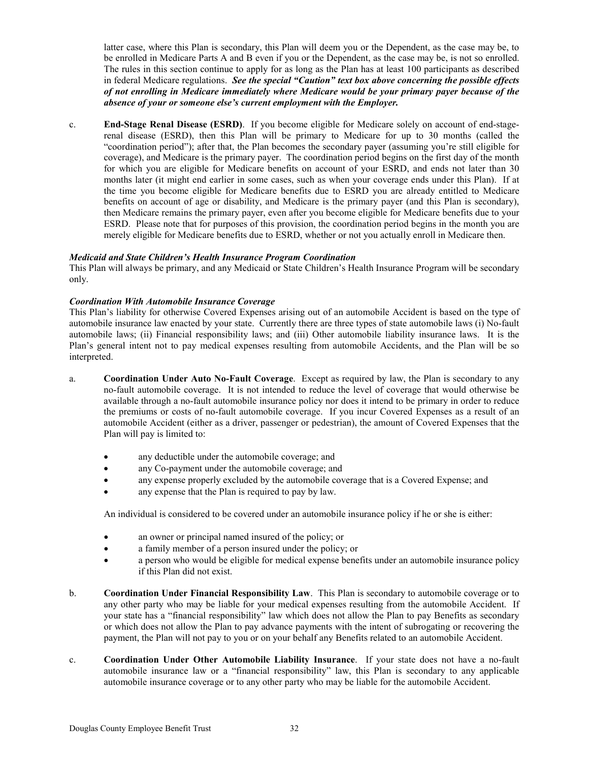latter case, where this Plan is secondary, this Plan will deem you or the Dependent, as the case may be, to be enrolled in Medicare Parts A and B even if you or the Dependent, as the case may be, is not so enrolled. The rules in this section continue to apply for as long as the Plan has at least 100 participants as described in federal Medicare regulations. *See the special "Caution" text box above concerning the possible effects of not enrolling in Medicare immediately where Medicare would be your primary payer because of the absence of your or someone else's current employment with the Employer.*

c. **End-Stage Renal Disease (ESRD)**. If you become eligible for Medicare solely on account of end-stagerenal disease (ESRD), then this Plan will be primary to Medicare for up to 30 months (called the "coordination period"); after that, the Plan becomes the secondary payer (assuming you're still eligible for coverage), and Medicare is the primary payer. The coordination period begins on the first day of the month for which you are eligible for Medicare benefits on account of your ESRD, and ends not later than 30 months later (it might end earlier in some cases, such as when your coverage ends under this Plan). If at the time you become eligible for Medicare benefits due to ESRD you are already entitled to Medicare benefits on account of age or disability, and Medicare is the primary payer (and this Plan is secondary), then Medicare remains the primary payer, even after you become eligible for Medicare benefits due to your ESRD. Please note that for purposes of this provision, the coordination period begins in the month you are merely eligible for Medicare benefits due to ESRD, whether or not you actually enroll in Medicare then.

### *Medicaid and State Children's Health Insurance Program Coordination*

This Plan will always be primary, and any Medicaid or State Children's Health Insurance Program will be secondary only.

### *Coordination With Automobile Insurance Coverage*

This Plan's liability for otherwise Covered Expenses arising out of an automobile Accident is based on the type of automobile insurance law enacted by your state. Currently there are three types of state automobile laws (i) No-fault automobile laws; (ii) Financial responsibility laws; and (iii) Other automobile liability insurance laws. It is the Plan's general intent not to pay medical expenses resulting from automobile Accidents, and the Plan will be so interpreted.

- a. **Coordination Under Auto No-Fault Coverage**. Except as required by law, the Plan is secondary to any no-fault automobile coverage. It is not intended to reduce the level of coverage that would otherwise be available through a no-fault automobile insurance policy nor does it intend to be primary in order to reduce the premiums or costs of no-fault automobile coverage. If you incur Covered Expenses as a result of an automobile Accident (either as a driver, passenger or pedestrian), the amount of Covered Expenses that the Plan will pay is limited to:
	- any deductible under the automobile coverage; and
	- any Co-payment under the automobile coverage; and
	- any expense properly excluded by the automobile coverage that is a Covered Expense; and
	- any expense that the Plan is required to pay by law.

An individual is considered to be covered under an automobile insurance policy if he or she is either:

- an owner or principal named insured of the policy; or
- a family member of a person insured under the policy; or
- a person who would be eligible for medical expense benefits under an automobile insurance policy if this Plan did not exist.
- b. **Coordination Under Financial Responsibility Law**. This Plan is secondary to automobile coverage or to any other party who may be liable for your medical expenses resulting from the automobile Accident. If your state has a "financial responsibility" law which does not allow the Plan to pay Benefits as secondary or which does not allow the Plan to pay advance payments with the intent of subrogating or recovering the payment, the Plan will not pay to you or on your behalf any Benefits related to an automobile Accident.
- c. **Coordination Under Other Automobile Liability Insurance**. If your state does not have a no-fault automobile insurance law or a "financial responsibility" law, this Plan is secondary to any applicable automobile insurance coverage or to any other party who may be liable for the automobile Accident.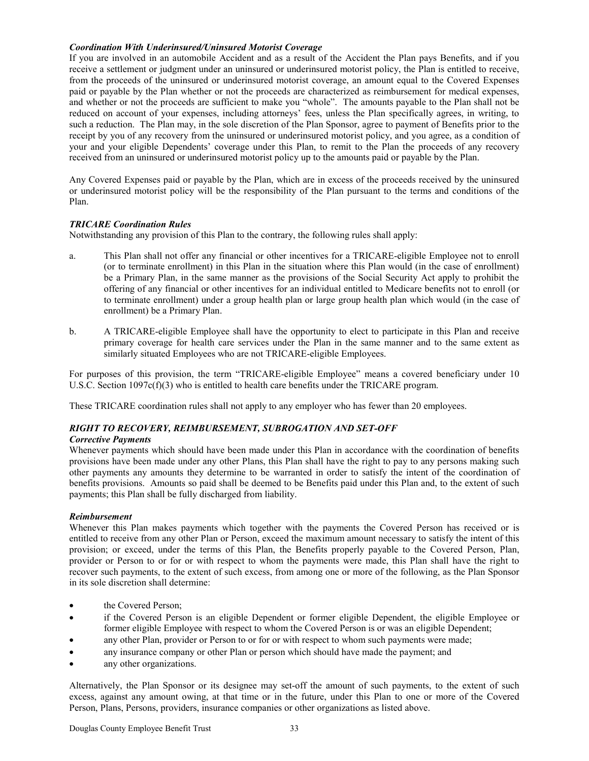### *Coordination With Underinsured/Uninsured Motorist Coverage*

If you are involved in an automobile Accident and as a result of the Accident the Plan pays Benefits, and if you receive a settlement or judgment under an uninsured or underinsured motorist policy, the Plan is entitled to receive, from the proceeds of the uninsured or underinsured motorist coverage, an amount equal to the Covered Expenses paid or payable by the Plan whether or not the proceeds are characterized as reimbursement for medical expenses, and whether or not the proceeds are sufficient to make you "whole". The amounts payable to the Plan shall not be reduced on account of your expenses, including attorneys' fees, unless the Plan specifically agrees, in writing, to such a reduction. The Plan may, in the sole discretion of the Plan Sponsor, agree to payment of Benefits prior to the receipt by you of any recovery from the uninsured or underinsured motorist policy, and you agree, as a condition of your and your eligible Dependents' coverage under this Plan, to remit to the Plan the proceeds of any recovery received from an uninsured or underinsured motorist policy up to the amounts paid or payable by the Plan.

Any Covered Expenses paid or payable by the Plan, which are in excess of the proceeds received by the uninsured or underinsured motorist policy will be the responsibility of the Plan pursuant to the terms and conditions of the Plan.

### *TRICARE Coordination Rules*

Notwithstanding any provision of this Plan to the contrary, the following rules shall apply:

- a. This Plan shall not offer any financial or other incentives for a TRICARE-eligible Employee not to enroll (or to terminate enrollment) in this Plan in the situation where this Plan would (in the case of enrollment) be a Primary Plan, in the same manner as the provisions of the Social Security Act apply to prohibit the offering of any financial or other incentives for an individual entitled to Medicare benefits not to enroll (or to terminate enrollment) under a group health plan or large group health plan which would (in the case of enrollment) be a Primary Plan.
- b. A TRICARE-eligible Employee shall have the opportunity to elect to participate in this Plan and receive primary coverage for health care services under the Plan in the same manner and to the same extent as similarly situated Employees who are not TRICARE-eligible Employees.

For purposes of this provision, the term "TRICARE-eligible Employee" means a covered beneficiary under 10 U.S.C. Section  $1097c(f)(3)$  who is entitled to health care benefits under the TRICARE program.

These TRICARE coordination rules shall not apply to any employer who has fewer than 20 employees.

### *RIGHT TO RECOVERY, REIMBURSEMENT, SUBROGATION AND SET-OFF*

### *Corrective Payments*

Whenever payments which should have been made under this Plan in accordance with the coordination of benefits provisions have been made under any other Plans, this Plan shall have the right to pay to any persons making such other payments any amounts they determine to be warranted in order to satisfy the intent of the coordination of benefits provisions. Amounts so paid shall be deemed to be Benefits paid under this Plan and, to the extent of such payments; this Plan shall be fully discharged from liability.

### *Reimbursement*

Whenever this Plan makes payments which together with the payments the Covered Person has received or is entitled to receive from any other Plan or Person, exceed the maximum amount necessary to satisfy the intent of this provision; or exceed, under the terms of this Plan, the Benefits properly payable to the Covered Person, Plan, provider or Person to or for or with respect to whom the payments were made, this Plan shall have the right to recover such payments, to the extent of such excess, from among one or more of the following, as the Plan Sponsor in its sole discretion shall determine:

- the Covered Person:
- if the Covered Person is an eligible Dependent or former eligible Dependent, the eligible Employee or former eligible Employee with respect to whom the Covered Person is or was an eligible Dependent;
- any other Plan, provider or Person to or for or with respect to whom such payments were made;
- any insurance company or other Plan or person which should have made the payment; and
- any other organizations.

Alternatively, the Plan Sponsor or its designee may set-off the amount of such payments, to the extent of such excess, against any amount owing, at that time or in the future, under this Plan to one or more of the Covered Person, Plans, Persons, providers, insurance companies or other organizations as listed above.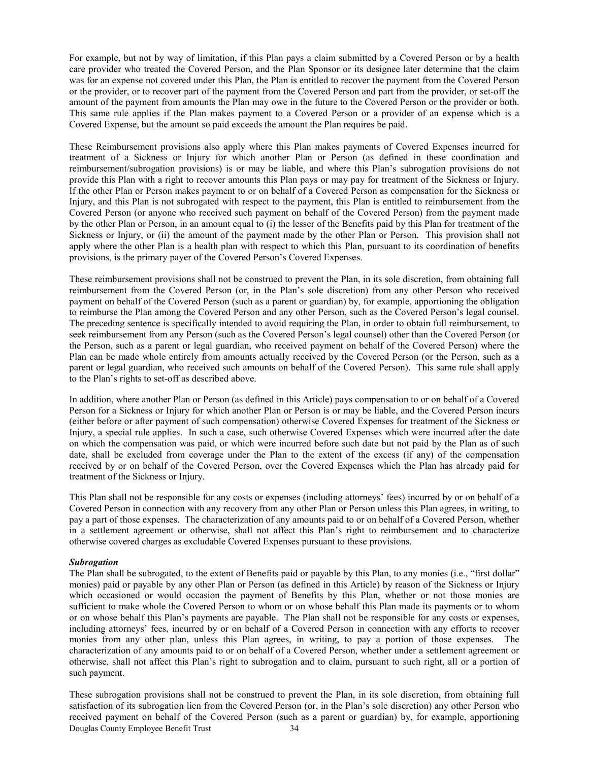For example, but not by way of limitation, if this Plan pays a claim submitted by a Covered Person or by a health care provider who treated the Covered Person, and the Plan Sponsor or its designee later determine that the claim was for an expense not covered under this Plan, the Plan is entitled to recover the payment from the Covered Person or the provider, or to recover part of the payment from the Covered Person and part from the provider, or set-off the amount of the payment from amounts the Plan may owe in the future to the Covered Person or the provider or both. This same rule applies if the Plan makes payment to a Covered Person or a provider of an expense which is a Covered Expense, but the amount so paid exceeds the amount the Plan requires be paid.

These Reimbursement provisions also apply where this Plan makes payments of Covered Expenses incurred for treatment of a Sickness or Injury for which another Plan or Person (as defined in these coordination and reimbursement/subrogation provisions) is or may be liable, and where this Plan's subrogation provisions do not provide this Plan with a right to recover amounts this Plan pays or may pay for treatment of the Sickness or Injury. If the other Plan or Person makes payment to or on behalf of a Covered Person as compensation for the Sickness or Injury, and this Plan is not subrogated with respect to the payment, this Plan is entitled to reimbursement from the Covered Person (or anyone who received such payment on behalf of the Covered Person) from the payment made by the other Plan or Person, in an amount equal to (i) the lesser of the Benefits paid by this Plan for treatment of the Sickness or Injury, or (ii) the amount of the payment made by the other Plan or Person. This provision shall not apply where the other Plan is a health plan with respect to which this Plan, pursuant to its coordination of benefits provisions, is the primary payer of the Covered Person's Covered Expenses.

These reimbursement provisions shall not be construed to prevent the Plan, in its sole discretion, from obtaining full reimbursement from the Covered Person (or, in the Plan's sole discretion) from any other Person who received payment on behalf of the Covered Person (such as a parent or guardian) by, for example, apportioning the obligation to reimburse the Plan among the Covered Person and any other Person, such as the Covered Person's legal counsel. The preceding sentence is specifically intended to avoid requiring the Plan, in order to obtain full reimbursement, to seek reimbursement from any Person (such as the Covered Person's legal counsel) other than the Covered Person (or the Person, such as a parent or legal guardian, who received payment on behalf of the Covered Person) where the Plan can be made whole entirely from amounts actually received by the Covered Person (or the Person, such as a parent or legal guardian, who received such amounts on behalf of the Covered Person). This same rule shall apply to the Plan's rights to set-off as described above.

In addition, where another Plan or Person (as defined in this Article) pays compensation to or on behalf of a Covered Person for a Sickness or Injury for which another Plan or Person is or may be liable, and the Covered Person incurs (either before or after payment of such compensation) otherwise Covered Expenses for treatment of the Sickness or Injury, a special rule applies. In such a case, such otherwise Covered Expenses which were incurred after the date on which the compensation was paid, or which were incurred before such date but not paid by the Plan as of such date, shall be excluded from coverage under the Plan to the extent of the excess (if any) of the compensation received by or on behalf of the Covered Person, over the Covered Expenses which the Plan has already paid for treatment of the Sickness or Injury.

This Plan shall not be responsible for any costs or expenses (including attorneys' fees) incurred by or on behalf of a Covered Person in connection with any recovery from any other Plan or Person unless this Plan agrees, in writing, to pay a part of those expenses. The characterization of any amounts paid to or on behalf of a Covered Person, whether in a settlement agreement or otherwise, shall not affect this Plan's right to reimbursement and to characterize otherwise covered charges as excludable Covered Expenses pursuant to these provisions.

### *Subrogation*

The Plan shall be subrogated, to the extent of Benefits paid or payable by this Plan, to any monies (i.e., "first dollar" monies) paid or payable by any other Plan or Person (as defined in this Article) by reason of the Sickness or Injury which occasioned or would occasion the payment of Benefits by this Plan, whether or not those monies are sufficient to make whole the Covered Person to whom or on whose behalf this Plan made its payments or to whom or on whose behalf this Plan's payments are payable. The Plan shall not be responsible for any costs or expenses, including attorneys' fees, incurred by or on behalf of a Covered Person in connection with any efforts to recover monies from any other plan, unless this Plan agrees, in writing, to pay a portion of those expenses. The characterization of any amounts paid to or on behalf of a Covered Person, whether under a settlement agreement or otherwise, shall not affect this Plan's right to subrogation and to claim, pursuant to such right, all or a portion of such payment.

Douglas County Employee Benefit Trust 34 These subrogation provisions shall not be construed to prevent the Plan, in its sole discretion, from obtaining full satisfaction of its subrogation lien from the Covered Person (or, in the Plan's sole discretion) any other Person who received payment on behalf of the Covered Person (such as a parent or guardian) by, for example, apportioning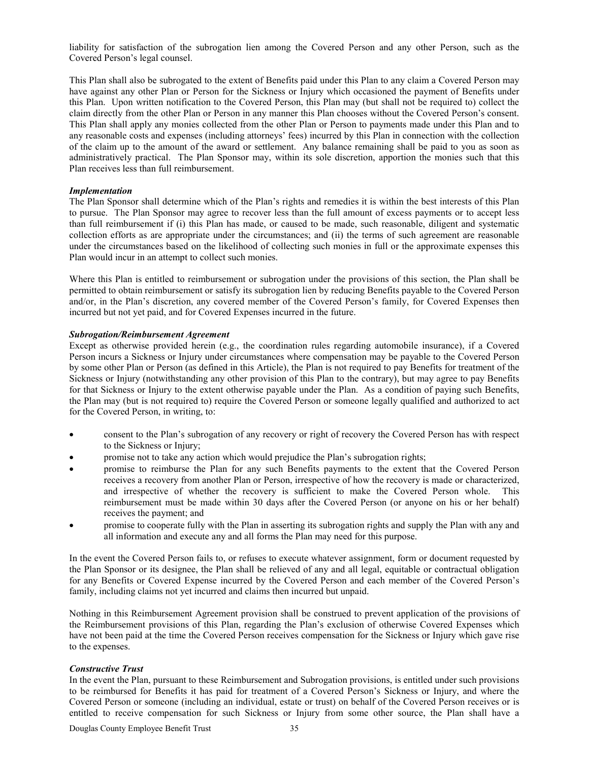liability for satisfaction of the subrogation lien among the Covered Person and any other Person, such as the Covered Person's legal counsel.

This Plan shall also be subrogated to the extent of Benefits paid under this Plan to any claim a Covered Person may have against any other Plan or Person for the Sickness or Injury which occasioned the payment of Benefits under this Plan. Upon written notification to the Covered Person, this Plan may (but shall not be required to) collect the claim directly from the other Plan or Person in any manner this Plan chooses without the Covered Person's consent. This Plan shall apply any monies collected from the other Plan or Person to payments made under this Plan and to any reasonable costs and expenses (including attorneys' fees) incurred by this Plan in connection with the collection of the claim up to the amount of the award or settlement. Any balance remaining shall be paid to you as soon as administratively practical. The Plan Sponsor may, within its sole discretion, apportion the monies such that this Plan receives less than full reimbursement.

### *Implementation*

The Plan Sponsor shall determine which of the Plan's rights and remedies it is within the best interests of this Plan to pursue. The Plan Sponsor may agree to recover less than the full amount of excess payments or to accept less than full reimbursement if (i) this Plan has made, or caused to be made, such reasonable, diligent and systematic collection efforts as are appropriate under the circumstances; and (ii) the terms of such agreement are reasonable under the circumstances based on the likelihood of collecting such monies in full or the approximate expenses this Plan would incur in an attempt to collect such monies.

Where this Plan is entitled to reimbursement or subrogation under the provisions of this section, the Plan shall be permitted to obtain reimbursement or satisfy its subrogation lien by reducing Benefits payable to the Covered Person and/or, in the Plan's discretion, any covered member of the Covered Person's family, for Covered Expenses then incurred but not yet paid, and for Covered Expenses incurred in the future.

### *Subrogation/Reimbursement Agreement*

Except as otherwise provided herein (e.g., the coordination rules regarding automobile insurance), if a Covered Person incurs a Sickness or Injury under circumstances where compensation may be payable to the Covered Person by some other Plan or Person (as defined in this Article), the Plan is not required to pay Benefits for treatment of the Sickness or Injury (notwithstanding any other provision of this Plan to the contrary), but may agree to pay Benefits for that Sickness or Injury to the extent otherwise payable under the Plan. As a condition of paying such Benefits, the Plan may (but is not required to) require the Covered Person or someone legally qualified and authorized to act for the Covered Person, in writing, to:

- consent to the Plan's subrogation of any recovery or right of recovery the Covered Person has with respect to the Sickness or Injury;
- promise not to take any action which would prejudice the Plan's subrogation rights;
- promise to reimburse the Plan for any such Benefits payments to the extent that the Covered Person receives a recovery from another Plan or Person, irrespective of how the recovery is made or characterized, and irrespective of whether the recovery is sufficient to make the Covered Person whole. This reimbursement must be made within 30 days after the Covered Person (or anyone on his or her behalf) receives the payment; and
- promise to cooperate fully with the Plan in asserting its subrogation rights and supply the Plan with any and all information and execute any and all forms the Plan may need for this purpose.

In the event the Covered Person fails to, or refuses to execute whatever assignment, form or document requested by the Plan Sponsor or its designee, the Plan shall be relieved of any and all legal, equitable or contractual obligation for any Benefits or Covered Expense incurred by the Covered Person and each member of the Covered Person's family, including claims not yet incurred and claims then incurred but unpaid.

Nothing in this Reimbursement Agreement provision shall be construed to prevent application of the provisions of the Reimbursement provisions of this Plan, regarding the Plan's exclusion of otherwise Covered Expenses which have not been paid at the time the Covered Person receives compensation for the Sickness or Injury which gave rise to the expenses.

### *Constructive Trust*

In the event the Plan, pursuant to these Reimbursement and Subrogation provisions, is entitled under such provisions to be reimbursed for Benefits it has paid for treatment of a Covered Person's Sickness or Injury, and where the Covered Person or someone (including an individual, estate or trust) on behalf of the Covered Person receives or is entitled to receive compensation for such Sickness or Injury from some other source, the Plan shall have a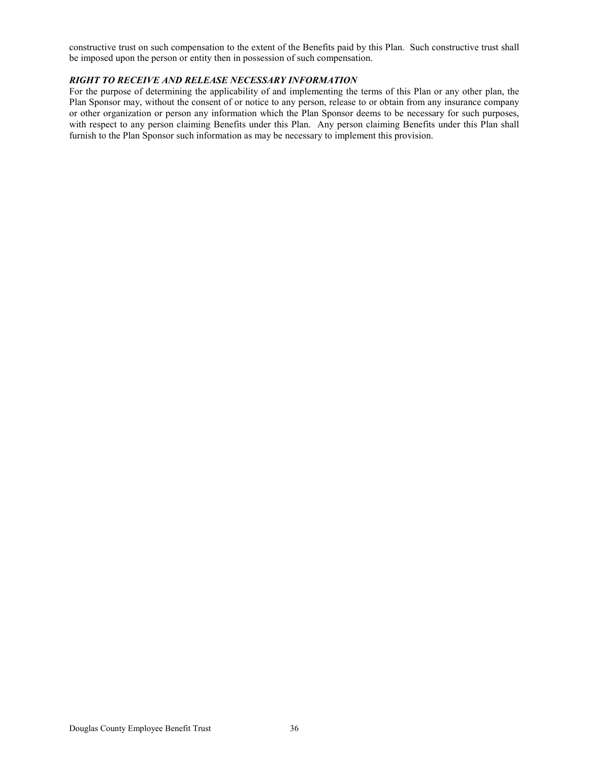constructive trust on such compensation to the extent of the Benefits paid by this Plan. Such constructive trust shall be imposed upon the person or entity then in possession of such compensation.

### *RIGHT TO RECEIVE AND RELEASE NECESSARY INFORMATION*

For the purpose of determining the applicability of and implementing the terms of this Plan or any other plan, the Plan Sponsor may, without the consent of or notice to any person, release to or obtain from any insurance company or other organization or person any information which the Plan Sponsor deems to be necessary for such purposes, with respect to any person claiming Benefits under this Plan. Any person claiming Benefits under this Plan shall furnish to the Plan Sponsor such information as may be necessary to implement this provision.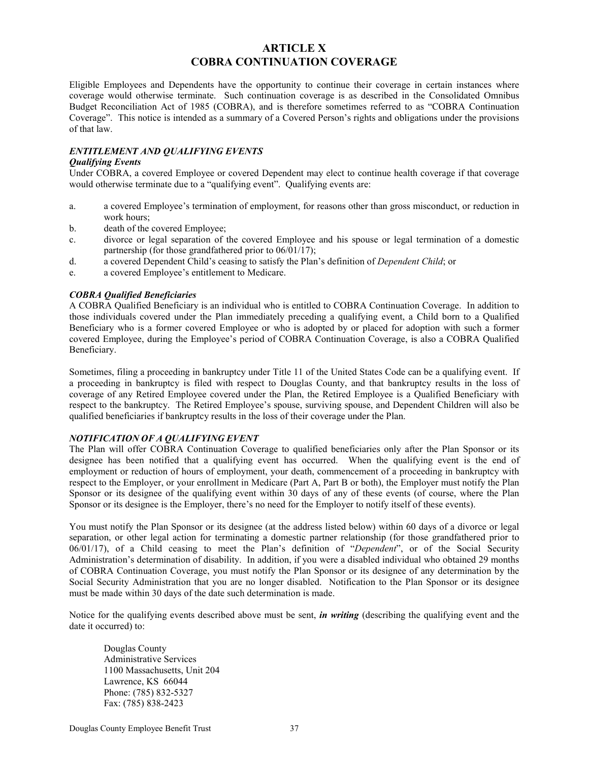### **ARTICLE X COBRA CONTINUATION COVERAGE**

Eligible Employees and Dependents have the opportunity to continue their coverage in certain instances where coverage would otherwise terminate. Such continuation coverage is as described in the Consolidated Omnibus Budget Reconciliation Act of 1985 (COBRA), and is therefore sometimes referred to as "COBRA Continuation Coverage". This notice is intended as a summary of a Covered Person's rights and obligations under the provisions of that law.

### *ENTITLEMENT AND QUALIFYING EVENTS*

### *Qualifying Events*

Under COBRA, a covered Employee or covered Dependent may elect to continue health coverage if that coverage would otherwise terminate due to a "qualifying event". Qualifying events are:

- a. a covered Employee's termination of employment, for reasons other than gross misconduct, or reduction in work hours;
- b. death of the covered Employee;
- c. divorce or legal separation of the covered Employee and his spouse or legal termination of a domestic partnership (for those grandfathered prior to 06/01/17);
- d. a covered Dependent Child's ceasing to satisfy the Plan's definition of *Dependent Child*; or
- e. a covered Employee's entitlement to Medicare.

### *COBRA Qualified Beneficiaries*

A COBRA Qualified Beneficiary is an individual who is entitled to COBRA Continuation Coverage. In addition to those individuals covered under the Plan immediately preceding a qualifying event, a Child born to a Qualified Beneficiary who is a former covered Employee or who is adopted by or placed for adoption with such a former covered Employee, during the Employee's period of COBRA Continuation Coverage, is also a COBRA Qualified Beneficiary.

Sometimes, filing a proceeding in bankruptcy under Title 11 of the United States Code can be a qualifying event. If a proceeding in bankruptcy is filed with respect to Douglas County, and that bankruptcy results in the loss of coverage of any Retired Employee covered under the Plan, the Retired Employee is a Qualified Beneficiary with respect to the bankruptcy. The Retired Employee's spouse, surviving spouse, and Dependent Children will also be qualified beneficiaries if bankruptcy results in the loss of their coverage under the Plan.

### *NOTIFICATION OF A QUALIFYING EVENT*

The Plan will offer COBRA Continuation Coverage to qualified beneficiaries only after the Plan Sponsor or its designee has been notified that a qualifying event has occurred. When the qualifying event is the end of employment or reduction of hours of employment, your death, commencement of a proceeding in bankruptcy with respect to the Employer, or your enrollment in Medicare (Part A, Part B or both), the Employer must notify the Plan Sponsor or its designee of the qualifying event within 30 days of any of these events (of course, where the Plan Sponsor or its designee is the Employer, there's no need for the Employer to notify itself of these events).

You must notify the Plan Sponsor or its designee (at the address listed below) within 60 days of a divorce or legal separation, or other legal action for terminating a domestic partner relationship (for those grandfathered prior to 06/01/17), of a Child ceasing to meet the Plan's definition of "*Dependent*", or of the Social Security Administration's determination of disability. In addition, if you were a disabled individual who obtained 29 months of COBRA Continuation Coverage, you must notify the Plan Sponsor or its designee of any determination by the Social Security Administration that you are no longer disabled. Notification to the Plan Sponsor or its designee must be made within 30 days of the date such determination is made.

Notice for the qualifying events described above must be sent, *in writing* (describing the qualifying event and the date it occurred) to:

Douglas County Administrative Services 1100 Massachusetts, Unit 204 Lawrence, KS 66044 Phone: (785) 832-5327 Fax: (785) 838-2423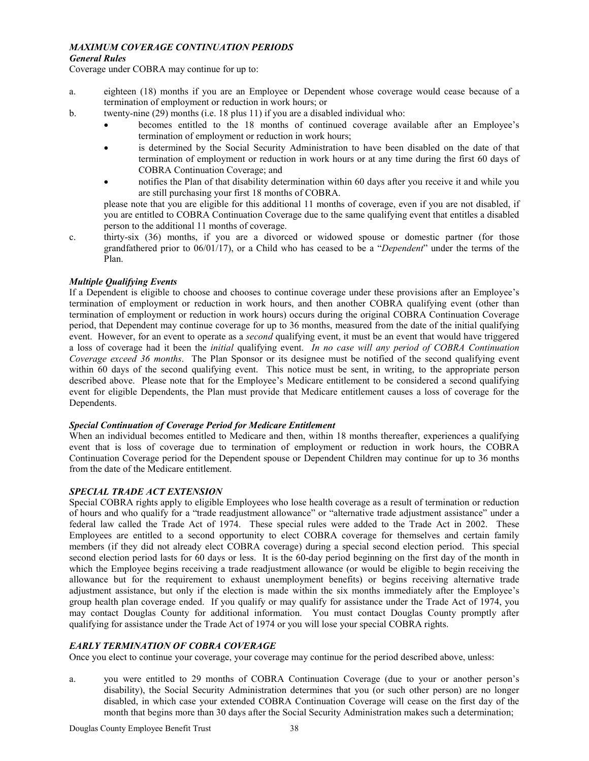### *MAXIMUM COVERAGE CONTINUATION PERIODS*

### *General Rules*

Coverage under COBRA may continue for up to:

- a. eighteen (18) months if you are an Employee or Dependent whose coverage would cease because of a termination of employment or reduction in work hours; or
- b. twenty-nine (29) months (i.e. 18 plus 11) if you are a disabled individual who:
	- becomes entitled to the 18 months of continued coverage available after an Employee's termination of employment or reduction in work hours;
	- is determined by the Social Security Administration to have been disabled on the date of that termination of employment or reduction in work hours or at any time during the first 60 days of COBRA Continuation Coverage; and
	- notifies the Plan of that disability determination within 60 days after you receive it and while you are still purchasing your first 18 months of COBRA.

please note that you are eligible for this additional 11 months of coverage, even if you are not disabled, if you are entitled to COBRA Continuation Coverage due to the same qualifying event that entitles a disabled person to the additional 11 months of coverage.

c. thirty-six (36) months, if you are a divorced or widowed spouse or domestic partner (for those grandfathered prior to 06/01/17), or a Child who has ceased to be a "*Dependent*" under the terms of the Plan.

### *Multiple Qualifying Events*

If a Dependent is eligible to choose and chooses to continue coverage under these provisions after an Employee's termination of employment or reduction in work hours, and then another COBRA qualifying event (other than termination of employment or reduction in work hours) occurs during the original COBRA Continuation Coverage period, that Dependent may continue coverage for up to 36 months, measured from the date of the initial qualifying event. However, for an event to operate as a *second* qualifying event, it must be an event that would have triggered a loss of coverage had it been the *initial* qualifying event. *In no case will any period of COBRA Continuation Coverage exceed 36 months*. The Plan Sponsor or its designee must be notified of the second qualifying event within 60 days of the second qualifying event. This notice must be sent, in writing, to the appropriate person described above. Please note that for the Employee's Medicare entitlement to be considered a second qualifying event for eligible Dependents, the Plan must provide that Medicare entitlement causes a loss of coverage for the Dependents.

### *Special Continuation of Coverage Period for Medicare Entitlement*

When an individual becomes entitled to Medicare and then, within 18 months thereafter, experiences a qualifying event that is loss of coverage due to termination of employment or reduction in work hours, the COBRA Continuation Coverage period for the Dependent spouse or Dependent Children may continue for up to 36 months from the date of the Medicare entitlement.

### *SPECIAL TRADE ACT EXTENSION*

Special COBRA rights apply to eligible Employees who lose health coverage as a result of termination or reduction of hours and who qualify for a "trade readjustment allowance" or "alternative trade adjustment assistance" under a federal law called the Trade Act of 1974. These special rules were added to the Trade Act in 2002. These Employees are entitled to a second opportunity to elect COBRA coverage for themselves and certain family members (if they did not already elect COBRA coverage) during a special second election period. This special second election period lasts for 60 days or less. It is the 60-day period beginning on the first day of the month in which the Employee begins receiving a trade readjustment allowance (or would be eligible to begin receiving the allowance but for the requirement to exhaust unemployment benefits) or begins receiving alternative trade adjustment assistance, but only if the election is made within the six months immediately after the Employee's group health plan coverage ended. If you qualify or may qualify for assistance under the Trade Act of 1974, you may contact Douglas County for additional information. You must contact Douglas County promptly after qualifying for assistance under the Trade Act of 1974 or you will lose your special COBRA rights.

### *EARLY TERMINATION OF COBRA COVERAGE*

Once you elect to continue your coverage, your coverage may continue for the period described above, unless:

a. you were entitled to 29 months of COBRA Continuation Coverage (due to your or another person's disability), the Social Security Administration determines that you (or such other person) are no longer disabled, in which case your extended COBRA Continuation Coverage will cease on the first day of the month that begins more than 30 days after the Social Security Administration makes such a determination;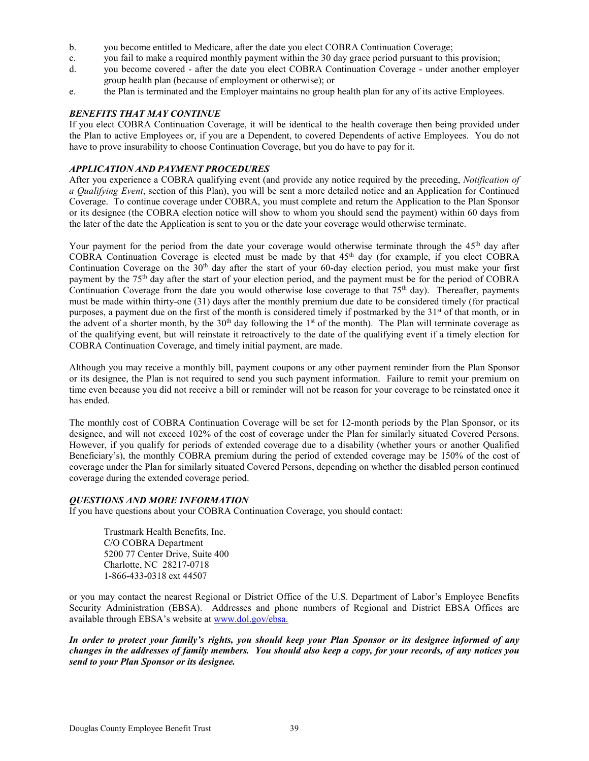- b. you become entitled to Medicare, after the date you elect COBRA Continuation Coverage;
- c. you fail to make a required monthly payment within the 30 day grace period pursuant to this provision;
- d. you become covered after the date you elect COBRA Continuation Coverage under another employer group health plan (because of employment or otherwise); or
- e. the Plan is terminated and the Employer maintains no group health plan for any of its active Employees.

### *BENEFITS THAT MAY CONTINUE*

If you elect COBRA Continuation Coverage, it will be identical to the health coverage then being provided under the Plan to active Employees or, if you are a Dependent, to covered Dependents of active Employees. You do not have to prove insurability to choose Continuation Coverage, but you do have to pay for it.

### *APPLICATION AND PAYMENT PROCEDURES*

After you experience a COBRA qualifying event (and provide any notice required by the preceding, *Notification of a Qualifying Event*, section of this Plan), you will be sent a more detailed notice and an Application for Continued Coverage. To continue coverage under COBRA, you must complete and return the Application to the Plan Sponsor or its designee (the COBRA election notice will show to whom you should send the payment) within 60 days from the later of the date the Application is sent to you or the date your coverage would otherwise terminate.

Your payment for the period from the date your coverage would otherwise terminate through the  $45<sup>th</sup>$  day after COBRA Continuation Coverage is elected must be made by that 45th day (for example, if you elect COBRA Continuation Coverage on the  $30<sup>th</sup>$  day after the start of your 60-day election period, you must make your first payment by the 75th day after the start of your election period, and the payment must be for the period of COBRA Continuation Coverage from the date you would otherwise lose coverage to that 75<sup>th</sup> day). Thereafter, payments must be made within thirty-one (31) days after the monthly premium due date to be considered timely (for practical purposes, a payment due on the first of the month is considered timely if postmarked by the  $31<sup>st</sup>$  of that month, or in the advent of a shorter month, by the  $30<sup>th</sup>$  day following the 1<sup>st</sup> of the month). The Plan will terminate coverage as of the qualifying event, but will reinstate it retroactively to the date of the qualifying event if a timely election for COBRA Continuation Coverage, and timely initial payment, are made.

Although you may receive a monthly bill, payment coupons or any other payment reminder from the Plan Sponsor or its designee, the Plan is not required to send you such payment information. Failure to remit your premium on time even because you did not receive a bill or reminder will not be reason for your coverage to be reinstated once it has ended.

The monthly cost of COBRA Continuation Coverage will be set for 12-month periods by the Plan Sponsor, or its designee, and will not exceed 102% of the cost of coverage under the Plan for similarly situated Covered Persons. However, if you qualify for periods of extended coverage due to a disability (whether yours or another Qualified Beneficiary's), the monthly COBRA premium during the period of extended coverage may be 150% of the cost of coverage under the Plan for similarly situated Covered Persons, depending on whether the disabled person continued coverage during the extended coverage period.

### *QUESTIONS AND MORE INFORMATION*

If you have questions about your COBRA Continuation Coverage, you should contact:

Trustmark Health Benefits, Inc. C/O COBRA Department 5200 77 Center Drive, Suite 400 Charlotte, NC 28217-0718 1-866-433-0318 ext 44507

or you may contact the nearest Regional or District Office of the U.S. Department of Labor's Employee Benefits Security Administration (EBSA). Addresses and phone numbers of Regional and District EBSA Offices are available through EBSA's website at [www.dol.gov/ebsa.](http://www.dol.gov/ebsa.)

*In order to protect your family's rights, you should keep your Plan Sponsor or its designee informed of any changes in the addresses of family members. You should also keep a copy, for your records, of any notices you send to your Plan Sponsor or its designee.*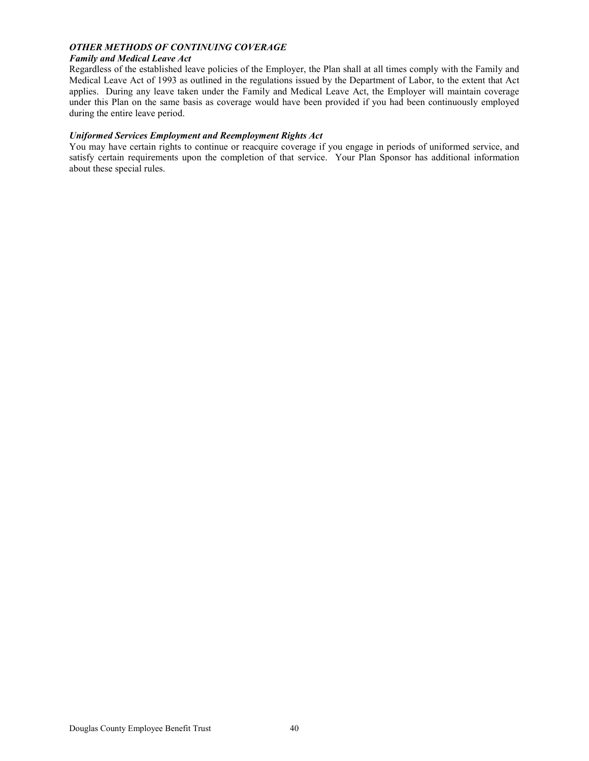### *OTHER METHODS OF CONTINUING COVERAGE*

### *Family and Medical Leave Act*

Regardless of the established leave policies of the Employer, the Plan shall at all times comply with the Family and Medical Leave Act of 1993 as outlined in the regulations issued by the Department of Labor, to the extent that Act applies. During any leave taken under the Family and Medical Leave Act, the Employer will maintain coverage under this Plan on the same basis as coverage would have been provided if you had been continuously employed during the entire leave period.

### *Uniformed Services Employment and Reemployment Rights Act*

You may have certain rights to continue or reacquire coverage if you engage in periods of uniformed service, and satisfy certain requirements upon the completion of that service. Your Plan Sponsor has additional information about these special rules.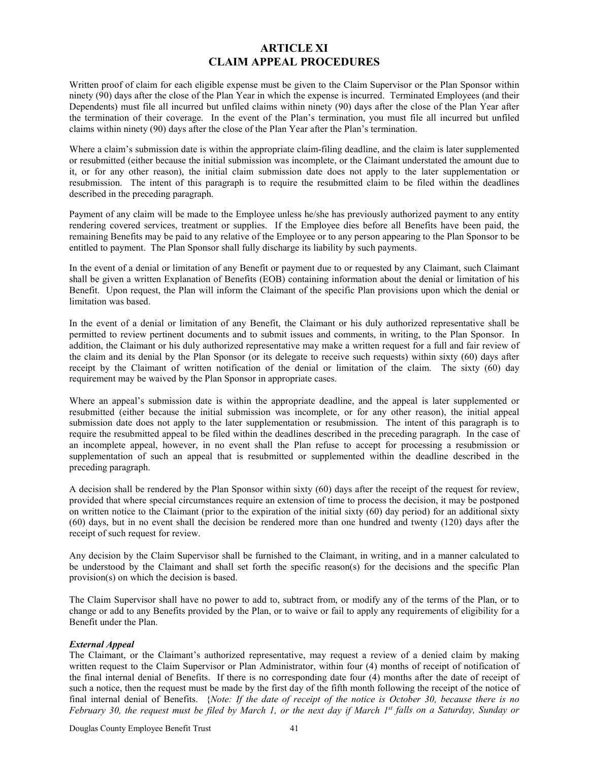### **ARTICLE XI CLAIM APPEAL PROCEDURES**

Written proof of claim for each eligible expense must be given to the Claim Supervisor or the Plan Sponsor within ninety (90) days after the close of the Plan Year in which the expense is incurred. Terminated Employees (and their Dependents) must file all incurred but unfiled claims within ninety (90) days after the close of the Plan Year after the termination of their coverage. In the event of the Plan's termination, you must file all incurred but unfiled claims within ninety (90) days after the close of the Plan Year after the Plan's termination.

Where a claim's submission date is within the appropriate claim-filing deadline, and the claim is later supplemented or resubmitted (either because the initial submission was incomplete, or the Claimant understated the amount due to it, or for any other reason), the initial claim submission date does not apply to the later supplementation or resubmission. The intent of this paragraph is to require the resubmitted claim to be filed within the deadlines described in the preceding paragraph.

Payment of any claim will be made to the Employee unless he/she has previously authorized payment to any entity rendering covered services, treatment or supplies. If the Employee dies before all Benefits have been paid, the remaining Benefits may be paid to any relative of the Employee or to any person appearing to the Plan Sponsor to be entitled to payment. The Plan Sponsor shall fully discharge its liability by such payments.

In the event of a denial or limitation of any Benefit or payment due to or requested by any Claimant, such Claimant shall be given a written Explanation of Benefits (EOB) containing information about the denial or limitation of his Benefit. Upon request, the Plan will inform the Claimant of the specific Plan provisions upon which the denial or limitation was based.

In the event of a denial or limitation of any Benefit, the Claimant or his duly authorized representative shall be permitted to review pertinent documents and to submit issues and comments, in writing, to the Plan Sponsor. In addition, the Claimant or his duly authorized representative may make a written request for a full and fair review of the claim and its denial by the Plan Sponsor (or its delegate to receive such requests) within sixty (60) days after receipt by the Claimant of written notification of the denial or limitation of the claim. The sixty (60) day requirement may be waived by the Plan Sponsor in appropriate cases.

Where an appeal's submission date is within the appropriate deadline, and the appeal is later supplemented or resubmitted (either because the initial submission was incomplete, or for any other reason), the initial appeal submission date does not apply to the later supplementation or resubmission. The intent of this paragraph is to require the resubmitted appeal to be filed within the deadlines described in the preceding paragraph. In the case of an incomplete appeal, however, in no event shall the Plan refuse to accept for processing a resubmission or supplementation of such an appeal that is resubmitted or supplemented within the deadline described in the preceding paragraph.

A decision shall be rendered by the Plan Sponsor within sixty (60) days after the receipt of the request for review, provided that where special circumstances require an extension of time to process the decision, it may be postponed on written notice to the Claimant (prior to the expiration of the initial sixty (60) day period) for an additional sixty (60) days, but in no event shall the decision be rendered more than one hundred and twenty (120) days after the receipt of such request for review.

Any decision by the Claim Supervisor shall be furnished to the Claimant, in writing, and in a manner calculated to be understood by the Claimant and shall set forth the specific reason(s) for the decisions and the specific Plan provision(s) on which the decision is based.

The Claim Supervisor shall have no power to add to, subtract from, or modify any of the terms of the Plan, or to change or add to any Benefits provided by the Plan, or to waive or fail to apply any requirements of eligibility for a Benefit under the Plan.

### *External Appeal*

The Claimant, or the Claimant's authorized representative, may request a review of a denied claim by making written request to the Claim Supervisor or Plan Administrator, within four (4) months of receipt of notification of the final internal denial of Benefits. If there is no corresponding date four (4) months after the date of receipt of such a notice, then the request must be made by the first day of the fifth month following the receipt of the notice of final internal denial of Benefits. {*Note: If the date of receipt of the notice is October 30, because there is no February 30, the request must be filed by March 1, or the next day if March 1st falls on a Saturday, Sunday or*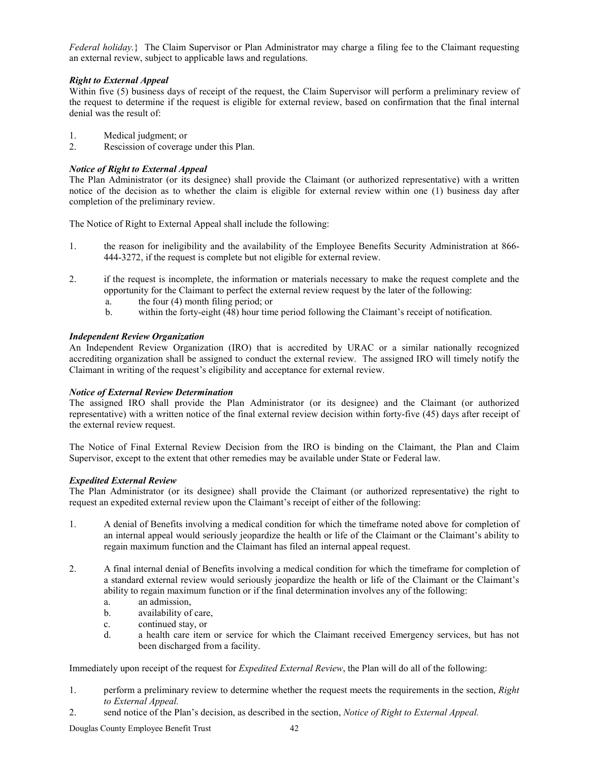*Federal holiday.*} The Claim Supervisor or Plan Administrator may charge a filing fee to the Claimant requesting an external review, subject to applicable laws and regulations.

### *Right to External Appeal*

Within five (5) business days of receipt of the request, the Claim Supervisor will perform a preliminary review of the request to determine if the request is eligible for external review, based on confirmation that the final internal denial was the result of:

- 1. Medical judgment; or
- 2. Rescission of coverage under this Plan.

### *Notice of Right to External Appeal*

The Plan Administrator (or its designee) shall provide the Claimant (or authorized representative) with a written notice of the decision as to whether the claim is eligible for external review within one (1) business day after completion of the preliminary review.

The Notice of Right to External Appeal shall include the following:

- 1. the reason for ineligibility and the availability of the Employee Benefits Security Administration at 866- 444-3272, if the request is complete but not eligible for external review.
- 2. if the request is incomplete, the information or materials necessary to make the request complete and the opportunity for the Claimant to perfect the external review request by the later of the following:
	- a. the four (4) month filing period; or
	- b. within the forty-eight (48) hour time period following the Claimant's receipt of notification.

### *Independent Review Organization*

An Independent Review Organization (IRO) that is accredited by URAC or a similar nationally recognized accrediting organization shall be assigned to conduct the external review. The assigned IRO will timely notify the Claimant in writing of the request's eligibility and acceptance for external review.

### *Notice of External Review Determination*

The assigned IRO shall provide the Plan Administrator (or its designee) and the Claimant (or authorized representative) with a written notice of the final external review decision within forty-five (45) days after receipt of the external review request.

The Notice of Final External Review Decision from the IRO is binding on the Claimant, the Plan and Claim Supervisor, except to the extent that other remedies may be available under State or Federal law.

### *Expedited External Review*

The Plan Administrator (or its designee) shall provide the Claimant (or authorized representative) the right to request an expedited external review upon the Claimant's receipt of either of the following:

- 1. A denial of Benefits involving a medical condition for which the timeframe noted above for completion of an internal appeal would seriously jeopardize the health or life of the Claimant or the Claimant's ability to regain maximum function and the Claimant has filed an internal appeal request.
- 2. A final internal denial of Benefits involving a medical condition for which the timeframe for completion of a standard external review would seriously jeopardize the health or life of the Claimant or the Claimant's ability to regain maximum function or if the final determination involves any of the following:
	- a. an admission,
	- b. availability of care,
	- c. continued stay, or
	- d. a health care item or service for which the Claimant received Emergency services, but has not been discharged from a facility.

Immediately upon receipt of the request for *Expedited External Review*, the Plan will do all of the following:

- 1. perform a preliminary review to determine whether the request meets the requirements in the section, *Right to External Appeal.*
- 2. send notice of the Plan's decision, as described in the section, *Notice of Right to External Appeal.*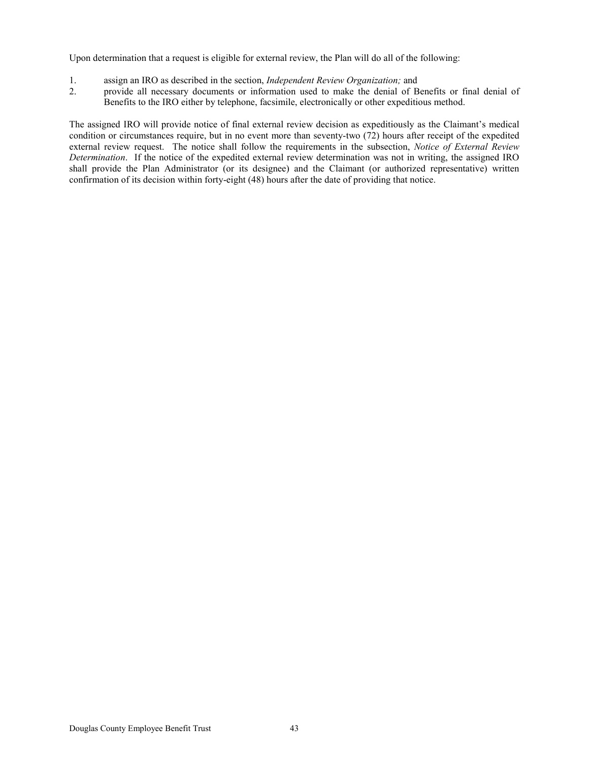Upon determination that a request is eligible for external review, the Plan will do all of the following:

- 1. assign an IRO as described in the section, *Independent Review Organization;* and
- 2. provide all necessary documents or information used to make the denial of Benefits or final denial of Benefits to the IRO either by telephone, facsimile, electronically or other expeditious method.

The assigned IRO will provide notice of final external review decision as expeditiously as the Claimant's medical condition or circumstances require, but in no event more than seventy-two (72) hours after receipt of the expedited external review request. The notice shall follow the requirements in the subsection, *Notice of External Review Determination*. If the notice of the expedited external review determination was not in writing, the assigned IRO shall provide the Plan Administrator (or its designee) and the Claimant (or authorized representative) written confirmation of its decision within forty-eight (48) hours after the date of providing that notice.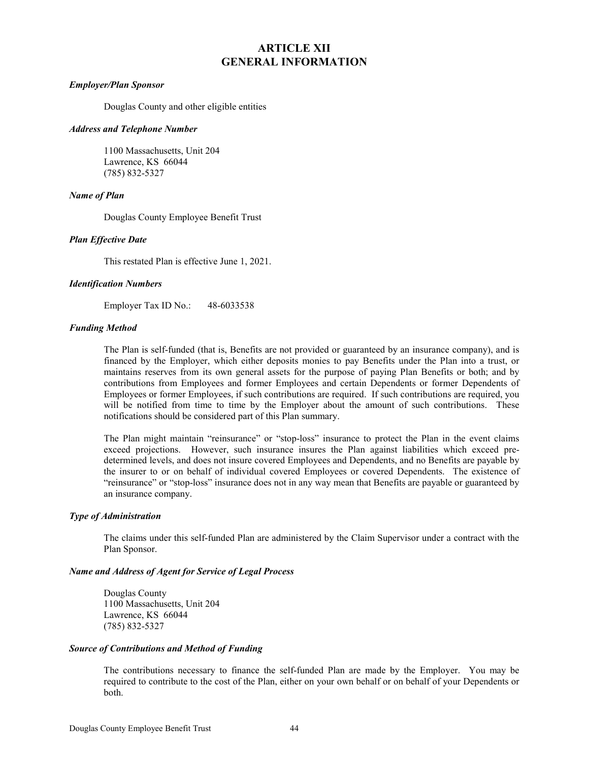### **ARTICLE XII GENERAL INFORMATION**

### *Employer/Plan Sponsor*

Douglas County and other eligible entities

#### *Address and Telephone Number*

1100 Massachusetts, Unit 204 Lawrence, KS 66044 (785) 832-5327

### *Name of Plan*

Douglas County Employee Benefit Trust

### *Plan Effective Date*

This restated Plan is effective June 1, 2021.

### *Identification Numbers*

Employer Tax ID No.: 48-6033538

### *Funding Method*

The Plan is self-funded (that is, Benefits are not provided or guaranteed by an insurance company), and is financed by the Employer, which either deposits monies to pay Benefits under the Plan into a trust, or maintains reserves from its own general assets for the purpose of paying Plan Benefits or both; and by contributions from Employees and former Employees and certain Dependents or former Dependents of Employees or former Employees, if such contributions are required. If such contributions are required, you will be notified from time to time by the Employer about the amount of such contributions. These notifications should be considered part of this Plan summary.

The Plan might maintain "reinsurance" or "stop-loss" insurance to protect the Plan in the event claims exceed projections. However, such insurance insures the Plan against liabilities which exceed predetermined levels, and does not insure covered Employees and Dependents, and no Benefits are payable by the insurer to or on behalf of individual covered Employees or covered Dependents. The existence of "reinsurance" or "stop-loss" insurance does not in any way mean that Benefits are payable or guaranteed by an insurance company.

### *Type of Administration*

The claims under this self-funded Plan are administered by the Claim Supervisor under a contract with the Plan Sponsor.

### *Name and Address of Agent for Service of Legal Process*

Douglas County 1100 Massachusetts, Unit 204 Lawrence, KS 66044 (785) 832-5327

#### *Source of Contributions and Method of Funding*

The contributions necessary to finance the self-funded Plan are made by the Employer. You may be required to contribute to the cost of the Plan, either on your own behalf or on behalf of your Dependents or both.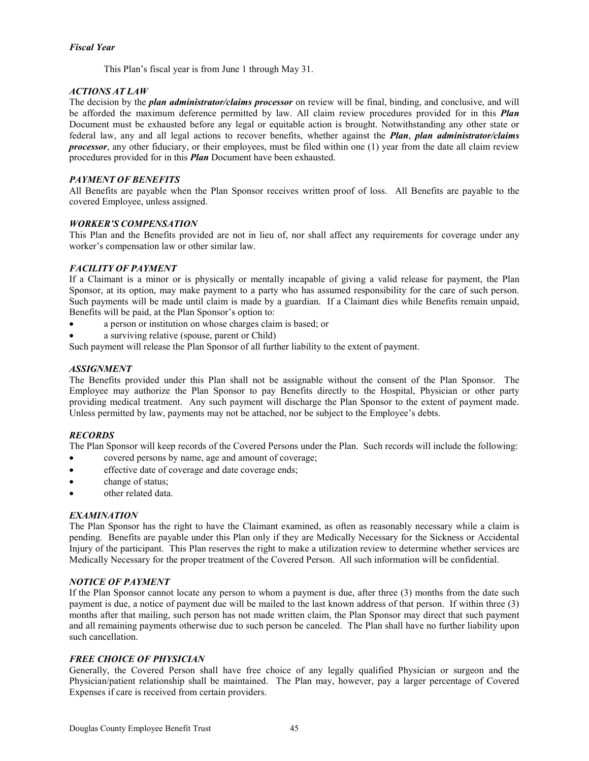### *Fiscal Year*

This Plan's fiscal year is from June 1 through May 31.

### *ACTIONS AT LAW*

The decision by the *plan administrator/claims processor* on review will be final, binding, and conclusive, and will be afforded the maximum deference permitted by law. All claim review procedures provided for in this *Plan* Document must be exhausted before any legal or equitable action is brought. Notwithstanding any other state or federal law, any and all legal actions to recover benefits, whether against the *Plan*, *plan administrator/claims processor*, any other fiduciary, or their employees, must be filed within one (1) year from the date all claim review procedures provided for in this *Plan* Document have been exhausted.

### *PAYMENT OF BENEFITS*

All Benefits are payable when the Plan Sponsor receives written proof of loss. All Benefits are payable to the covered Employee, unless assigned.

### *WORKER'S COMPENSATION*

This Plan and the Benefits provided are not in lieu of, nor shall affect any requirements for coverage under any worker's compensation law or other similar law.

### *FACILITY OF PAYMENT*

If a Claimant is a minor or is physically or mentally incapable of giving a valid release for payment, the Plan Sponsor, at its option, may make payment to a party who has assumed responsibility for the care of such person. Such payments will be made until claim is made by a guardian. If a Claimant dies while Benefits remain unpaid, Benefits will be paid, at the Plan Sponsor's option to:

- a person or institution on whose charges claim is based; or
- a surviving relative (spouse, parent or Child)

Such payment will release the Plan Sponsor of all further liability to the extent of payment.

### *ASSIGNMENT*

The Benefits provided under this Plan shall not be assignable without the consent of the Plan Sponsor. The Employee may authorize the Plan Sponsor to pay Benefits directly to the Hospital, Physician or other party providing medical treatment. Any such payment will discharge the Plan Sponsor to the extent of payment made. Unless permitted by law, payments may not be attached, nor be subject to the Employee's debts.

### *RECORDS*

The Plan Sponsor will keep records of the Covered Persons under the Plan. Such records will include the following:

- covered persons by name, age and amount of coverage;
- effective date of coverage and date coverage ends;
- change of status;
- other related data.

### *EXAMINATION*

The Plan Sponsor has the right to have the Claimant examined, as often as reasonably necessary while a claim is pending. Benefits are payable under this Plan only if they are Medically Necessary for the Sickness or Accidental Injury of the participant. This Plan reserves the right to make a utilization review to determine whether services are Medically Necessary for the proper treatment of the Covered Person. All such information will be confidential.

### *NOTICE OF PAYMENT*

If the Plan Sponsor cannot locate any person to whom a payment is due, after three (3) months from the date such payment is due, a notice of payment due will be mailed to the last known address of that person. If within three (3) months after that mailing, such person has not made written claim, the Plan Sponsor may direct that such payment and all remaining payments otherwise due to such person be canceled. The Plan shall have no further liability upon such cancellation.

### *FREE CHOICE OF PHYSICIAN*

Generally, the Covered Person shall have free choice of any legally qualified Physician or surgeon and the Physician/patient relationship shall be maintained. The Plan may, however, pay a larger percentage of Covered Expenses if care is received from certain providers.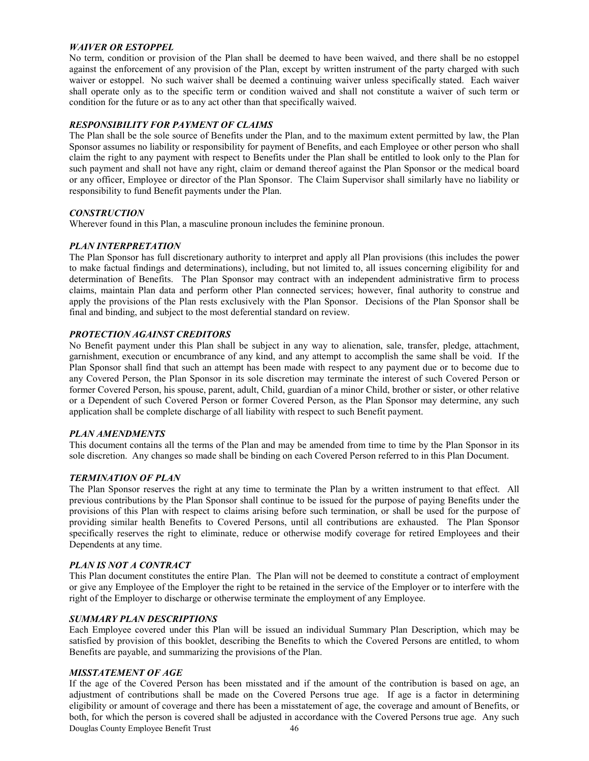### *WAIVER OR ESTOPPEL*

No term, condition or provision of the Plan shall be deemed to have been waived, and there shall be no estoppel against the enforcement of any provision of the Plan, except by written instrument of the party charged with such waiver or estoppel. No such waiver shall be deemed a continuing waiver unless specifically stated. Each waiver shall operate only as to the specific term or condition waived and shall not constitute a waiver of such term or condition for the future or as to any act other than that specifically waived.

### *RESPONSIBILITY FOR PAYMENT OF CLAIMS*

The Plan shall be the sole source of Benefits under the Plan, and to the maximum extent permitted by law, the Plan Sponsor assumes no liability or responsibility for payment of Benefits, and each Employee or other person who shall claim the right to any payment with respect to Benefits under the Plan shall be entitled to look only to the Plan for such payment and shall not have any right, claim or demand thereof against the Plan Sponsor or the medical board or any officer, Employee or director of the Plan Sponsor. The Claim Supervisor shall similarly have no liability or responsibility to fund Benefit payments under the Plan.

### *CONSTRUCTION*

Wherever found in this Plan, a masculine pronoun includes the feminine pronoun.

### *PLAN INTERPRETATION*

The Plan Sponsor has full discretionary authority to interpret and apply all Plan provisions (this includes the power to make factual findings and determinations), including, but not limited to, all issues concerning eligibility for and determination of Benefits. The Plan Sponsor may contract with an independent administrative firm to process claims, maintain Plan data and perform other Plan connected services; however, final authority to construe and apply the provisions of the Plan rests exclusively with the Plan Sponsor. Decisions of the Plan Sponsor shall be final and binding, and subject to the most deferential standard on review.

### *PROTECTION AGAINST CREDITORS*

No Benefit payment under this Plan shall be subject in any way to alienation, sale, transfer, pledge, attachment, garnishment, execution or encumbrance of any kind, and any attempt to accomplish the same shall be void. If the Plan Sponsor shall find that such an attempt has been made with respect to any payment due or to become due to any Covered Person, the Plan Sponsor in its sole discretion may terminate the interest of such Covered Person or former Covered Person, his spouse, parent, adult, Child, guardian of a minor Child, brother or sister, or other relative or a Dependent of such Covered Person or former Covered Person, as the Plan Sponsor may determine, any such application shall be complete discharge of all liability with respect to such Benefit payment.

### *PLAN AMENDMENTS*

This document contains all the terms of the Plan and may be amended from time to time by the Plan Sponsor in its sole discretion. Any changes so made shall be binding on each Covered Person referred to in this Plan Document.

### *TERMINATION OF PLAN*

The Plan Sponsor reserves the right at any time to terminate the Plan by a written instrument to that effect. All previous contributions by the Plan Sponsor shall continue to be issued for the purpose of paying Benefits under the provisions of this Plan with respect to claims arising before such termination, or shall be used for the purpose of providing similar health Benefits to Covered Persons, until all contributions are exhausted. The Plan Sponsor specifically reserves the right to eliminate, reduce or otherwise modify coverage for retired Employees and their Dependents at any time.

### *PLAN IS NOT A CONTRACT*

This Plan document constitutes the entire Plan. The Plan will not be deemed to constitute a contract of employment or give any Employee of the Employer the right to be retained in the service of the Employer or to interfere with the right of the Employer to discharge or otherwise terminate the employment of any Employee.

### *SUMMARY PLAN DESCRIPTIONS*

Each Employee covered under this Plan will be issued an individual Summary Plan Description, which may be satisfied by provision of this booklet, describing the Benefits to which the Covered Persons are entitled, to whom Benefits are payable, and summarizing the provisions of the Plan.

### *MISSTATEMENT OF AGE*

Douglas County Employee Benefit Trust 46 If the age of the Covered Person has been misstated and if the amount of the contribution is based on age, an adjustment of contributions shall be made on the Covered Persons true age. If age is a factor in determining eligibility or amount of coverage and there has been a misstatement of age, the coverage and amount of Benefits, or both, for which the person is covered shall be adjusted in accordance with the Covered Persons true age. Any such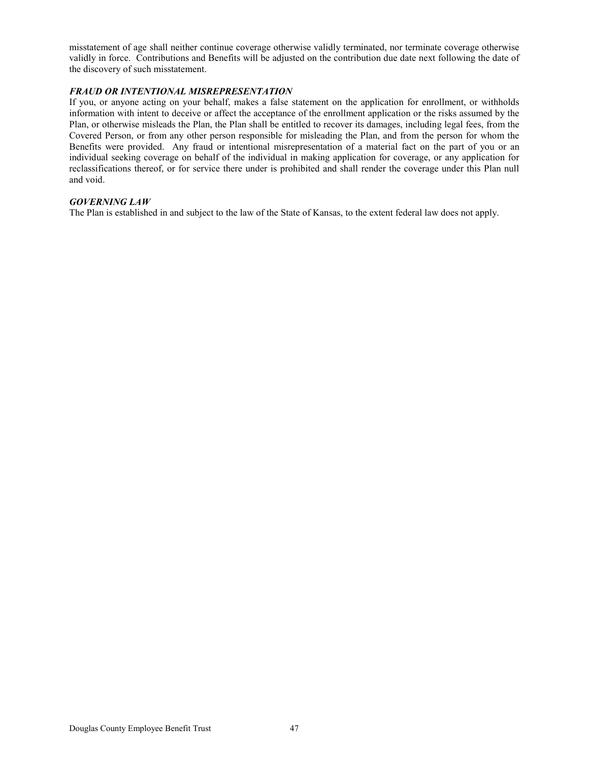misstatement of age shall neither continue coverage otherwise validly terminated, nor terminate coverage otherwise validly in force. Contributions and Benefits will be adjusted on the contribution due date next following the date of the discovery of such misstatement.

### *FRAUD OR INTENTIONAL MISREPRESENTATION*

If you, or anyone acting on your behalf, makes a false statement on the application for enrollment, or withholds information with intent to deceive or affect the acceptance of the enrollment application or the risks assumed by the Plan, or otherwise misleads the Plan, the Plan shall be entitled to recover its damages, including legal fees, from the Covered Person, or from any other person responsible for misleading the Plan, and from the person for whom the Benefits were provided. Any fraud or intentional misrepresentation of a material fact on the part of you or an individual seeking coverage on behalf of the individual in making application for coverage, or any application for reclassifications thereof, or for service there under is prohibited and shall render the coverage under this Plan null and void.

### *GOVERNING LAW*

The Plan is established in and subject to the law of the State of Kansas, to the extent federal law does not apply.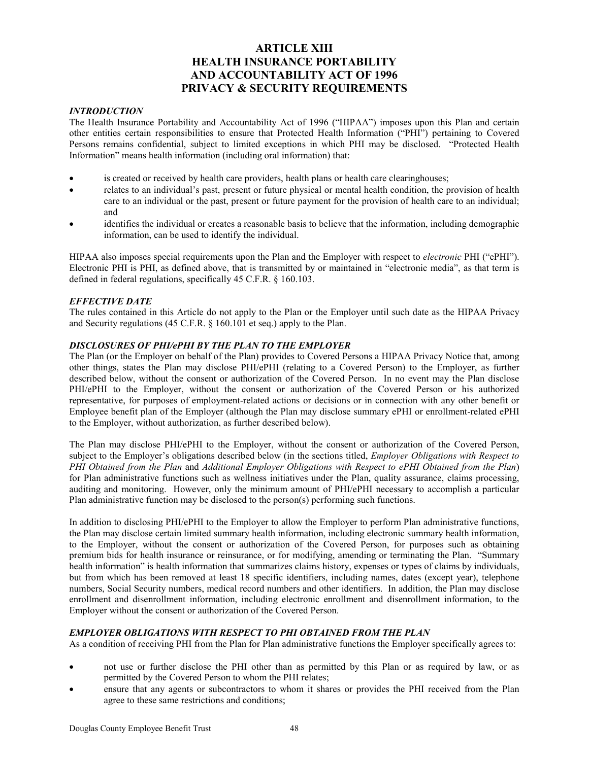### **ARTICLE XIII HEALTH INSURANCE PORTABILITY AND ACCOUNTABILITY ACT OF 1996 PRIVACY & SECURITY REQUIREMENTS**

### *INTRODUCTION*

The Health Insurance Portability and Accountability Act of 1996 ("HIPAA") imposes upon this Plan and certain other entities certain responsibilities to ensure that Protected Health Information ("PHI") pertaining to Covered Persons remains confidential, subject to limited exceptions in which PHI may be disclosed. "Protected Health Information" means health information (including oral information) that:

- is created or received by health care providers, health plans or health care clearinghouses;
- relates to an individual's past, present or future physical or mental health condition, the provision of health care to an individual or the past, present or future payment for the provision of health care to an individual; and
- identifies the individual or creates a reasonable basis to believe that the information, including demographic information, can be used to identify the individual.

HIPAA also imposes special requirements upon the Plan and the Employer with respect to *electronic* PHI ("ePHI"). Electronic PHI is PHI, as defined above, that is transmitted by or maintained in "electronic media", as that term is defined in federal regulations, specifically 45 C.F.R. § 160.103.

### *EFFECTIVE DATE*

The rules contained in this Article do not apply to the Plan or the Employer until such date as the HIPAA Privacy and Security regulations (45 C.F.R. § 160.101 et seq.) apply to the Plan.

### *DISCLOSURES OF PHI/ePHI BY THE PLAN TO THE EMPLOYER*

The Plan (or the Employer on behalf of the Plan) provides to Covered Persons a HIPAA Privacy Notice that, among other things, states the Plan may disclose PHI/ePHI (relating to a Covered Person) to the Employer, as further described below, without the consent or authorization of the Covered Person. In no event may the Plan disclose PHI/ePHI to the Employer, without the consent or authorization of the Covered Person or his authorized representative, for purposes of employment-related actions or decisions or in connection with any other benefit or Employee benefit plan of the Employer (although the Plan may disclose summary ePHI or enrollment-related ePHI to the Employer, without authorization, as further described below).

The Plan may disclose PHI/ePHI to the Employer, without the consent or authorization of the Covered Person, subject to the Employer's obligations described below (in the sections titled, *Employer Obligations with Respect to PHI Obtained from the Plan* and *Additional Employer Obligations with Respect to ePHI Obtained from the Plan*) for Plan administrative functions such as wellness initiatives under the Plan, quality assurance, claims processing, auditing and monitoring. However, only the minimum amount of PHI/ePHI necessary to accomplish a particular Plan administrative function may be disclosed to the person(s) performing such functions.

In addition to disclosing PHI/ePHI to the Employer to allow the Employer to perform Plan administrative functions, the Plan may disclose certain limited summary health information, including electronic summary health information, to the Employer, without the consent or authorization of the Covered Person, for purposes such as obtaining premium bids for health insurance or reinsurance, or for modifying, amending or terminating the Plan. "Summary health information" is health information that summarizes claims history, expenses or types of claims by individuals, but from which has been removed at least 18 specific identifiers, including names, dates (except year), telephone numbers, Social Security numbers, medical record numbers and other identifiers. In addition, the Plan may disclose enrollment and disenrollment information, including electronic enrollment and disenrollment information, to the Employer without the consent or authorization of the Covered Person.

### *EMPLOYER OBLIGATIONS WITH RESPECT TO PHI OBTAINED FROM THE PLAN*

As a condition of receiving PHI from the Plan for Plan administrative functions the Employer specifically agrees to:

- not use or further disclose the PHI other than as permitted by this Plan or as required by law, or as permitted by the Covered Person to whom the PHI relates;
- ensure that any agents or subcontractors to whom it shares or provides the PHI received from the Plan agree to these same restrictions and conditions;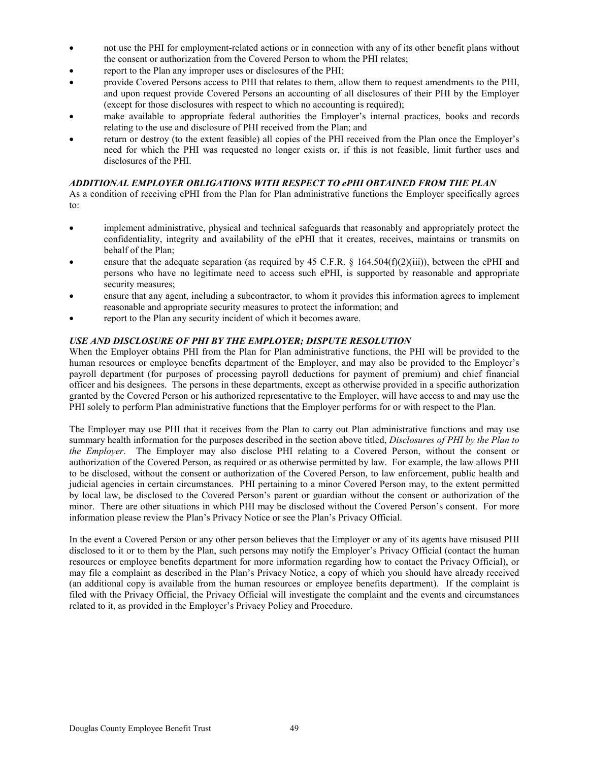- not use the PHI for employment-related actions or in connection with any of its other benefit plans without the consent or authorization from the Covered Person to whom the PHI relates;
- report to the Plan any improper uses or disclosures of the PHI;
- provide Covered Persons access to PHI that relates to them, allow them to request amendments to the PHI, and upon request provide Covered Persons an accounting of all disclosures of their PHI by the Employer (except for those disclosures with respect to which no accounting is required);
- make available to appropriate federal authorities the Employer's internal practices, books and records relating to the use and disclosure of PHI received from the Plan; and
- return or destroy (to the extent feasible) all copies of the PHI received from the Plan once the Employer's need for which the PHI was requested no longer exists or, if this is not feasible, limit further uses and disclosures of the PHI.

### *ADDITIONAL EMPLOYER OBLIGATIONS WITH RESPECT TO ePHI OBTAINED FROM THE PLAN*

As a condition of receiving ePHI from the Plan for Plan administrative functions the Employer specifically agrees to:

- implement administrative, physical and technical safeguards that reasonably and appropriately protect the confidentiality, integrity and availability of the ePHI that it creates, receives, maintains or transmits on behalf of the Plan;
- ensure that the adequate separation (as required by 45 C.F.R. § 164.504(f)(2)(iii)), between the ePHI and persons who have no legitimate need to access such ePHI, is supported by reasonable and appropriate security measures;
- ensure that any agent, including a subcontractor, to whom it provides this information agrees to implement reasonable and appropriate security measures to protect the information; and
- report to the Plan any security incident of which it becomes aware.

### *USE AND DISCLOSURE OF PHI BY THE EMPLOYER; DISPUTE RESOLUTION*

When the Employer obtains PHI from the Plan for Plan administrative functions, the PHI will be provided to the human resources or employee benefits department of the Employer, and may also be provided to the Employer's payroll department (for purposes of processing payroll deductions for payment of premium) and chief financial officer and his designees. The persons in these departments, except as otherwise provided in a specific authorization granted by the Covered Person or his authorized representative to the Employer, will have access to and may use the PHI solely to perform Plan administrative functions that the Employer performs for or with respect to the Plan.

The Employer may use PHI that it receives from the Plan to carry out Plan administrative functions and may use summary health information for the purposes described in the section above titled, *Disclosures of PHI by the Plan to the Employer*. The Employer may also disclose PHI relating to a Covered Person, without the consent or authorization of the Covered Person, as required or as otherwise permitted by law. For example, the law allows PHI to be disclosed, without the consent or authorization of the Covered Person, to law enforcement, public health and judicial agencies in certain circumstances. PHI pertaining to a minor Covered Person may, to the extent permitted by local law, be disclosed to the Covered Person's parent or guardian without the consent or authorization of the minor. There are other situations in which PHI may be disclosed without the Covered Person's consent. For more information please review the Plan's Privacy Notice or see the Plan's Privacy Official.

In the event a Covered Person or any other person believes that the Employer or any of its agents have misused PHI disclosed to it or to them by the Plan, such persons may notify the Employer's Privacy Official (contact the human resources or employee benefits department for more information regarding how to contact the Privacy Official), or may file a complaint as described in the Plan's Privacy Notice, a copy of which you should have already received (an additional copy is available from the human resources or employee benefits department). If the complaint is filed with the Privacy Official, the Privacy Official will investigate the complaint and the events and circumstances related to it, as provided in the Employer's Privacy Policy and Procedure.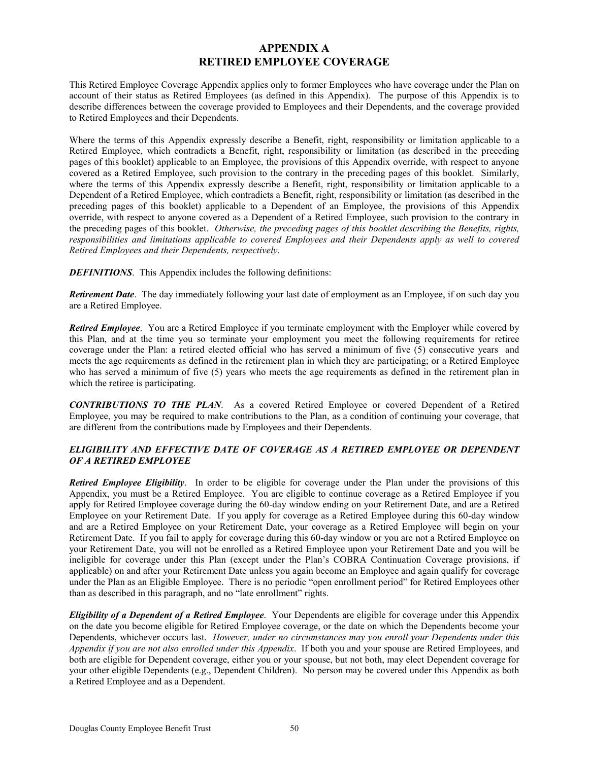### **APPENDIX A RETIRED EMPLOYEE COVERAGE**

This Retired Employee Coverage Appendix applies only to former Employees who have coverage under the Plan on account of their status as Retired Employees (as defined in this Appendix). The purpose of this Appendix is to describe differences between the coverage provided to Employees and their Dependents, and the coverage provided to Retired Employees and their Dependents.

Where the terms of this Appendix expressly describe a Benefit, right, responsibility or limitation applicable to a Retired Employee, which contradicts a Benefit, right, responsibility or limitation (as described in the preceding pages of this booklet) applicable to an Employee, the provisions of this Appendix override, with respect to anyone covered as a Retired Employee, such provision to the contrary in the preceding pages of this booklet. Similarly, where the terms of this Appendix expressly describe a Benefit, right, responsibility or limitation applicable to a Dependent of a Retired Employee, which contradicts a Benefit, right, responsibility or limitation (as described in the preceding pages of this booklet) applicable to a Dependent of an Employee, the provisions of this Appendix override, with respect to anyone covered as a Dependent of a Retired Employee, such provision to the contrary in the preceding pages of this booklet. *Otherwise, the preceding pages of this booklet describing the Benefits, rights, responsibilities and limitations applicable to covered Employees and their Dependents apply as well to covered Retired Employees and their Dependents, respectively*.

*DEFINITIONS*. This Appendix includes the following definitions:

*Retirement Date*. The day immediately following your last date of employment as an Employee, if on such day you are a Retired Employee.

*Retired Employee*. You are a Retired Employee if you terminate employment with the Employer while covered by this Plan, and at the time you so terminate your employment you meet the following requirements for retiree coverage under the Plan: a retired elected official who has served a minimum of five (5) consecutive years and meets the age requirements as defined in the retirement plan in which they are participating; or a Retired Employee who has served a minimum of five (5) years who meets the age requirements as defined in the retirement plan in which the retiree is participating.

*CONTRIBUTIONS TO THE PLAN*. As a covered Retired Employee or covered Dependent of a Retired Employee, you may be required to make contributions to the Plan, as a condition of continuing your coverage, that are different from the contributions made by Employees and their Dependents.

### *ELIGIBILITY AND EFFECTIVE DATE OF COVERAGE AS A RETIRED EMPLOYEE OR DEPENDENT OF A RETIRED EMPLOYEE*

*Retired Employee Eligibility*. In order to be eligible for coverage under the Plan under the provisions of this Appendix, you must be a Retired Employee. You are eligible to continue coverage as a Retired Employee if you apply for Retired Employee coverage during the 60-day window ending on your Retirement Date, and are a Retired Employee on your Retirement Date. If you apply for coverage as a Retired Employee during this 60-day window and are a Retired Employee on your Retirement Date, your coverage as a Retired Employee will begin on your Retirement Date. If you fail to apply for coverage during this 60-day window or you are not a Retired Employee on your Retirement Date, you will not be enrolled as a Retired Employee upon your Retirement Date and you will be ineligible for coverage under this Plan (except under the Plan's COBRA Continuation Coverage provisions, if applicable) on and after your Retirement Date unless you again become an Employee and again qualify for coverage under the Plan as an Eligible Employee. There is no periodic "open enrollment period" for Retired Employees other than as described in this paragraph, and no "late enrollment" rights.

*Eligibility of a Dependent of a Retired Employee*. Your Dependents are eligible for coverage under this Appendix on the date you become eligible for Retired Employee coverage, or the date on which the Dependents become your Dependents, whichever occurs last. *However, under no circumstances may you enroll your Dependents under this Appendix if you are not also enrolled under this Appendix*. If both you and your spouse are Retired Employees, and both are eligible for Dependent coverage, either you or your spouse, but not both, may elect Dependent coverage for your other eligible Dependents (e.g., Dependent Children). No person may be covered under this Appendix as both a Retired Employee and as a Dependent.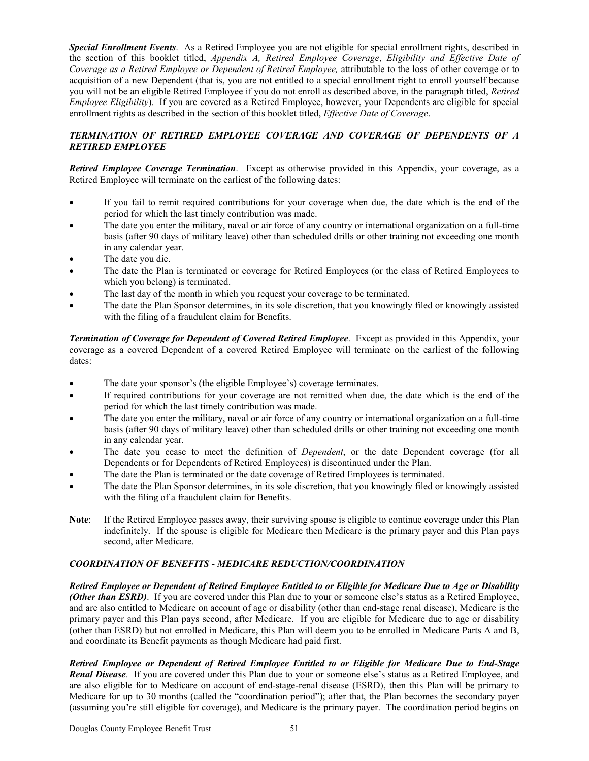*Special Enrollment Events*. As a Retired Employee you are not eligible for special enrollment rights, described in the section of this booklet titled, *Appendix A, Retired Employee Coverage*, *Eligibility and Effective Date of Coverage as a Retired Employee or Dependent of Retired Employee,* attributable to the loss of other coverage or to acquisition of a new Dependent (that is, you are not entitled to a special enrollment right to enroll yourself because you will not be an eligible Retired Employee if you do not enroll as described above, in the paragraph titled, *Retired Employee Eligibility*). If you are covered as a Retired Employee, however, your Dependents are eligible for special enrollment rights as described in the section of this booklet titled, *Effective Date of Coverage*.

### *TERMINATION OF RETIRED EMPLOYEE COVERAGE AND COVERAGE OF DEPENDENTS OF A RETIRED EMPLOYEE*

*Retired Employee Coverage Termination*. Except as otherwise provided in this Appendix, your coverage, as a Retired Employee will terminate on the earliest of the following dates:

- If you fail to remit required contributions for your coverage when due, the date which is the end of the period for which the last timely contribution was made.
- The date you enter the military, naval or air force of any country or international organization on a full-time basis (after 90 days of military leave) other than scheduled drills or other training not exceeding one month in any calendar year.
- The date you die.
- The date the Plan is terminated or coverage for Retired Employees (or the class of Retired Employees to which you belong) is terminated.
- The last day of the month in which you request your coverage to be terminated.
- The date the Plan Sponsor determines, in its sole discretion, that you knowingly filed or knowingly assisted with the filing of a fraudulent claim for Benefits.

*Termination of Coverage for Dependent of Covered Retired Employee*. Except as provided in this Appendix, your coverage as a covered Dependent of a covered Retired Employee will terminate on the earliest of the following dates:

- The date your sponsor's (the eligible Employee's) coverage terminates.
- If required contributions for your coverage are not remitted when due, the date which is the end of the period for which the last timely contribution was made.
- The date you enter the military, naval or air force of any country or international organization on a full-time basis (after 90 days of military leave) other than scheduled drills or other training not exceeding one month in any calendar year.
- The date you cease to meet the definition of *Dependent*, or the date Dependent coverage (for all Dependents or for Dependents of Retired Employees) is discontinued under the Plan.
- The date the Plan is terminated or the date coverage of Retired Employees is terminated.
- The date the Plan Sponsor determines, in its sole discretion, that you knowingly filed or knowingly assisted with the filing of a fraudulent claim for Benefits.
- **Note**: If the Retired Employee passes away, their surviving spouse is eligible to continue coverage under this Plan indefinitely. If the spouse is eligible for Medicare then Medicare is the primary payer and this Plan pays second, after Medicare.

### *COORDINATION OF BENEFITS - MEDICARE REDUCTION/COORDINATION*

*Retired Employee or Dependent of Retired Employee Entitled to or Eligible for Medicare Due to Age or Disability (Other than ESRD)*. If you are covered under this Plan due to your or someone else's status as a Retired Employee, and are also entitled to Medicare on account of age or disability (other than end-stage renal disease), Medicare is the primary payer and this Plan pays second, after Medicare. If you are eligible for Medicare due to age or disability (other than ESRD) but not enrolled in Medicare, this Plan will deem you to be enrolled in Medicare Parts A and B, and coordinate its Benefit payments as though Medicare had paid first.

*Retired Employee or Dependent of Retired Employee Entitled to or Eligible for Medicare Due to End-Stage Renal Disease*. If you are covered under this Plan due to your or someone else's status as a Retired Employee, and are also eligible for to Medicare on account of end-stage-renal disease (ESRD), then this Plan will be primary to Medicare for up to 30 months (called the "coordination period"); after that, the Plan becomes the secondary payer (assuming you're still eligible for coverage), and Medicare is the primary payer. The coordination period begins on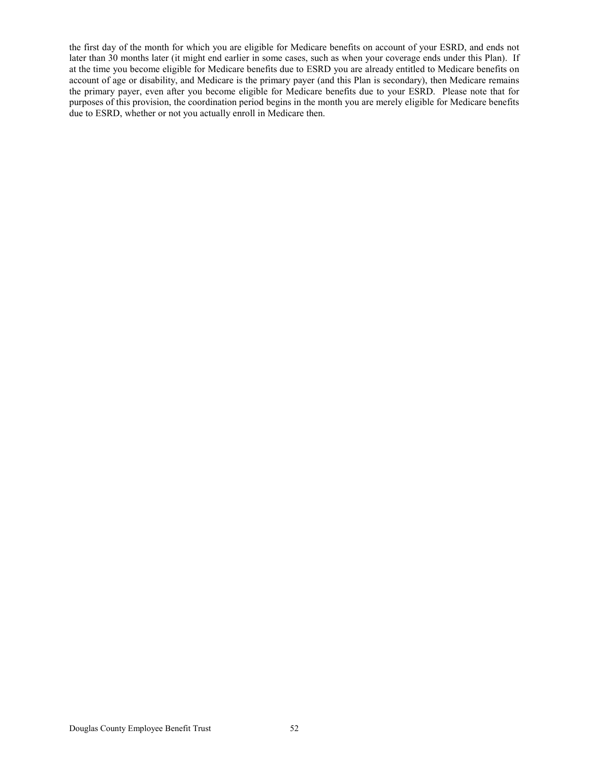the first day of the month for which you are eligible for Medicare benefits on account of your ESRD, and ends not later than 30 months later (it might end earlier in some cases, such as when your coverage ends under this Plan). If at the time you become eligible for Medicare benefits due to ESRD you are already entitled to Medicare benefits on account of age or disability, and Medicare is the primary payer (and this Plan is secondary), then Medicare remains the primary payer, even after you become eligible for Medicare benefits due to your ESRD. Please note that for purposes of this provision, the coordination period begins in the month you are merely eligible for Medicare benefits due to ESRD, whether or not you actually enroll in Medicare then.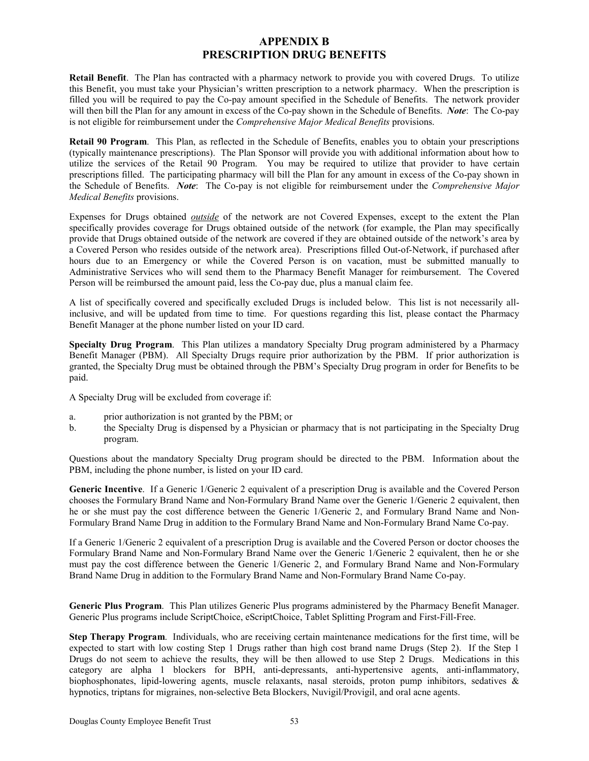### **APPENDIX B PRESCRIPTION DRUG BENEFITS**

**Retail Benefit**. The Plan has contracted with a pharmacy network to provide you with covered Drugs. To utilize this Benefit, you must take your Physician's written prescription to a network pharmacy. When the prescription is filled you will be required to pay the Co-pay amount specified in the Schedule of Benefits. The network provider will then bill the Plan for any amount in excess of the Co-pay shown in the Schedule of Benefits. *Note*: The Co-pay is not eligible for reimbursement under the *Comprehensive Major Medical Benefits* provisions.

**Retail 90 Program**. This Plan, as reflected in the Schedule of Benefits, enables you to obtain your prescriptions (typically maintenance prescriptions). The Plan Sponsor will provide you with additional information about how to utilize the services of the Retail 90 Program. You may be required to utilize that provider to have certain prescriptions filled. The participating pharmacy will bill the Plan for any amount in excess of the Co-pay shown in the Schedule of Benefits. *Note*: The Co-pay is not eligible for reimbursement under the *Comprehensive Major Medical Benefits* provisions.

Expenses for Drugs obtained *outside* of the network are not Covered Expenses, except to the extent the Plan specifically provides coverage for Drugs obtained outside of the network (for example, the Plan may specifically provide that Drugs obtained outside of the network are covered if they are obtained outside of the network's area by a Covered Person who resides outside of the network area). Prescriptions filled Out-of-Network, if purchased after hours due to an Emergency or while the Covered Person is on vacation, must be submitted manually to Administrative Services who will send them to the Pharmacy Benefit Manager for reimbursement. The Covered Person will be reimbursed the amount paid, less the Co-pay due, plus a manual claim fee.

A list of specifically covered and specifically excluded Drugs is included below. This list is not necessarily allinclusive, and will be updated from time to time. For questions regarding this list, please contact the Pharmacy Benefit Manager at the phone number listed on your ID card.

**Specialty Drug Program**. This Plan utilizes a mandatory Specialty Drug program administered by a Pharmacy Benefit Manager (PBM). All Specialty Drugs require prior authorization by the PBM. If prior authorization is granted, the Specialty Drug must be obtained through the PBM's Specialty Drug program in order for Benefits to be paid.

A Specialty Drug will be excluded from coverage if:

- a. prior authorization is not granted by the PBM; or
- b. the Specialty Drug is dispensed by a Physician or pharmacy that is not participating in the Specialty Drug program.

Questions about the mandatory Specialty Drug program should be directed to the PBM. Information about the PBM, including the phone number, is listed on your ID card.

**Generic Incentive**. If a Generic 1/Generic 2 equivalent of a prescription Drug is available and the Covered Person chooses the Formulary Brand Name and Non-Formulary Brand Name over the Generic 1/Generic 2 equivalent, then he or she must pay the cost difference between the Generic 1/Generic 2, and Formulary Brand Name and Non-Formulary Brand Name Drug in addition to the Formulary Brand Name and Non-Formulary Brand Name Co-pay.

If a Generic 1/Generic 2 equivalent of a prescription Drug is available and the Covered Person or doctor chooses the Formulary Brand Name and Non-Formulary Brand Name over the Generic 1/Generic 2 equivalent, then he or she must pay the cost difference between the Generic 1/Generic 2, and Formulary Brand Name and Non-Formulary Brand Name Drug in addition to the Formulary Brand Name and Non-Formulary Brand Name Co-pay.

**Generic Plus Program**. This Plan utilizes Generic Plus programs administered by the Pharmacy Benefit Manager. Generic Plus programs include ScriptChoice, eScriptChoice, Tablet Splitting Program and First-Fill-Free.

**Step Therapy Program**. Individuals, who are receiving certain maintenance medications for the first time, will be expected to start with low costing Step 1 Drugs rather than high cost brand name Drugs (Step 2). If the Step 1 Drugs do not seem to achieve the results, they will be then allowed to use Step 2 Drugs. Medications in this category are alpha 1 blockers for BPH, anti-depressants, anti-hypertensive agents, anti-inflammatory, biophosphonates, lipid-lowering agents, muscle relaxants, nasal steroids, proton pump inhibitors, sedatives & hypnotics, triptans for migraines, non-selective Beta Blockers, Nuvigil/Provigil, and oral acne agents.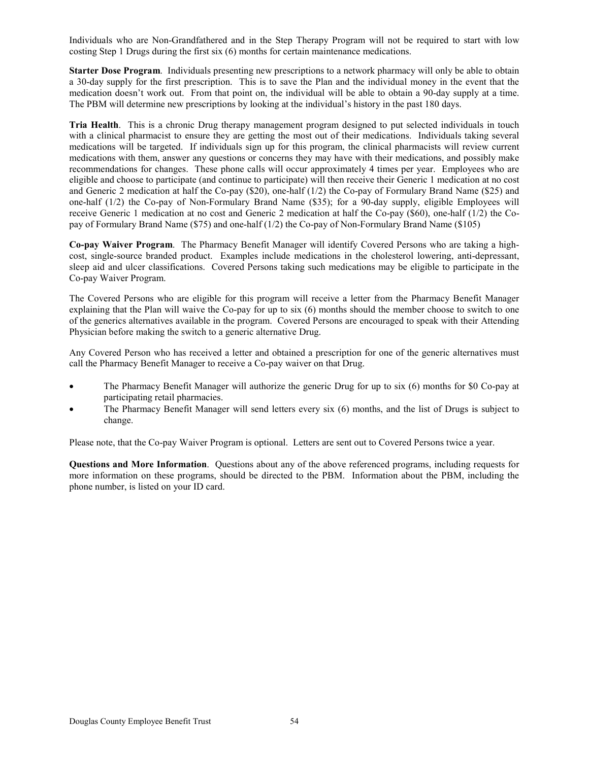Individuals who are Non-Grandfathered and in the Step Therapy Program will not be required to start with low costing Step 1 Drugs during the first six (6) months for certain maintenance medications.

**Starter Dose Program**. Individuals presenting new prescriptions to a network pharmacy will only be able to obtain a 30-day supply for the first prescription. This is to save the Plan and the individual money in the event that the medication doesn't work out. From that point on, the individual will be able to obtain a 90-day supply at a time. The PBM will determine new prescriptions by looking at the individual's history in the past 180 days.

**Tria Health**. This is a chronic Drug therapy management program designed to put selected individuals in touch with a clinical pharmacist to ensure they are getting the most out of their medications. Individuals taking several medications will be targeted. If individuals sign up for this program, the clinical pharmacists will review current medications with them, answer any questions or concerns they may have with their medications, and possibly make recommendations for changes. These phone calls will occur approximately 4 times per year. Employees who are eligible and choose to participate (and continue to participate) will then receive their Generic 1 medication at no cost and Generic 2 medication at half the Co-pay (\$20), one-half (1/2) the Co-pay of Formulary Brand Name (\$25) and one-half (1/2) the Co-pay of Non-Formulary Brand Name (\$35); for a 90-day supply, eligible Employees will receive Generic 1 medication at no cost and Generic 2 medication at half the Co-pay (\$60), one-half (1/2) the Copay of Formulary Brand Name (\$75) and one-half (1/2) the Co-pay of Non-Formulary Brand Name (\$105)

**Co-pay Waiver Program**. The Pharmacy Benefit Manager will identify Covered Persons who are taking a highcost, single-source branded product. Examples include medications in the cholesterol lowering, anti-depressant, sleep aid and ulcer classifications. Covered Persons taking such medications may be eligible to participate in the Co-pay Waiver Program.

The Covered Persons who are eligible for this program will receive a letter from the Pharmacy Benefit Manager explaining that the Plan will waive the Co-pay for up to six (6) months should the member choose to switch to one of the generics alternatives available in the program. Covered Persons are encouraged to speak with their Attending Physician before making the switch to a generic alternative Drug.

Any Covered Person who has received a letter and obtained a prescription for one of the generic alternatives must call the Pharmacy Benefit Manager to receive a Co-pay waiver on that Drug.

- The Pharmacy Benefit Manager will authorize the generic Drug for up to six (6) months for \$0 Co-pay at participating retail pharmacies.
- The Pharmacy Benefit Manager will send letters every six (6) months, and the list of Drugs is subject to change.

Please note, that the Co-pay Waiver Program is optional. Letters are sent out to Covered Persons twice a year.

**Questions and More Information**. Questions about any of the above referenced programs, including requests for more information on these programs, should be directed to the PBM. Information about the PBM, including the phone number, is listed on your ID card.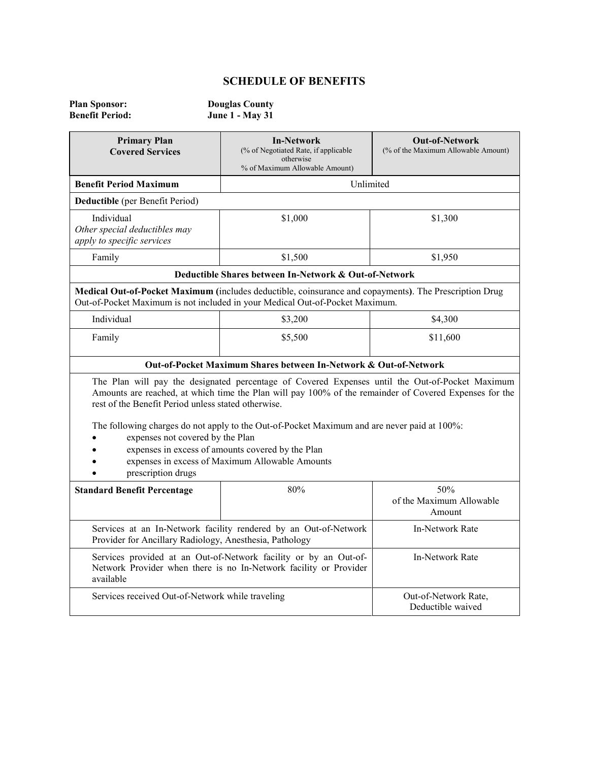## **SCHEDULE OF BENEFITS**

| <b>Plan Sponsor:</b>   | <b>Douglas County</b>  |
|------------------------|------------------------|
| <b>Benefit Period:</b> | <b>June 1 - May 31</b> |

| <b>Primary Plan</b><br><b>Covered Services</b>                                                                                                                                                                                                                | <b>In-Network</b><br>(% of Negotiated Rate, if applicable<br>otherwise<br>% of Maximum Allowable Amount)                                                                                                  | <b>Out-of-Network</b><br>(% of the Maximum Allowable Amount) |
|---------------------------------------------------------------------------------------------------------------------------------------------------------------------------------------------------------------------------------------------------------------|-----------------------------------------------------------------------------------------------------------------------------------------------------------------------------------------------------------|--------------------------------------------------------------|
| <b>Benefit Period Maximum</b>                                                                                                                                                                                                                                 | Unlimited                                                                                                                                                                                                 |                                                              |
| Deductible (per Benefit Period)                                                                                                                                                                                                                               |                                                                                                                                                                                                           |                                                              |
| Individual<br>Other special deductibles may<br>apply to specific services                                                                                                                                                                                     | \$1,000                                                                                                                                                                                                   | \$1,300                                                      |
| Family                                                                                                                                                                                                                                                        | \$1,500                                                                                                                                                                                                   | \$1,950                                                      |
|                                                                                                                                                                                                                                                               | Deductible Shares between In-Network & Out-of-Network                                                                                                                                                     |                                                              |
|                                                                                                                                                                                                                                                               | Medical Out-of-Pocket Maximum (includes deductible, coinsurance and copayments). The Prescription Drug<br>Out-of-Pocket Maximum is not included in your Medical Out-of-Pocket Maximum.                    |                                                              |
| Individual                                                                                                                                                                                                                                                    | \$3,200                                                                                                                                                                                                   | \$4,300                                                      |
| Family                                                                                                                                                                                                                                                        | \$5,500                                                                                                                                                                                                   | \$11,600                                                     |
|                                                                                                                                                                                                                                                               | Out-of-Pocket Maximum Shares between In-Network & Out-of-Network                                                                                                                                          |                                                              |
| rest of the Benefit Period unless stated otherwise.                                                                                                                                                                                                           | The Plan will pay the designated percentage of Covered Expenses until the Out-of-Pocket Maximum<br>Amounts are reached, at which time the Plan will pay 100% of the remainder of Covered Expenses for the |                                                              |
| The following charges do not apply to the Out-of-Pocket Maximum and are never paid at 100%:<br>expenses not covered by the Plan<br>expenses in excess of amounts covered by the Plan<br>expenses in excess of Maximum Allowable Amounts<br>prescription drugs |                                                                                                                                                                                                           |                                                              |
| <b>Standard Benefit Percentage</b>                                                                                                                                                                                                                            | 80%                                                                                                                                                                                                       | 50%<br>of the Maximum Allowable<br>Amount                    |
| Services at an In-Network facility rendered by an Out-of-Network<br>Provider for Ancillary Radiology, Anesthesia, Pathology                                                                                                                                   |                                                                                                                                                                                                           | In-Network Rate                                              |
| Services provided at an Out-of-Network facility or by an Out-of-<br>Network Provider when there is no In-Network facility or Provider<br>available                                                                                                            |                                                                                                                                                                                                           | In-Network Rate                                              |
| Services received Out-of-Network while traveling                                                                                                                                                                                                              |                                                                                                                                                                                                           | Out-of-Network Rate,<br>Deductible waived                    |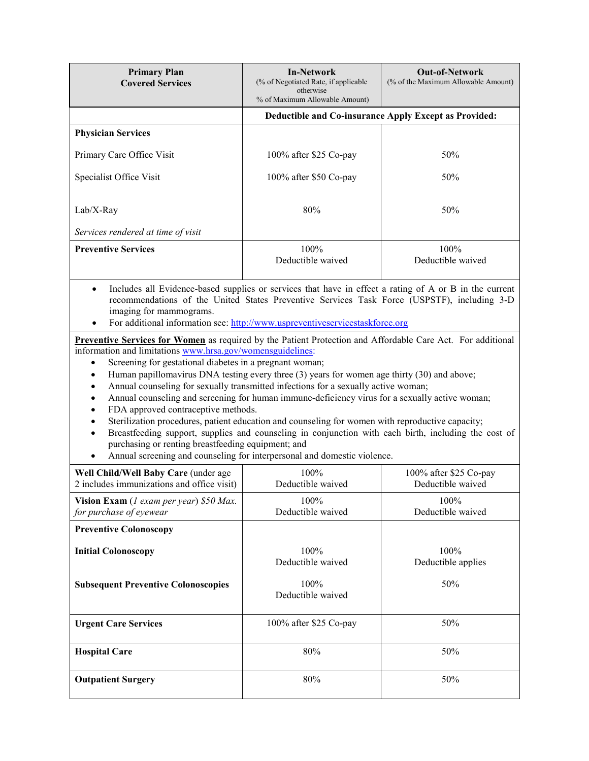| <b>Primary Plan</b><br><b>Covered Services</b>    | <b>In-Network</b><br>(% of Negotiated Rate, if applicable)<br>otherwise<br>% of Maximum Allowable Amount) | <b>Out-of-Network</b><br>(% of the Maximum Allowable Amount) |
|---------------------------------------------------|-----------------------------------------------------------------------------------------------------------|--------------------------------------------------------------|
|                                                   | Deductible and Co-insurance Apply Except as Provided:                                                     |                                                              |
| <b>Physician Services</b>                         |                                                                                                           |                                                              |
| Primary Care Office Visit                         | 100% after $$25$ Co-pay                                                                                   | 50%                                                          |
| Specialist Office Visit                           | 100% after \$50 Co-pay                                                                                    | 50%                                                          |
| $Lab/X-Ray$<br>Services rendered at time of visit | 80%                                                                                                       | 50%                                                          |
| <b>Preventive Services</b>                        | $100\%$<br>Deductible waived                                                                              | $100\%$<br>Deductible waived                                 |

• Includes all Evidence-based supplies or services that have in effect a rating of A or B in the current recommendations of the United States Preventive Services Task Force (USPSTF), including 3-D imaging for mammograms.

• For additional information see: [http://www.uspreventiveservicestaskforce.org](http://www.uspreventiveservicestaskforce.org/)

**Preventive Services for Women** as required by the Patient Protection and Affordable Care Act. For additional information and limitation[s www.hrsa.gov/womensguidelines:](http://www.hrsa.gov/womensguidelines)

- Screening for gestational diabetes in a pregnant woman;
- Human papillomavirus DNA testing every three (3) years for women age thirty (30) and above;
- Annual counseling for sexually transmitted infections for a sexually active woman;
- Annual counseling and screening for human immune-deficiency virus for a sexually active woman;
- FDA approved contraceptive methods.
- Sterilization procedures, patient education and counseling for women with reproductive capacity;
- Breastfeeding support, supplies and counseling in conjunction with each birth, including the cost of purchasing or renting breastfeeding equipment; and
- Annual screening and counseling for interpersonal and domestic violence.

| Well Child/Well Baby Care (under age<br>2 includes immunizations and office visit) | $100\%$<br>Deductible waived | $100\%$ after \$25 Co-pay<br>Deductible waived |
|------------------------------------------------------------------------------------|------------------------------|------------------------------------------------|
| <b>Vision Exam</b> (1 exam per year) $$50$ Max.<br>for purchase of eyewear         | $100\%$<br>Deductible waived | $100\%$<br>Deductible waived                   |
| <b>Preventive Colonoscopy</b>                                                      |                              |                                                |
| <b>Initial Colonoscopy</b>                                                         | 100%<br>Deductible waived    | $100\%$<br>Deductible applies                  |
| <b>Subsequent Preventive Colonoscopies</b>                                         | 100%<br>Deductible waived    | 50%                                            |
| <b>Urgent Care Services</b>                                                        | $100\%$ after \$25 Co-pay    | 50%                                            |
| <b>Hospital Care</b>                                                               | 80%                          | 50%                                            |
| <b>Outpatient Surgery</b>                                                          | 80%                          | 50%                                            |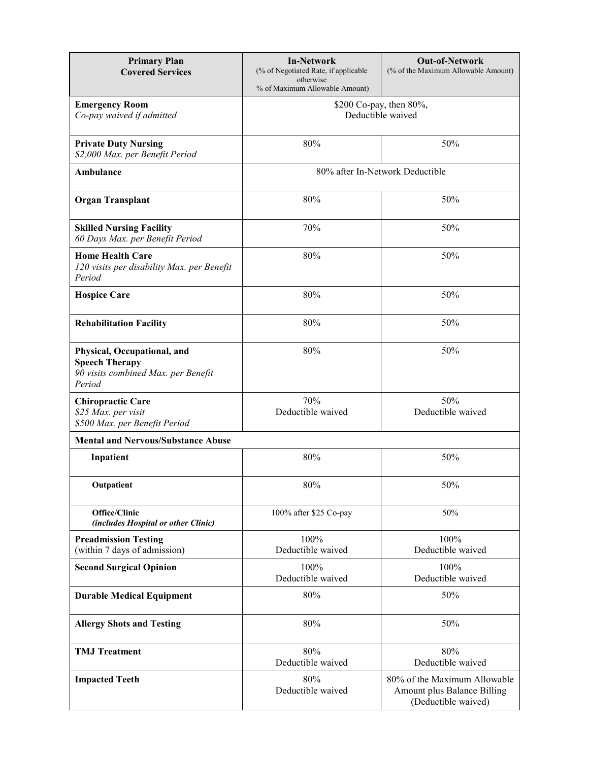| <b>Primary Plan</b><br><b>Covered Services</b>                                                        | <b>In-Network</b><br>(% of Negotiated Rate, if applicable<br>otherwise<br>% of Maximum Allowable Amount) | <b>Out-of-Network</b><br>(% of the Maximum Allowable Amount)                       |
|-------------------------------------------------------------------------------------------------------|----------------------------------------------------------------------------------------------------------|------------------------------------------------------------------------------------|
| <b>Emergency Room</b><br>Co-pay waived if admitted                                                    | \$200 Co-pay, then 80%,<br>Deductible waived                                                             |                                                                                    |
| <b>Private Duty Nursing</b><br>\$2,000 Max. per Benefit Period                                        | 80%                                                                                                      | 50%                                                                                |
| Ambulance                                                                                             | 80% after In-Network Deductible                                                                          |                                                                                    |
| <b>Organ Transplant</b>                                                                               | 80%                                                                                                      | 50%                                                                                |
| <b>Skilled Nursing Facility</b><br>60 Days Max. per Benefit Period                                    | 70%                                                                                                      | 50%                                                                                |
| <b>Home Health Care</b><br>120 visits per disability Max. per Benefit<br>Period                       | 80%                                                                                                      | 50%                                                                                |
| <b>Hospice Care</b>                                                                                   | 80%                                                                                                      | 50%                                                                                |
| <b>Rehabilitation Facility</b>                                                                        | 80%                                                                                                      | 50%                                                                                |
| Physical, Occupational, and<br><b>Speech Therapy</b><br>90 visits combined Max. per Benefit<br>Period | 80%                                                                                                      | 50%                                                                                |
| <b>Chiropractic Care</b><br>\$25 Max. per visit<br>\$500 Max. per Benefit Period                      | 70%<br>Deductible waived                                                                                 | 50%<br>Deductible waived                                                           |
| <b>Mental and Nervous/Substance Abuse</b>                                                             |                                                                                                          |                                                                                    |
| Inpatient                                                                                             | 80%                                                                                                      | 50%                                                                                |
| Outpatient                                                                                            | 80%                                                                                                      | 50%                                                                                |
| Office/Clinic<br>(includes Hospital or other Clinic)                                                  | 100% after \$25 Co-pay                                                                                   | 50%                                                                                |
| <b>Preadmission Testing</b><br>(within 7 days of admission)                                           | 100%<br>Deductible waived                                                                                | 100%<br>Deductible waived                                                          |
| <b>Second Surgical Opinion</b>                                                                        | 100%<br>Deductible waived                                                                                | 100%<br>Deductible waived                                                          |
| <b>Durable Medical Equipment</b>                                                                      | 80%                                                                                                      | 50%                                                                                |
| <b>Allergy Shots and Testing</b>                                                                      | 80%                                                                                                      | 50%                                                                                |
| <b>TMJ</b> Treatment                                                                                  | 80%<br>Deductible waived                                                                                 | 80%<br>Deductible waived                                                           |
| <b>Impacted Teeth</b>                                                                                 | 80%<br>Deductible waived                                                                                 | 80% of the Maximum Allowable<br>Amount plus Balance Billing<br>(Deductible waived) |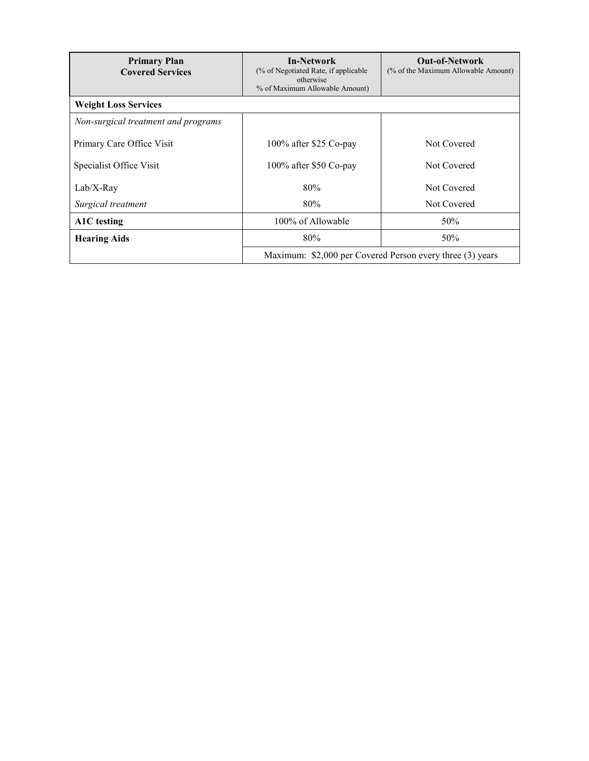| <b>Primary Plan</b><br><b>Covered Services</b> | <b>In-Network</b><br>(% of Negotiated Rate, if applicable)<br>otherwise<br>% of Maximum Allowable Amount) | <b>Out-of-Network</b><br>(% of the Maximum Allowable Amount) |
|------------------------------------------------|-----------------------------------------------------------------------------------------------------------|--------------------------------------------------------------|
| <b>Weight Loss Services</b>                    |                                                                                                           |                                                              |
| Non-surgical treatment and programs            |                                                                                                           |                                                              |
| Primary Care Office Visit                      | 100% after \$25 Co-pay                                                                                    | Not Covered                                                  |
| Specialist Office Visit                        | 100% after \$50 Co-pay                                                                                    | Not Covered                                                  |
| $Lab/X-Ray$                                    | 80%                                                                                                       | Not Covered                                                  |
| Surgical treatment                             | 80%                                                                                                       | Not Covered                                                  |
| A1C testing                                    | 100% of Allowable                                                                                         | 50%                                                          |
| <b>Hearing Aids</b>                            | 80%                                                                                                       | 50%                                                          |
|                                                | Maximum: \$2,000 per Covered Person every three (3) years                                                 |                                                              |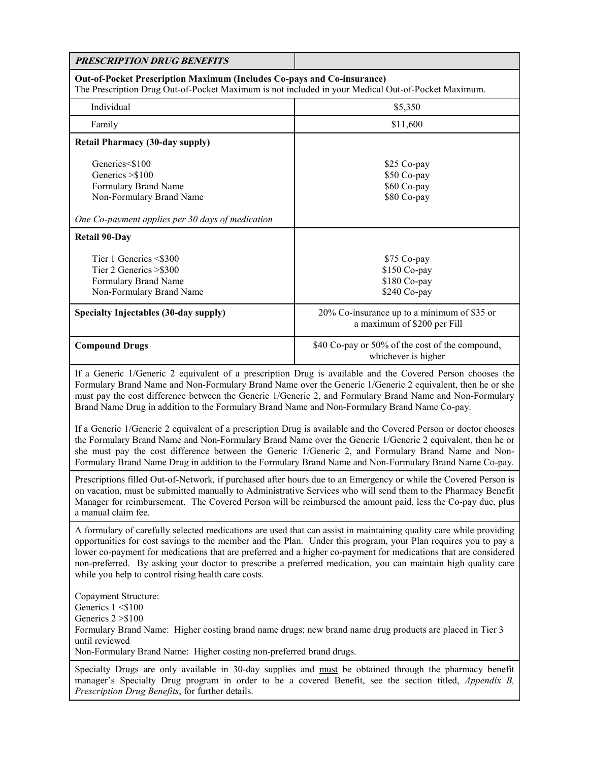| <b>PRESCRIPTION DRUG BENEFITS</b>                                                                                                                                                                                                                                                                                                                                                                                                                                                                                                                       |                                                                                                            |  |
|---------------------------------------------------------------------------------------------------------------------------------------------------------------------------------------------------------------------------------------------------------------------------------------------------------------------------------------------------------------------------------------------------------------------------------------------------------------------------------------------------------------------------------------------------------|------------------------------------------------------------------------------------------------------------|--|
| Out-of-Pocket Prescription Maximum (Includes Co-pays and Co-insurance)<br>The Prescription Drug Out-of-Pocket Maximum is not included in your Medical Out-of-Pocket Maximum.                                                                                                                                                                                                                                                                                                                                                                            |                                                                                                            |  |
| Individual                                                                                                                                                                                                                                                                                                                                                                                                                                                                                                                                              | \$5,350                                                                                                    |  |
| Family                                                                                                                                                                                                                                                                                                                                                                                                                                                                                                                                                  | \$11,600                                                                                                   |  |
| <b>Retail Pharmacy (30-day supply)</b>                                                                                                                                                                                                                                                                                                                                                                                                                                                                                                                  |                                                                                                            |  |
| Generics<\$100<br>Generics > \$100<br>Formulary Brand Name<br>Non-Formulary Brand Name<br>One Co-payment applies per 30 days of medication                                                                                                                                                                                                                                                                                                                                                                                                              | \$25 Co-pay<br>\$50 Co-pay<br>\$60 Co-pay<br>\$80 Co-pay                                                   |  |
| <b>Retail 90-Day</b>                                                                                                                                                                                                                                                                                                                                                                                                                                                                                                                                    |                                                                                                            |  |
| Tier 1 Generics <\$300<br>Tier 2 Generics > \$300<br>Formulary Brand Name<br>Non-Formulary Brand Name<br>Specialty Injectables (30-day supply)                                                                                                                                                                                                                                                                                                                                                                                                          | \$75 Co-pay<br>\$150 Co-pay<br>\$180 Co-pay<br>\$240 Co-pay<br>20% Co-insurance up to a minimum of \$35 or |  |
|                                                                                                                                                                                                                                                                                                                                                                                                                                                                                                                                                         | a maximum of \$200 per Fill                                                                                |  |
| <b>Compound Drugs</b>                                                                                                                                                                                                                                                                                                                                                                                                                                                                                                                                   | \$40 Co-pay or 50% of the cost of the compound,<br>whichever is higher                                     |  |
| If a Generic 1/Generic 2 equivalent of a prescription Drug is available and the Covered Person chooses the<br>Formulary Brand Name and Non-Formulary Brand Name over the Generic 1/Generic 2 equivalent, then he or she<br>must pay the cost difference between the Generic 1/Generic 2, and Formulary Brand Name and Non-Formulary<br>Brand Name Drug in addition to the Formulary Brand Name and Non-Formulary Brand Name Co-pay.<br>If a Generic 1/Generic 2 equivalent of a prescription Drug is available and the Covered Person or doctor chooses |                                                                                                            |  |
| the Formulary Brand Name and Non-Formulary Brand Name over the Generic 1/Generic 2 equivalent, then he or<br>she must pay the cost difference between the Generic 1/Generic 2, and Formulary Brand Name and Non-<br>Formulary Brand Name Drug in addition to the Formulary Brand Name and Non-Formulary Brand Name Co-pay.                                                                                                                                                                                                                              |                                                                                                            |  |
| Prescriptions filled Out-of-Network, if purchased after hours due to an Emergency or while the Covered Person is<br>on vacation, must be submitted manually to Administrative Services who will send them to the Pharmacy Benefit<br>Manager for reimbursement. The Covered Person will be reimbursed the amount paid, less the Co-pay due, plus<br>a manual claim fee.                                                                                                                                                                                 |                                                                                                            |  |
| A formulary of carefully selected medications are used that can assist in maintaining quality care while providing<br>opportunities for cost savings to the member and the Plan. Under this program, your Plan requires you to pay a<br>lower co-payment for medications that are preferred and a higher co-payment for medications that are considered<br>non-preferred. By asking your doctor to prescribe a preferred medication, you can maintain high quality care<br>while you help to control rising health care costs.                          |                                                                                                            |  |
| Copayment Structure:<br>Generics 1 <\$100<br>Generics $2 > $100$<br>Formulary Brand Name: Higher costing brand name drugs; new brand name drug products are placed in Tier 3<br>until reviewed<br>Non-Formulary Brand Name: Higher costing non-preferred brand drugs.                                                                                                                                                                                                                                                                                   |                                                                                                            |  |
| Specialty Drugs are only available in 30-day supplies and must be obtained through the pharmacy benefit<br>manager's Specialty Drug program in order to be a covered Benefit, see the section titled, Appendix B,<br>Prescription Drug Benefits, for further details.                                                                                                                                                                                                                                                                                   |                                                                                                            |  |